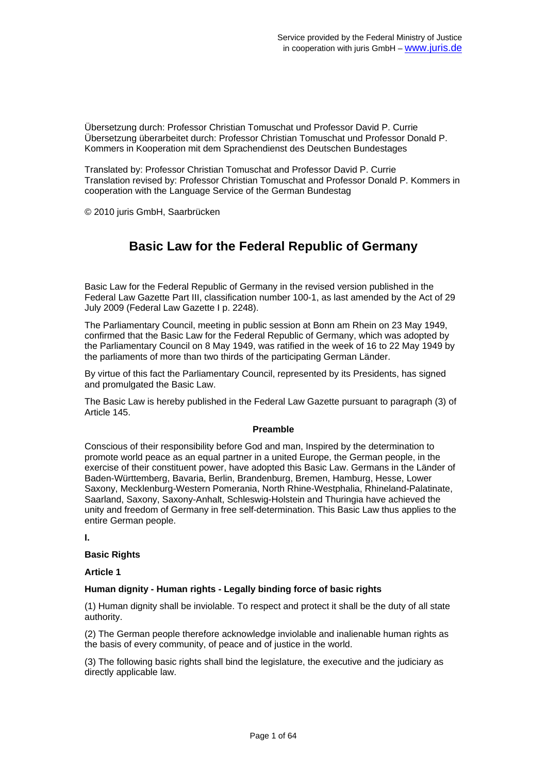Übersetzung durch: Professor Christian Tomuschat und Professor David P. Currie Übersetzung überarbeitet durch: Professor Christian Tomuschat und Professor Donald P. Kommers in Kooperation mit dem Sprachendienst des Deutschen Bundestages

Translated by: Professor Christian Tomuschat and Professor David P. Currie Translation revised by: Professor Christian Tomuschat and Professor Donald P. Kommers in cooperation with the Language Service of the German Bundestag

© 2010 juris GmbH, Saarbrücken

# **Basic Law for the Federal Republic of Germany**

Basic Law for the Federal Republic of Germany in the revised version published in the Federal Law Gazette Part III, classification number 100-1, as last amended by the Act of 29 July 2009 (Federal Law Gazette I p. 2248).

The Parliamentary Council, meeting in public session at Bonn am Rhein on 23 May 1949, confirmed that the Basic Law for the Federal Republic of Germany, which was adopted by the Parliamentary Council on 8 May 1949, was ratified in the week of 16 to 22 May 1949 by the parliaments of more than two thirds of the participating German Länder.

By virtue of this fact the Parliamentary Council, represented by its Presidents, has signed and promulgated the Basic Law.

The Basic Law is hereby published in the Federal Law Gazette pursuant to paragraph (3) of Article 145.

### **Preamble**

Conscious of their responsibility before God and man, Inspired by the determination to promote world peace as an equal partner in a united Europe, the German people, in the exercise of their constituent power, have adopted this Basic Law. Germans in the Länder of Baden-Württemberg, Bavaria, Berlin, Brandenburg, Bremen, Hamburg, Hesse, Lower Saxony, Mecklenburg-Western Pomerania, North Rhine-Westphalia, Rhineland-Palatinate, Saarland, Saxony, Saxony-Anhalt, Schleswig-Holstein and Thuringia have achieved the unity and freedom of Germany in free self-determination. This Basic Law thus applies to the entire German people.

**I.** 

## **Basic Rights**

**Article 1** 

### **Human dignity - Human rights - Legally binding force of basic rights**

(1) Human dignity shall be inviolable. To respect and protect it shall be the duty of all state authority.

(2) The German people therefore acknowledge inviolable and inalienable human rights as the basis of every community, of peace and of justice in the world.

(3) The following basic rights shall bind the legislature, the executive and the judiciary as directly applicable law.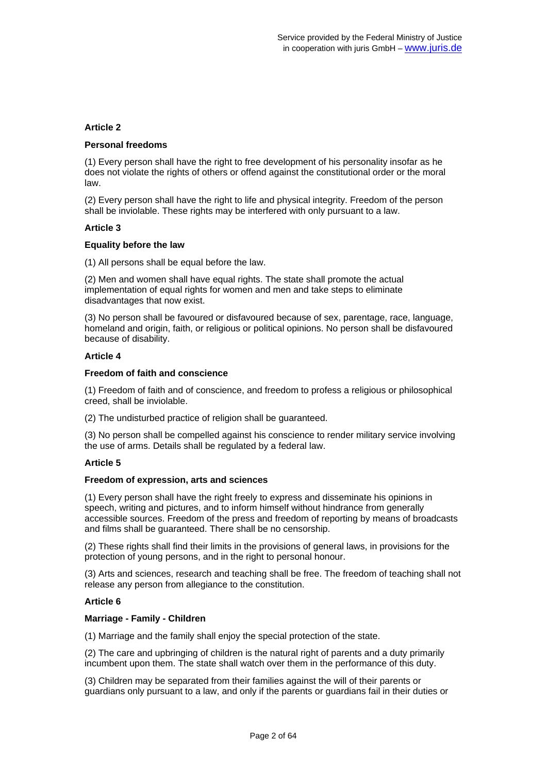### **Personal freedoms**

(1) Every person shall have the right to free development of his personality insofar as he does not violate the rights of others or offend against the constitutional order or the moral law.

(2) Every person shall have the right to life and physical integrity. Freedom of the person shall be inviolable. These rights may be interfered with only pursuant to a law.

### **Article 3**

### **Equality before the law**

(1) All persons shall be equal before the law.

(2) Men and women shall have equal rights. The state shall promote the actual implementation of equal rights for women and men and take steps to eliminate disadvantages that now exist.

(3) No person shall be favoured or disfavoured because of sex, parentage, race, language, homeland and origin, faith, or religious or political opinions. No person shall be disfavoured because of disability.

## **Article 4**

### **Freedom of faith and conscience**

(1) Freedom of faith and of conscience, and freedom to profess a religious or philosophical creed, shall be inviolable.

(2) The undisturbed practice of religion shall be guaranteed.

(3) No person shall be compelled against his conscience to render military service involving the use of arms. Details shall be regulated by a federal law.

## **Article 5**

### **Freedom of expression, arts and sciences**

(1) Every person shall have the right freely to express and disseminate his opinions in speech, writing and pictures, and to inform himself without hindrance from generally accessible sources. Freedom of the press and freedom of reporting by means of broadcasts and films shall be guaranteed. There shall be no censorship.

(2) These rights shall find their limits in the provisions of general laws, in provisions for the protection of young persons, and in the right to personal honour.

(3) Arts and sciences, research and teaching shall be free. The freedom of teaching shall not release any person from allegiance to the constitution.

### **Article 6**

### **Marriage - Family - Children**

(1) Marriage and the family shall enjoy the special protection of the state.

(2) The care and upbringing of children is the natural right of parents and a duty primarily incumbent upon them. The state shall watch over them in the performance of this duty.

(3) Children may be separated from their families against the will of their parents or guardians only pursuant to a law, and only if the parents or guardians fail in their duties or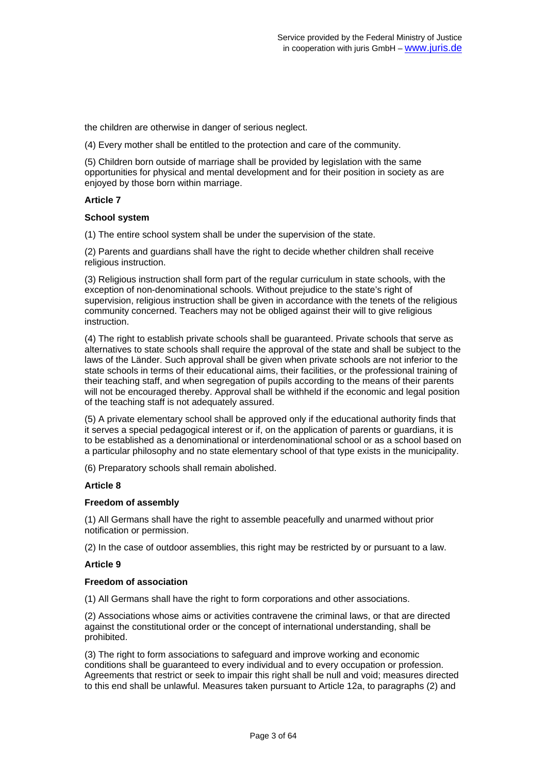the children are otherwise in danger of serious neglect.

(4) Every mother shall be entitled to the protection and care of the community.

(5) Children born outside of marriage shall be provided by legislation with the same opportunities for physical and mental development and for their position in society as are enjoyed by those born within marriage.

### **Article 7**

### **School system**

(1) The entire school system shall be under the supervision of the state.

(2) Parents and guardians shall have the right to decide whether children shall receive religious instruction.

(3) Religious instruction shall form part of the regular curriculum in state schools, with the exception of non-denominational schools. Without prejudice to the state's right of supervision, religious instruction shall be given in accordance with the tenets of the religious community concerned. Teachers may not be obliged against their will to give religious instruction.

(4) The right to establish private schools shall be guaranteed. Private schools that serve as alternatives to state schools shall require the approval of the state and shall be subject to the laws of the Länder. Such approval shall be given when private schools are not inferior to the state schools in terms of their educational aims, their facilities, or the professional training of their teaching staff, and when segregation of pupils according to the means of their parents will not be encouraged thereby. Approval shall be withheld if the economic and legal position of the teaching staff is not adequately assured.

(5) A private elementary school shall be approved only if the educational authority finds that it serves a special pedagogical interest or if, on the application of parents or guardians, it is to be established as a denominational or interdenominational school or as a school based on a particular philosophy and no state elementary school of that type exists in the municipality.

(6) Preparatory schools shall remain abolished.

### **Article 8**

#### **Freedom of assembly**

(1) All Germans shall have the right to assemble peacefully and unarmed without prior notification or permission.

(2) In the case of outdoor assemblies, this right may be restricted by or pursuant to a law.

#### **Article 9**

#### **Freedom of association**

(1) All Germans shall have the right to form corporations and other associations.

(2) Associations whose aims or activities contravene the criminal laws, or that are directed against the constitutional order or the concept of international understanding, shall be prohibited.

(3) The right to form associations to safeguard and improve working and economic conditions shall be guaranteed to every individual and to every occupation or profession. Agreements that restrict or seek to impair this right shall be null and void; measures directed to this end shall be unlawful. Measures taken pursuant to Article 12a, to paragraphs (2) and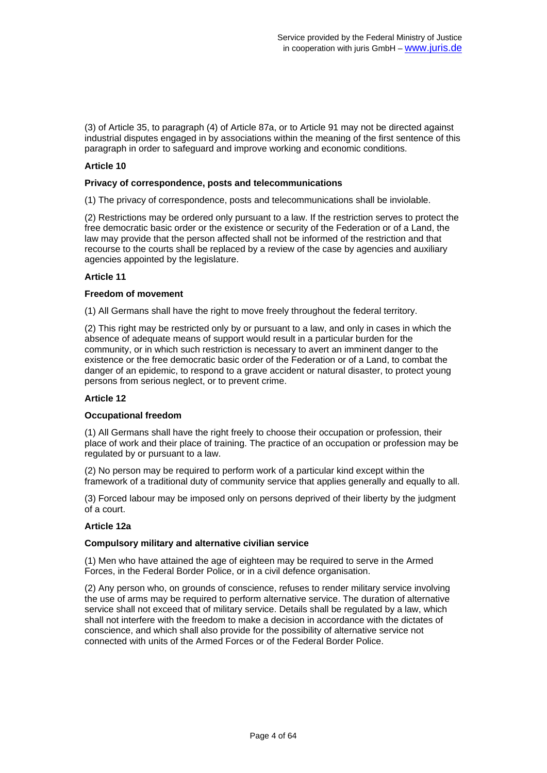(3) of Article 35, to paragraph (4) of Article 87a, or to Article 91 may not be directed against industrial disputes engaged in by associations within the meaning of the first sentence of this paragraph in order to safeguard and improve working and economic conditions.

### **Article 10**

#### **Privacy of correspondence, posts and telecommunications**

(1) The privacy of correspondence, posts and telecommunications shall be inviolable.

(2) Restrictions may be ordered only pursuant to a law. If the restriction serves to protect the free democratic basic order or the existence or security of the Federation or of a Land, the law may provide that the person affected shall not be informed of the restriction and that recourse to the courts shall be replaced by a review of the case by agencies and auxiliary agencies appointed by the legislature.

### **Article 11**

### **Freedom of movement**

(1) All Germans shall have the right to move freely throughout the federal territory.

(2) This right may be restricted only by or pursuant to a law, and only in cases in which the absence of adequate means of support would result in a particular burden for the community, or in which such restriction is necessary to avert an imminent danger to the existence or the free democratic basic order of the Federation or of a Land, to combat the danger of an epidemic, to respond to a grave accident or natural disaster, to protect young persons from serious neglect, or to prevent crime.

### **Article 12**

### **Occupational freedom**

(1) All Germans shall have the right freely to choose their occupation or profession, their place of work and their place of training. The practice of an occupation or profession may be regulated by or pursuant to a law.

(2) No person may be required to perform work of a particular kind except within the framework of a traditional duty of community service that applies generally and equally to all.

(3) Forced labour may be imposed only on persons deprived of their liberty by the judgment of a court.

### **Article 12a**

#### **Compulsory military and alternative civilian service**

(1) Men who have attained the age of eighteen may be required to serve in the Armed Forces, in the Federal Border Police, or in a civil defence organisation.

(2) Any person who, on grounds of conscience, refuses to render military service involving the use of arms may be required to perform alternative service. The duration of alternative service shall not exceed that of military service. Details shall be regulated by a law, which shall not interfere with the freedom to make a decision in accordance with the dictates of conscience, and which shall also provide for the possibility of alternative service not connected with units of the Armed Forces or of the Federal Border Police.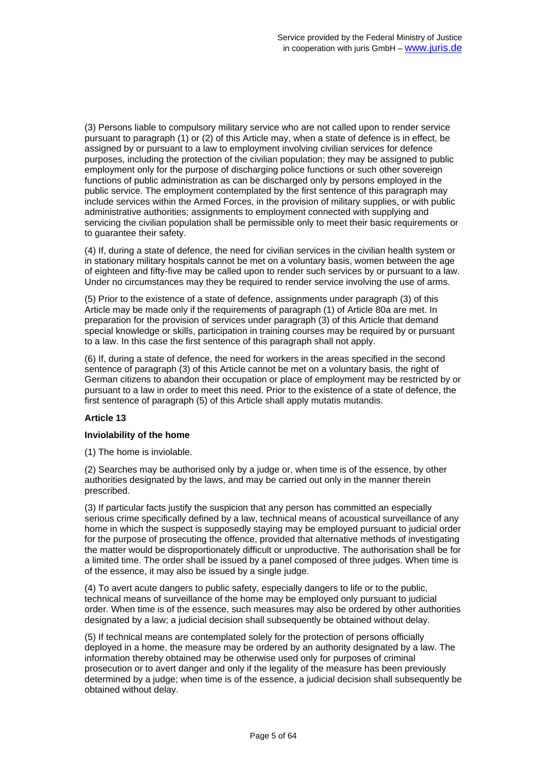(3) Persons liable to compulsory military service who are not called upon to render service pursuant to paragraph (1) or (2) of this Article may, when a state of defence is in effect, be assigned by or pursuant to a law to employment involving civilian services for defence purposes, including the protection of the civilian population; they may be assigned to public employment only for the purpose of discharging police functions or such other sovereign functions of public administration as can be discharged only by persons employed in the public service. The employment contemplated by the first sentence of this paragraph may include services within the Armed Forces, in the provision of military supplies, or with public administrative authorities; assignments to employment connected with supplying and servicing the civilian population shall be permissible only to meet their basic requirements or to guarantee their safety.

(4) If, during a state of defence, the need for civilian services in the civilian health system or in stationary military hospitals cannot be met on a voluntary basis, women between the age of eighteen and fifty-five may be called upon to render such services by or pursuant to a law. Under no circumstances may they be required to render service involving the use of arms.

(5) Prior to the existence of a state of defence, assignments under paragraph (3) of this Article may be made only if the requirements of paragraph (1) of Article 80a are met. In preparation for the provision of services under paragraph (3) of this Article that demand special knowledge or skills, participation in training courses may be required by or pursuant to a law. In this case the first sentence of this paragraph shall not apply.

(6) If, during a state of defence, the need for workers in the areas specified in the second sentence of paragraph (3) of this Article cannot be met on a voluntary basis, the right of German citizens to abandon their occupation or place of employment may be restricted by or pursuant to a law in order to meet this need. Prior to the existence of a state of defence, the first sentence of paragraph (5) of this Article shall apply mutatis mutandis.

### **Article 13**

### **Inviolability of the home**

(1) The home is inviolable.

(2) Searches may be authorised only by a judge or, when time is of the essence, by other authorities designated by the laws, and may be carried out only in the manner therein prescribed.

(3) If particular facts justify the suspicion that any person has committed an especially serious crime specifically defined by a law, technical means of acoustical surveillance of any home in which the suspect is supposedly staying may be employed pursuant to judicial order for the purpose of prosecuting the offence, provided that alternative methods of investigating the matter would be disproportionately difficult or unproductive. The authorisation shall be for a limited time. The order shall be issued by a panel composed of three judges. When time is of the essence, it may also be issued by a single judge.

(4) To avert acute dangers to public safety, especially dangers to life or to the public, technical means of surveillance of the home may be employed only pursuant to judicial order. When time is of the essence, such measures may also be ordered by other authorities designated by a law; a judicial decision shall subsequently be obtained without delay.

(5) If technical means are contemplated solely for the protection of persons officially deployed in a home, the measure may be ordered by an authority designated by a law. The information thereby obtained may be otherwise used only for purposes of criminal prosecution or to avert danger and only if the legality of the measure has been previously determined by a judge; when time is of the essence, a judicial decision shall subsequently be obtained without delay.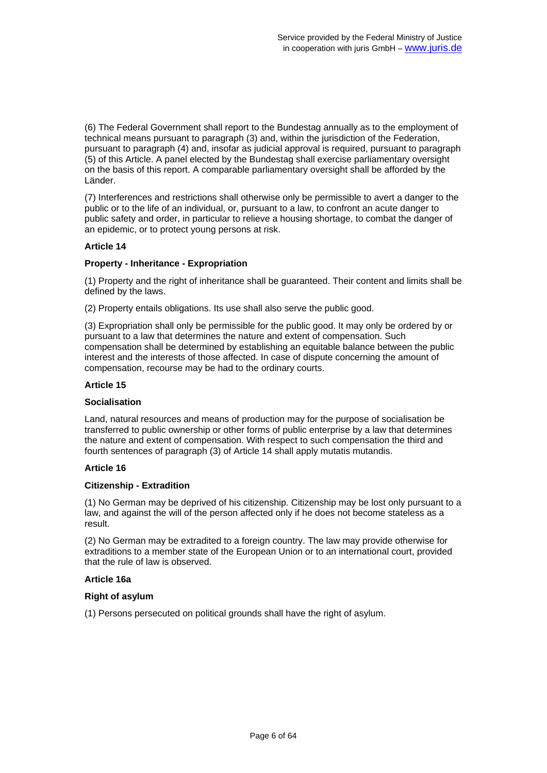(6) The Federal Government shall report to the Bundestag annually as to the employment of technical means pursuant to paragraph (3) and, within the jurisdiction of the Federation, pursuant to paragraph (4) and, insofar as judicial approval is required, pursuant to paragraph (5) of this Article. A panel elected by the Bundestag shall exercise parliamentary oversight on the basis of this report. A comparable parliamentary oversight shall be afforded by the Länder.

(7) Interferences and restrictions shall otherwise only be permissible to avert a danger to the public or to the life of an individual, or, pursuant to a law, to confront an acute danger to public safety and order, in particular to relieve a housing shortage, to combat the danger of an epidemic, or to protect young persons at risk.

### **Article 14**

### **Property - Inheritance - Expropriation**

(1) Property and the right of inheritance shall be guaranteed. Their content and limits shall be defined by the laws.

(2) Property entails obligations. Its use shall also serve the public good.

(3) Expropriation shall only be permissible for the public good. It may only be ordered by or pursuant to a law that determines the nature and extent of compensation. Such compensation shall be determined by establishing an equitable balance between the public interest and the interests of those affected. In case of dispute concerning the amount of compensation, recourse may be had to the ordinary courts.

#### **Article 15**

#### **Socialisation**

Land, natural resources and means of production may for the purpose of socialisation be transferred to public ownership or other forms of public enterprise by a law that determines the nature and extent of compensation. With respect to such compensation the third and fourth sentences of paragraph (3) of Article 14 shall apply mutatis mutandis.

### **Article 16**

### **Citizenship - Extradition**

(1) No German may be deprived of his citizenship. Citizenship may be lost only pursuant to a law, and against the will of the person affected only if he does not become stateless as a result.

(2) No German may be extradited to a foreign country. The law may provide otherwise for extraditions to a member state of the European Union or to an international court, provided that the rule of law is observed.

### **Article 16a**

### **Right of asylum**

(1) Persons persecuted on political grounds shall have the right of asylum.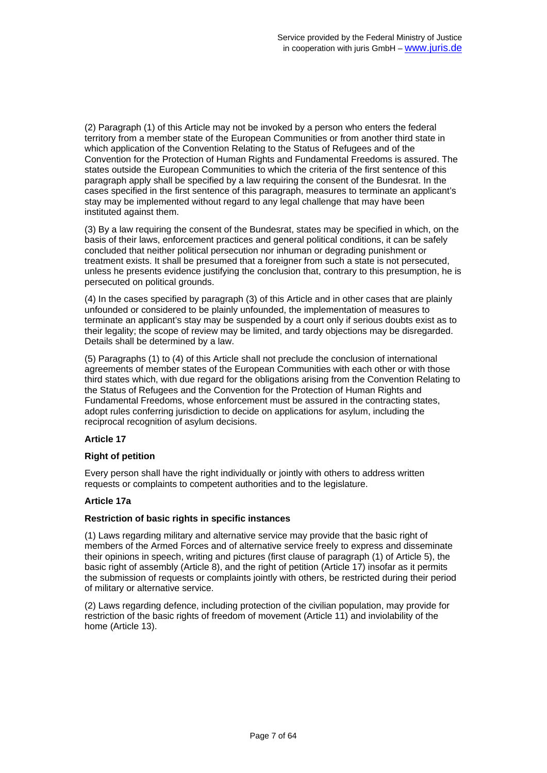(2) Paragraph (1) of this Article may not be invoked by a person who enters the federal territory from a member state of the European Communities or from another third state in which application of the Convention Relating to the Status of Refugees and of the Convention for the Protection of Human Rights and Fundamental Freedoms is assured. The states outside the European Communities to which the criteria of the first sentence of this paragraph apply shall be specified by a law requiring the consent of the Bundesrat. In the cases specified in the first sentence of this paragraph, measures to terminate an applicant's stay may be implemented without regard to any legal challenge that may have been instituted against them.

(3) By a law requiring the consent of the Bundesrat, states may be specified in which, on the basis of their laws, enforcement practices and general political conditions, it can be safely concluded that neither political persecution nor inhuman or degrading punishment or treatment exists. It shall be presumed that a foreigner from such a state is not persecuted, unless he presents evidence justifying the conclusion that, contrary to this presumption, he is persecuted on political grounds.

(4) In the cases specified by paragraph (3) of this Article and in other cases that are plainly unfounded or considered to be plainly unfounded, the implementation of measures to terminate an applicant's stay may be suspended by a court only if serious doubts exist as to their legality; the scope of review may be limited, and tardy objections may be disregarded. Details shall be determined by a law.

(5) Paragraphs (1) to (4) of this Article shall not preclude the conclusion of international agreements of member states of the European Communities with each other or with those third states which, with due regard for the obligations arising from the Convention Relating to the Status of Refugees and the Convention for the Protection of Human Rights and Fundamental Freedoms, whose enforcement must be assured in the contracting states, adopt rules conferring jurisdiction to decide on applications for asylum, including the reciprocal recognition of asylum decisions.

## **Article 17**

### **Right of petition**

Every person shall have the right individually or jointly with others to address written requests or complaints to competent authorities and to the legislature.

### **Article 17a**

### **Restriction of basic rights in specific instances**

(1) Laws regarding military and alternative service may provide that the basic right of members of the Armed Forces and of alternative service freely to express and disseminate their opinions in speech, writing and pictures (first clause of paragraph (1) of Article 5), the basic right of assembly (Article 8), and the right of petition (Article 17) insofar as it permits the submission of requests or complaints jointly with others, be restricted during their period of military or alternative service.

(2) Laws regarding defence, including protection of the civilian population, may provide for restriction of the basic rights of freedom of movement (Article 11) and inviolability of the home (Article 13).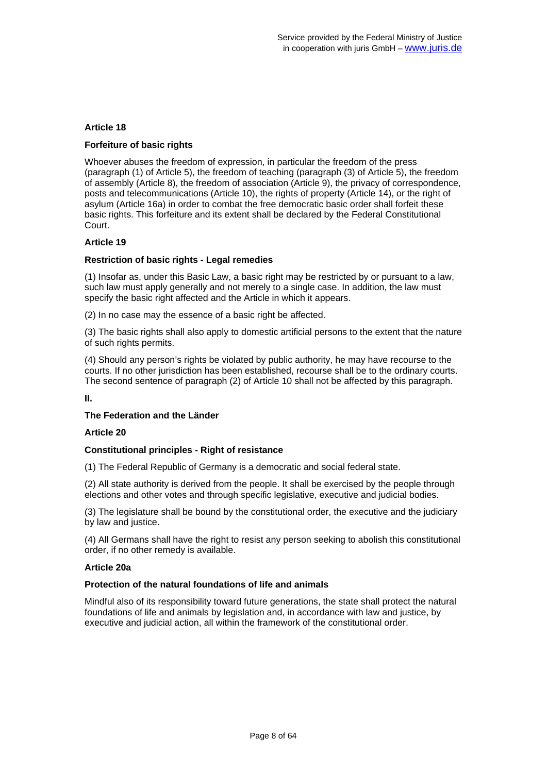### **Forfeiture of basic rights**

Whoever abuses the freedom of expression, in particular the freedom of the press (paragraph (1) of Article 5), the freedom of teaching (paragraph (3) of Article 5), the freedom of assembly (Article 8), the freedom of association (Article 9), the privacy of correspondence, posts and telecommunications (Article 10), the rights of property (Article 14), or the right of asylum (Article 16a) in order to combat the free democratic basic order shall forfeit these basic rights. This forfeiture and its extent shall be declared by the Federal Constitutional Court.

### **Article 19**

### **Restriction of basic rights - Legal remedies**

(1) Insofar as, under this Basic Law, a basic right may be restricted by or pursuant to a law, such law must apply generally and not merely to a single case. In addition, the law must specify the basic right affected and the Article in which it appears.

(2) In no case may the essence of a basic right be affected.

(3) The basic rights shall also apply to domestic artificial persons to the extent that the nature of such rights permits.

(4) Should any person's rights be violated by public authority, he may have recourse to the courts. If no other jurisdiction has been established, recourse shall be to the ordinary courts. The second sentence of paragraph (2) of Article 10 shall not be affected by this paragraph.

**II.** 

### **The Federation and the Länder**

### **Article 20**

### **Constitutional principles - Right of resistance**

(1) The Federal Republic of Germany is a democratic and social federal state.

(2) All state authority is derived from the people. It shall be exercised by the people through elections and other votes and through specific legislative, executive and judicial bodies.

(3) The legislature shall be bound by the constitutional order, the executive and the judiciary by law and justice.

(4) All Germans shall have the right to resist any person seeking to abolish this constitutional order, if no other remedy is available.

#### **Article 20a**

#### **Protection of the natural foundations of life and animals**

Mindful also of its responsibility toward future generations, the state shall protect the natural foundations of life and animals by legislation and, in accordance with law and justice, by executive and judicial action, all within the framework of the constitutional order.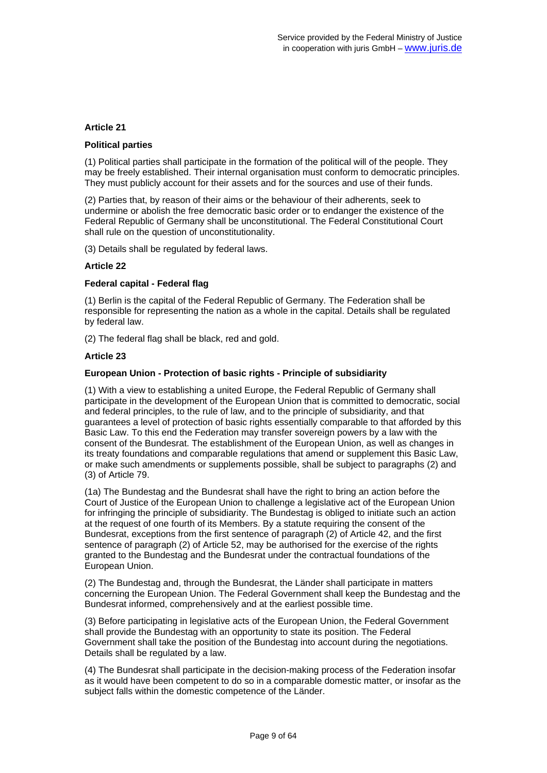### **Political parties**

(1) Political parties shall participate in the formation of the political will of the people. They may be freely established. Their internal organisation must conform to democratic principles. They must publicly account for their assets and for the sources and use of their funds.

(2) Parties that, by reason of their aims or the behaviour of their adherents, seek to undermine or abolish the free democratic basic order or to endanger the existence of the Federal Republic of Germany shall be unconstitutional. The Federal Constitutional Court shall rule on the question of unconstitutionality.

(3) Details shall be regulated by federal laws.

### **Article 22**

### **Federal capital - Federal flag**

(1) Berlin is the capital of the Federal Republic of Germany. The Federation shall be responsible for representing the nation as a whole in the capital. Details shall be regulated by federal law.

(2) The federal flag shall be black, red and gold.

### **Article 23**

### **European Union - Protection of basic rights - Principle of subsidiarity**

(1) With a view to establishing a united Europe, the Federal Republic of Germany shall participate in the development of the European Union that is committed to democratic, social and federal principles, to the rule of law, and to the principle of subsidiarity, and that guarantees a level of protection of basic rights essentially comparable to that afforded by this Basic Law. To this end the Federation may transfer sovereign powers by a law with the consent of the Bundesrat. The establishment of the European Union, as well as changes in its treaty foundations and comparable regulations that amend or supplement this Basic Law, or make such amendments or supplements possible, shall be subject to paragraphs (2) and (3) of Article 79.

(1a) The Bundestag and the Bundesrat shall have the right to bring an action before the Court of Justice of the European Union to challenge a legislative act of the European Union for infringing the principle of subsidiarity. The Bundestag is obliged to initiate such an action at the request of one fourth of its Members. By a statute requiring the consent of the Bundesrat, exceptions from the first sentence of paragraph (2) of Article 42, and the first sentence of paragraph (2) of Article 52, may be authorised for the exercise of the rights granted to the Bundestag and the Bundesrat under the contractual foundations of the European Union.

(2) The Bundestag and, through the Bundesrat, the Länder shall participate in matters concerning the European Union. The Federal Government shall keep the Bundestag and the Bundesrat informed, comprehensively and at the earliest possible time.

(3) Before participating in legislative acts of the European Union, the Federal Government shall provide the Bundestag with an opportunity to state its position. The Federal Government shall take the position of the Bundestag into account during the negotiations. Details shall be regulated by a law.

(4) The Bundesrat shall participate in the decision-making process of the Federation insofar as it would have been competent to do so in a comparable domestic matter, or insofar as the subject falls within the domestic competence of the Länder.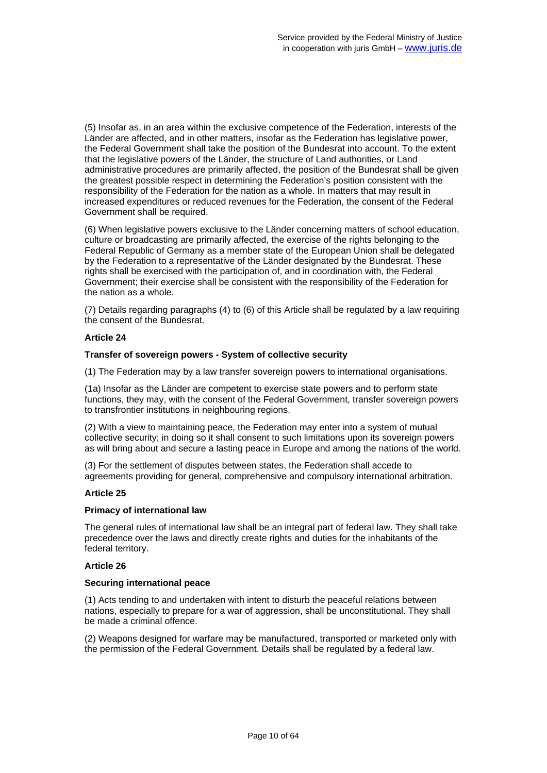(5) Insofar as, in an area within the exclusive competence of the Federation, interests of the Länder are affected, and in other matters, insofar as the Federation has legislative power, the Federal Government shall take the position of the Bundesrat into account. To the extent that the legislative powers of the Länder, the structure of Land authorities, or Land administrative procedures are primarily affected, the position of the Bundesrat shall be given the greatest possible respect in determining the Federation's position consistent with the responsibility of the Federation for the nation as a whole. In matters that may result in increased expenditures or reduced revenues for the Federation, the consent of the Federal Government shall be required.

(6) When legislative powers exclusive to the Länder concerning matters of school education, culture or broadcasting are primarily affected, the exercise of the rights belonging to the Federal Republic of Germany as a member state of the European Union shall be delegated by the Federation to a representative of the Länder designated by the Bundesrat. These rights shall be exercised with the participation of, and in coordination with, the Federal Government; their exercise shall be consistent with the responsibility of the Federation for the nation as a whole.

(7) Details regarding paragraphs (4) to (6) of this Article shall be regulated by a law requiring the consent of the Bundesrat.

### **Article 24**

### **Transfer of sovereign powers - System of collective security**

(1) The Federation may by a law transfer sovereign powers to international organisations.

(1a) Insofar as the Länder are competent to exercise state powers and to perform state functions, they may, with the consent of the Federal Government, transfer sovereign powers to transfrontier institutions in neighbouring regions.

(2) With a view to maintaining peace, the Federation may enter into a system of mutual collective security; in doing so it shall consent to such limitations upon its sovereign powers as will bring about and secure a lasting peace in Europe and among the nations of the world.

(3) For the settlement of disputes between states, the Federation shall accede to agreements providing for general, comprehensive and compulsory international arbitration.

### **Article 25**

#### **Primacy of international law**

The general rules of international law shall be an integral part of federal law. They shall take precedence over the laws and directly create rights and duties for the inhabitants of the federal territory.

#### **Article 26**

#### **Securing international peace**

(1) Acts tending to and undertaken with intent to disturb the peaceful relations between nations, especially to prepare for a war of aggression, shall be unconstitutional. They shall be made a criminal offence.

(2) Weapons designed for warfare may be manufactured, transported or marketed only with the permission of the Federal Government. Details shall be regulated by a federal law.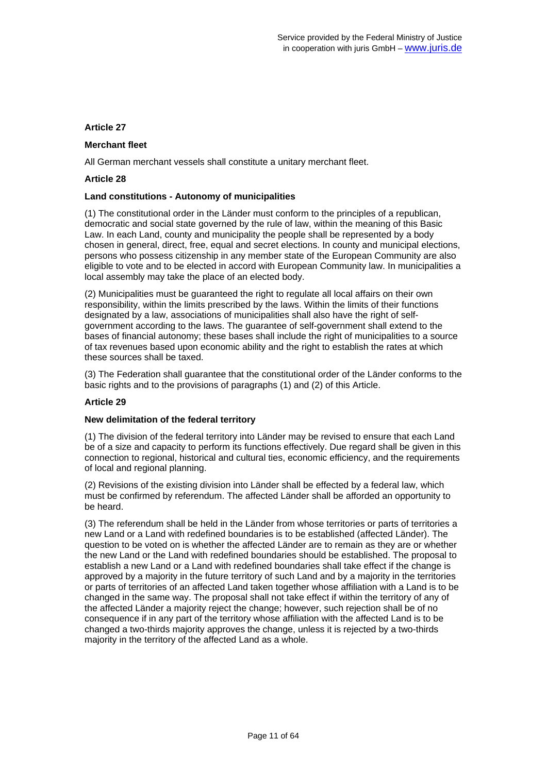### **Merchant fleet**

All German merchant vessels shall constitute a unitary merchant fleet.

### **Article 28**

### **Land constitutions - Autonomy of municipalities**

(1) The constitutional order in the Länder must conform to the principles of a republican, democratic and social state governed by the rule of law, within the meaning of this Basic Law. In each Land, county and municipality the people shall be represented by a body chosen in general, direct, free, equal and secret elections. In county and municipal elections, persons who possess citizenship in any member state of the European Community are also eligible to vote and to be elected in accord with European Community law. In municipalities a local assembly may take the place of an elected body.

(2) Municipalities must be guaranteed the right to regulate all local affairs on their own responsibility, within the limits prescribed by the laws. Within the limits of their functions designated by a law, associations of municipalities shall also have the right of selfgovernment according to the laws. The guarantee of self-government shall extend to the bases of financial autonomy; these bases shall include the right of municipalities to a source of tax revenues based upon economic ability and the right to establish the rates at which these sources shall be taxed.

(3) The Federation shall guarantee that the constitutional order of the Länder conforms to the basic rights and to the provisions of paragraphs (1) and (2) of this Article.

## **Article 29**

### **New delimitation of the federal territory**

(1) The division of the federal territory into Länder may be revised to ensure that each Land be of a size and capacity to perform its functions effectively. Due regard shall be given in this connection to regional, historical and cultural ties, economic efficiency, and the requirements of local and regional planning.

(2) Revisions of the existing division into Länder shall be effected by a federal law, which must be confirmed by referendum. The affected Länder shall be afforded an opportunity to be heard.

(3) The referendum shall be held in the Länder from whose territories or parts of territories a new Land or a Land with redefined boundaries is to be established (affected Länder). The question to be voted on is whether the affected Länder are to remain as they are or whether the new Land or the Land with redefined boundaries should be established. The proposal to establish a new Land or a Land with redefined boundaries shall take effect if the change is approved by a majority in the future territory of such Land and by a majority in the territories or parts of territories of an affected Land taken together whose affiliation with a Land is to be changed in the same way. The proposal shall not take effect if within the territory of any of the affected Länder a majority reject the change; however, such rejection shall be of no consequence if in any part of the territory whose affiliation with the affected Land is to be changed a two-thirds majority approves the change, unless it is rejected by a two-thirds majority in the territory of the affected Land as a whole.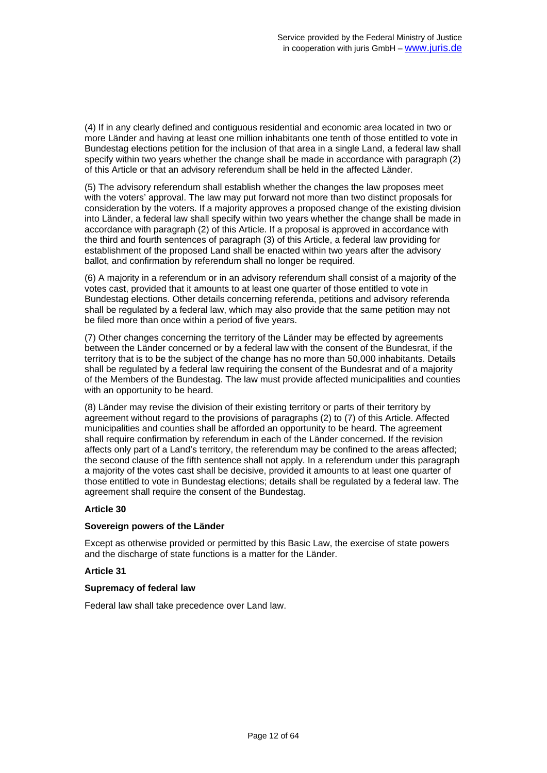(4) If in any clearly defined and contiguous residential and economic area located in two or more Länder and having at least one million inhabitants one tenth of those entitled to vote in Bundestag elections petition for the inclusion of that area in a single Land, a federal law shall specify within two years whether the change shall be made in accordance with paragraph (2) of this Article or that an advisory referendum shall be held in the affected Länder.

(5) The advisory referendum shall establish whether the changes the law proposes meet with the voters' approval. The law may put forward not more than two distinct proposals for consideration by the voters. If a majority approves a proposed change of the existing division into Länder, a federal law shall specify within two years whether the change shall be made in accordance with paragraph (2) of this Article. If a proposal is approved in accordance with the third and fourth sentences of paragraph (3) of this Article, a federal law providing for establishment of the proposed Land shall be enacted within two years after the advisory ballot, and confirmation by referendum shall no longer be required.

(6) A majority in a referendum or in an advisory referendum shall consist of a majority of the votes cast, provided that it amounts to at least one quarter of those entitled to vote in Bundestag elections. Other details concerning referenda, petitions and advisory referenda shall be regulated by a federal law, which may also provide that the same petition may not be filed more than once within a period of five years.

(7) Other changes concerning the territory of the Länder may be effected by agreements between the Länder concerned or by a federal law with the consent of the Bundesrat, if the territory that is to be the subject of the change has no more than 50,000 inhabitants. Details shall be regulated by a federal law requiring the consent of the Bundesrat and of a majority of the Members of the Bundestag. The law must provide affected municipalities and counties with an opportunity to be heard.

(8) Länder may revise the division of their existing territory or parts of their territory by agreement without regard to the provisions of paragraphs (2) to (7) of this Article. Affected municipalities and counties shall be afforded an opportunity to be heard. The agreement shall require confirmation by referendum in each of the Länder concerned. If the revision affects only part of a Land's territory, the referendum may be confined to the areas affected; the second clause of the fifth sentence shall not apply. In a referendum under this paragraph a majority of the votes cast shall be decisive, provided it amounts to at least one quarter of those entitled to vote in Bundestag elections; details shall be regulated by a federal law. The agreement shall require the consent of the Bundestag.

## **Article 30**

### **Sovereign powers of the Länder**

Except as otherwise provided or permitted by this Basic Law, the exercise of state powers and the discharge of state functions is a matter for the Länder.

### **Article 31**

#### **Supremacy of federal law**

Federal law shall take precedence over Land law.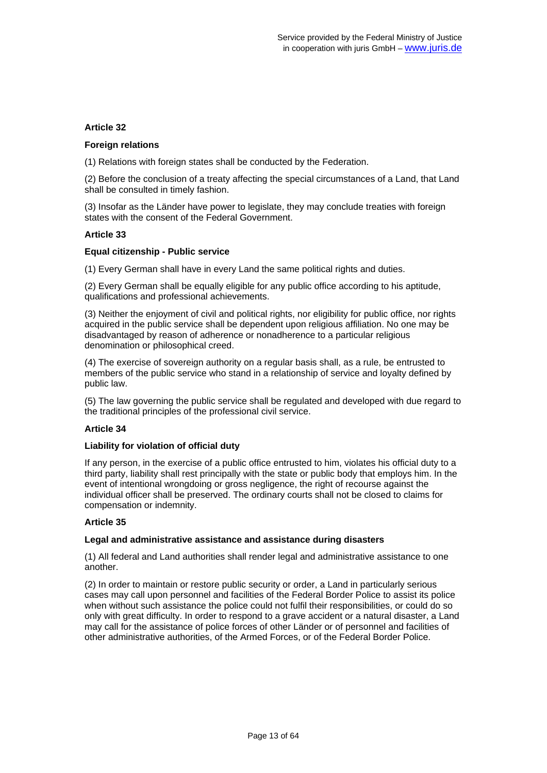### **Foreign relations**

(1) Relations with foreign states shall be conducted by the Federation.

(2) Before the conclusion of a treaty affecting the special circumstances of a Land, that Land shall be consulted in timely fashion.

(3) Insofar as the Länder have power to legislate, they may conclude treaties with foreign states with the consent of the Federal Government.

### **Article 33**

### **Equal citizenship - Public service**

(1) Every German shall have in every Land the same political rights and duties.

(2) Every German shall be equally eligible for any public office according to his aptitude, qualifications and professional achievements.

(3) Neither the enjoyment of civil and political rights, nor eligibility for public office, nor rights acquired in the public service shall be dependent upon religious affiliation. No one may be disadvantaged by reason of adherence or nonadherence to a particular religious denomination or philosophical creed.

(4) The exercise of sovereign authority on a regular basis shall, as a rule, be entrusted to members of the public service who stand in a relationship of service and loyalty defined by public law.

(5) The law governing the public service shall be regulated and developed with due regard to the traditional principles of the professional civil service.

## **Article 34**

### **Liability for violation of official duty**

If any person, in the exercise of a public office entrusted to him, violates his official duty to a third party, liability shall rest principally with the state or public body that employs him. In the event of intentional wrongdoing or gross negligence, the right of recourse against the individual officer shall be preserved. The ordinary courts shall not be closed to claims for compensation or indemnity.

### **Article 35**

### **Legal and administrative assistance and assistance during disasters**

(1) All federal and Land authorities shall render legal and administrative assistance to one another.

(2) In order to maintain or restore public security or order, a Land in particularly serious cases may call upon personnel and facilities of the Federal Border Police to assist its police when without such assistance the police could not fulfil their responsibilities, or could do so only with great difficulty. In order to respond to a grave accident or a natural disaster, a Land may call for the assistance of police forces of other Länder or of personnel and facilities of other administrative authorities, of the Armed Forces, or of the Federal Border Police.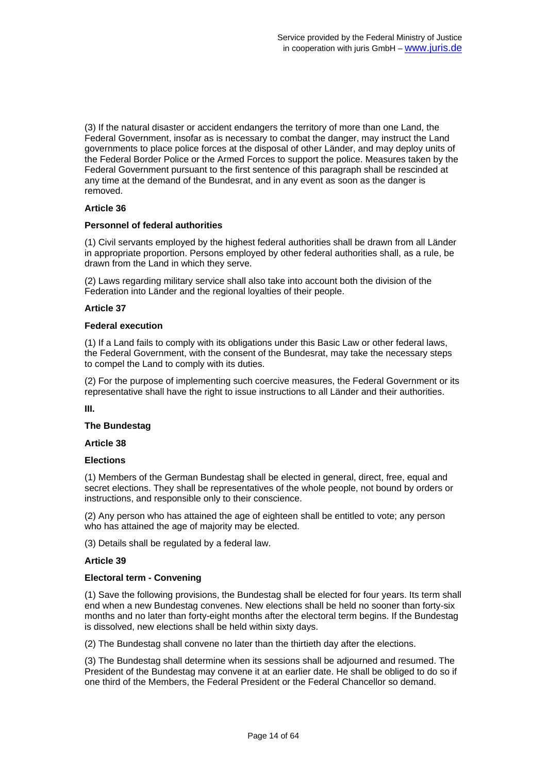(3) If the natural disaster or accident endangers the territory of more than one Land, the Federal Government, insofar as is necessary to combat the danger, may instruct the Land governments to place police forces at the disposal of other Länder, and may deploy units of the Federal Border Police or the Armed Forces to support the police. Measures taken by the Federal Government pursuant to the first sentence of this paragraph shall be rescinded at any time at the demand of the Bundesrat, and in any event as soon as the danger is removed.

### **Article 36**

### **Personnel of federal authorities**

(1) Civil servants employed by the highest federal authorities shall be drawn from all Länder in appropriate proportion. Persons employed by other federal authorities shall, as a rule, be drawn from the Land in which they serve.

(2) Laws regarding military service shall also take into account both the division of the Federation into Länder and the regional loyalties of their people.

### **Article 37**

## **Federal execution**

(1) If a Land fails to comply with its obligations under this Basic Law or other federal laws, the Federal Government, with the consent of the Bundesrat, may take the necessary steps to compel the Land to comply with its duties.

(2) For the purpose of implementing such coercive measures, the Federal Government or its representative shall have the right to issue instructions to all Länder and their authorities.

**III.** 

### **The Bundestag**

#### **Article 38**

### **Elections**

(1) Members of the German Bundestag shall be elected in general, direct, free, equal and secret elections. They shall be representatives of the whole people, not bound by orders or instructions, and responsible only to their conscience.

(2) Any person who has attained the age of eighteen shall be entitled to vote; any person who has attained the age of majority may be elected.

(3) Details shall be regulated by a federal law.

### **Article 39**

#### **Electoral term - Convening**

(1) Save the following provisions, the Bundestag shall be elected for four years. Its term shall end when a new Bundestag convenes. New elections shall be held no sooner than forty-six months and no later than forty-eight months after the electoral term begins. If the Bundestag is dissolved, new elections shall be held within sixty days.

(2) The Bundestag shall convene no later than the thirtieth day after the elections.

(3) The Bundestag shall determine when its sessions shall be adjourned and resumed. The President of the Bundestag may convene it at an earlier date. He shall be obliged to do so if one third of the Members, the Federal President or the Federal Chancellor so demand.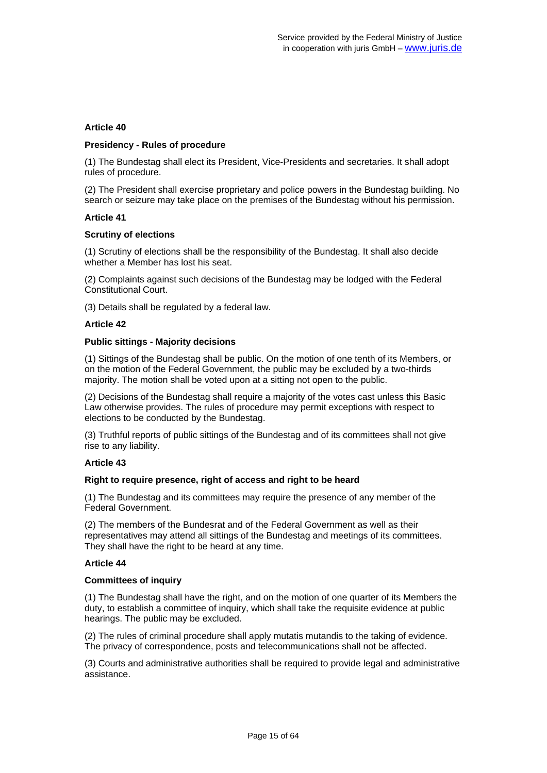### **Presidency - Rules of procedure**

(1) The Bundestag shall elect its President, Vice-Presidents and secretaries. It shall adopt rules of procedure.

(2) The President shall exercise proprietary and police powers in the Bundestag building. No search or seizure may take place on the premises of the Bundestag without his permission.

### **Article 41**

### **Scrutiny of elections**

(1) Scrutiny of elections shall be the responsibility of the Bundestag. It shall also decide whether a Member has lost his seat.

(2) Complaints against such decisions of the Bundestag may be lodged with the Federal Constitutional Court.

(3) Details shall be regulated by a federal law.

### **Article 42**

### **Public sittings - Majority decisions**

(1) Sittings of the Bundestag shall be public. On the motion of one tenth of its Members, or on the motion of the Federal Government, the public may be excluded by a two-thirds majority. The motion shall be voted upon at a sitting not open to the public.

(2) Decisions of the Bundestag shall require a majority of the votes cast unless this Basic Law otherwise provides. The rules of procedure may permit exceptions with respect to elections to be conducted by the Bundestag.

(3) Truthful reports of public sittings of the Bundestag and of its committees shall not give rise to any liability.

## **Article 43**

### **Right to require presence, right of access and right to be heard**

(1) The Bundestag and its committees may require the presence of any member of the Federal Government.

(2) The members of the Bundesrat and of the Federal Government as well as their representatives may attend all sittings of the Bundestag and meetings of its committees. They shall have the right to be heard at any time.

### **Article 44**

### **Committees of inquiry**

(1) The Bundestag shall have the right, and on the motion of one quarter of its Members the duty, to establish a committee of inquiry, which shall take the requisite evidence at public hearings. The public may be excluded.

(2) The rules of criminal procedure shall apply mutatis mutandis to the taking of evidence. The privacy of correspondence, posts and telecommunications shall not be affected.

(3) Courts and administrative authorities shall be required to provide legal and administrative assistance.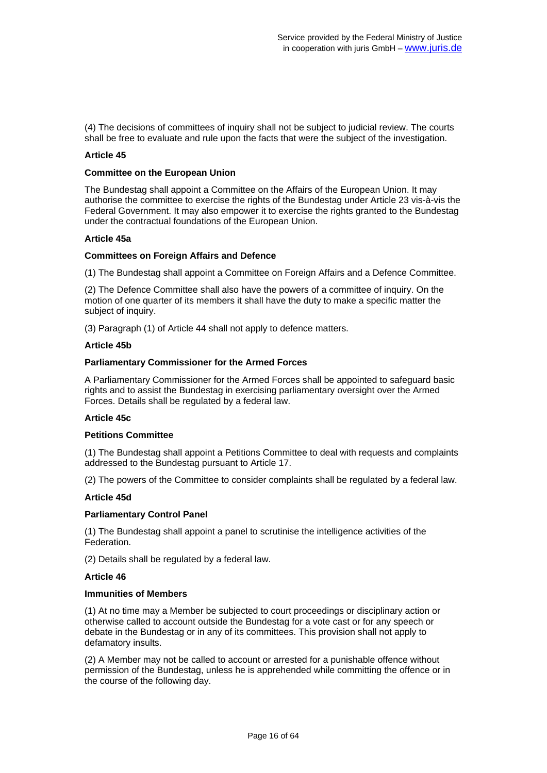(4) The decisions of committees of inquiry shall not be subject to judicial review. The courts shall be free to evaluate and rule upon the facts that were the subject of the investigation.

### **Article 45**

### **Committee on the European Union**

The Bundestag shall appoint a Committee on the Affairs of the European Union. It may authorise the committee to exercise the rights of the Bundestag under Article 23 vis-à-vis the Federal Government. It may also empower it to exercise the rights granted to the Bundestag under the contractual foundations of the European Union.

### **Article 45a**

#### **Committees on Foreign Affairs and Defence**

(1) The Bundestag shall appoint a Committee on Foreign Affairs and a Defence Committee.

(2) The Defence Committee shall also have the powers of a committee of inquiry. On the motion of one quarter of its members it shall have the duty to make a specific matter the subject of inquiry.

(3) Paragraph (1) of Article 44 shall not apply to defence matters.

#### **Article 45b**

#### **Parliamentary Commissioner for the Armed Forces**

A Parliamentary Commissioner for the Armed Forces shall be appointed to safeguard basic rights and to assist the Bundestag in exercising parliamentary oversight over the Armed Forces. Details shall be regulated by a federal law.

#### **Article 45c**

#### **Petitions Committee**

(1) The Bundestag shall appoint a Petitions Committee to deal with requests and complaints addressed to the Bundestag pursuant to Article 17.

(2) The powers of the Committee to consider complaints shall be regulated by a federal law.

#### **Article 45d**

#### **Parliamentary Control Panel**

(1) The Bundestag shall appoint a panel to scrutinise the intelligence activities of the Federation.

(2) Details shall be regulated by a federal law.

### **Article 46**

#### **Immunities of Members**

(1) At no time may a Member be subjected to court proceedings or disciplinary action or otherwise called to account outside the Bundestag for a vote cast or for any speech or debate in the Bundestag or in any of its committees. This provision shall not apply to defamatory insults.

(2) A Member may not be called to account or arrested for a punishable offence without permission of the Bundestag, unless he is apprehended while committing the offence or in the course of the following day.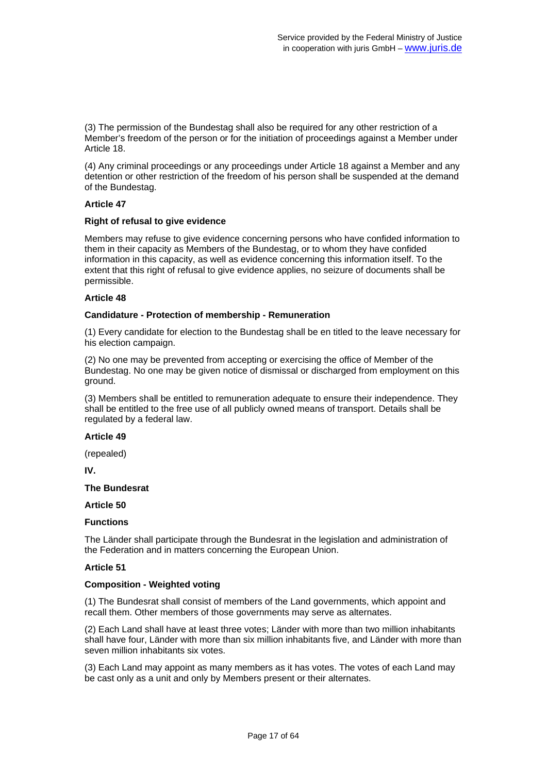(3) The permission of the Bundestag shall also be required for any other restriction of a Member's freedom of the person or for the initiation of proceedings against a Member under Article 18.

(4) Any criminal proceedings or any proceedings under Article 18 against a Member and any detention or other restriction of the freedom of his person shall be suspended at the demand of the Bundestag.

### **Article 47**

### **Right of refusal to give evidence**

Members may refuse to give evidence concerning persons who have confided information to them in their capacity as Members of the Bundestag, or to whom they have confided information in this capacity, as well as evidence concerning this information itself. To the extent that this right of refusal to give evidence applies, no seizure of documents shall be permissible.

### **Article 48**

### **Candidature - Protection of membership - Remuneration**

(1) Every candidate for election to the Bundestag shall be en titled to the leave necessary for his election campaign.

(2) No one may be prevented from accepting or exercising the office of Member of the Bundestag. No one may be given notice of dismissal or discharged from employment on this ground.

(3) Members shall be entitled to remuneration adequate to ensure their independence. They shall be entitled to the free use of all publicly owned means of transport. Details shall be regulated by a federal law.

## **Article 49**

(repealed)

**IV.** 

## **The Bundesrat**

### **Article 50**

### **Functions**

The Länder shall participate through the Bundesrat in the legislation and administration of the Federation and in matters concerning the European Union.

### **Article 51**

### **Composition - Weighted voting**

(1) The Bundesrat shall consist of members of the Land governments, which appoint and recall them. Other members of those governments may serve as alternates.

(2) Each Land shall have at least three votes; Länder with more than two million inhabitants shall have four, Länder with more than six million inhabitants five, and Länder with more than seven million inhabitants six votes.

(3) Each Land may appoint as many members as it has votes. The votes of each Land may be cast only as a unit and only by Members present or their alternates.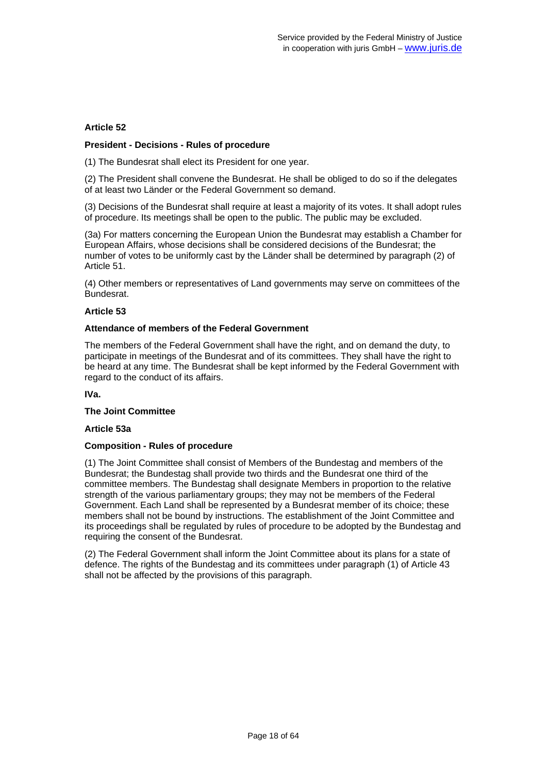### **President - Decisions - Rules of procedure**

(1) The Bundesrat shall elect its President for one year.

(2) The President shall convene the Bundesrat. He shall be obliged to do so if the delegates of at least two Länder or the Federal Government so demand.

(3) Decisions of the Bundesrat shall require at least a majority of its votes. It shall adopt rules of procedure. Its meetings shall be open to the public. The public may be excluded.

(3a) For matters concerning the European Union the Bundesrat may establish a Chamber for European Affairs, whose decisions shall be considered decisions of the Bundesrat; the number of votes to be uniformly cast by the Länder shall be determined by paragraph (2) of Article 51.

(4) Other members or representatives of Land governments may serve on committees of the Bundesrat.

### **Article 53**

### **Attendance of members of the Federal Government**

The members of the Federal Government shall have the right, and on demand the duty, to participate in meetings of the Bundesrat and of its committees. They shall have the right to be heard at any time. The Bundesrat shall be kept informed by the Federal Government with regard to the conduct of its affairs.

**IVa.** 

### **The Joint Committee**

### **Article 53a**

### **Composition - Rules of procedure**

(1) The Joint Committee shall consist of Members of the Bundestag and members of the Bundesrat; the Bundestag shall provide two thirds and the Bundesrat one third of the committee members. The Bundestag shall designate Members in proportion to the relative strength of the various parliamentary groups; they may not be members of the Federal Government. Each Land shall be represented by a Bundesrat member of its choice; these members shall not be bound by instructions. The establishment of the Joint Committee and its proceedings shall be regulated by rules of procedure to be adopted by the Bundestag and requiring the consent of the Bundesrat.

(2) The Federal Government shall inform the Joint Committee about its plans for a state of defence. The rights of the Bundestag and its committees under paragraph (1) of Article 43 shall not be affected by the provisions of this paragraph.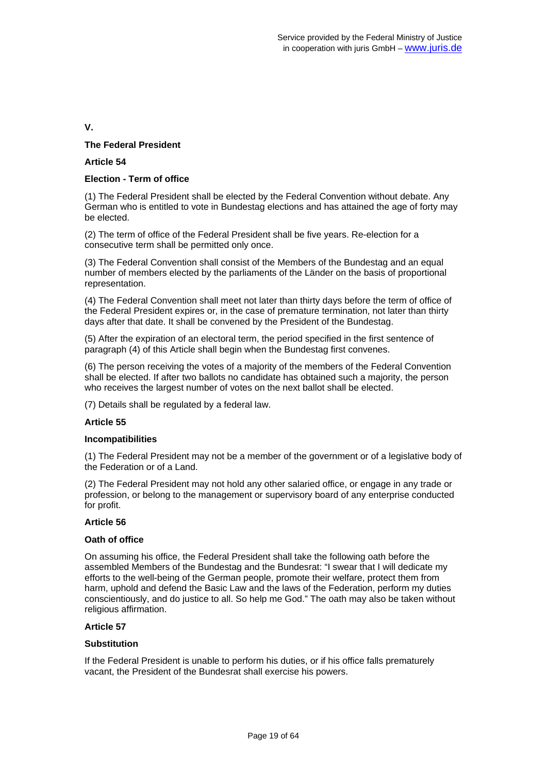**V.** 

## **The Federal President**

### **Article 54**

### **Election - Term of office**

(1) The Federal President shall be elected by the Federal Convention without debate. Any German who is entitled to vote in Bundestag elections and has attained the age of forty may be elected.

(2) The term of office of the Federal President shall be five years. Re-election for a consecutive term shall be permitted only once.

(3) The Federal Convention shall consist of the Members of the Bundestag and an equal number of members elected by the parliaments of the Länder on the basis of proportional representation.

(4) The Federal Convention shall meet not later than thirty days before the term of office of the Federal President expires or, in the case of premature termination, not later than thirty days after that date. It shall be convened by the President of the Bundestag.

(5) After the expiration of an electoral term, the period specified in the first sentence of paragraph (4) of this Article shall begin when the Bundestag first convenes.

(6) The person receiving the votes of a majority of the members of the Federal Convention shall be elected. If after two ballots no candidate has obtained such a majority, the person who receives the largest number of votes on the next ballot shall be elected.

(7) Details shall be regulated by a federal law.

## **Article 55**

### **Incompatibilities**

(1) The Federal President may not be a member of the government or of a legislative body of the Federation or of a Land.

(2) The Federal President may not hold any other salaried office, or engage in any trade or profession, or belong to the management or supervisory board of any enterprise conducted for profit.

### **Article 56**

### **Oath of office**

On assuming his office, the Federal President shall take the following oath before the assembled Members of the Bundestag and the Bundesrat: "I swear that I will dedicate my efforts to the well-being of the German people, promote their welfare, protect them from harm, uphold and defend the Basic Law and the laws of the Federation, perform my duties conscientiously, and do justice to all. So help me God." The oath may also be taken without religious affirmation.

### **Article 57**

### **Substitution**

If the Federal President is unable to perform his duties, or if his office falls prematurely vacant, the President of the Bundesrat shall exercise his powers.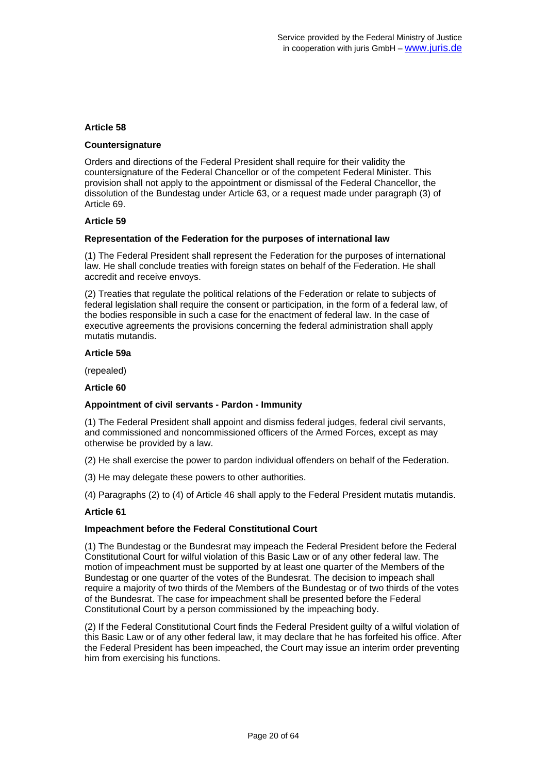### **Countersignature**

Orders and directions of the Federal President shall require for their validity the countersignature of the Federal Chancellor or of the competent Federal Minister. This provision shall not apply to the appointment or dismissal of the Federal Chancellor, the dissolution of the Bundestag under Article 63, or a request made under paragraph (3) of Article 69.

### **Article 59**

### **Representation of the Federation for the purposes of international law**

(1) The Federal President shall represent the Federation for the purposes of international law. He shall conclude treaties with foreign states on behalf of the Federation. He shall accredit and receive envoys.

(2) Treaties that regulate the political relations of the Federation or relate to subjects of federal legislation shall require the consent or participation, in the form of a federal law, of the bodies responsible in such a case for the enactment of federal law. In the case of executive agreements the provisions concerning the federal administration shall apply mutatis mutandis.

### **Article 59a**

(repealed)

### **Article 60**

### **Appointment of civil servants - Pardon - Immunity**

(1) The Federal President shall appoint and dismiss federal judges, federal civil servants, and commissioned and noncommissioned officers of the Armed Forces, except as may otherwise be provided by a law.

(2) He shall exercise the power to pardon individual offenders on behalf of the Federation.

(3) He may delegate these powers to other authorities.

(4) Paragraphs (2) to (4) of Article 46 shall apply to the Federal President mutatis mutandis.

### **Article 61**

### **Impeachment before the Federal Constitutional Court**

(1) The Bundestag or the Bundesrat may impeach the Federal President before the Federal Constitutional Court for wilful violation of this Basic Law or of any other federal law. The motion of impeachment must be supported by at least one quarter of the Members of the Bundestag or one quarter of the votes of the Bundesrat. The decision to impeach shall require a majority of two thirds of the Members of the Bundestag or of two thirds of the votes of the Bundesrat. The case for impeachment shall be presented before the Federal Constitutional Court by a person commissioned by the impeaching body.

(2) If the Federal Constitutional Court finds the Federal President guilty of a wilful violation of this Basic Law or of any other federal law, it may declare that he has forfeited his office. After the Federal President has been impeached, the Court may issue an interim order preventing him from exercising his functions.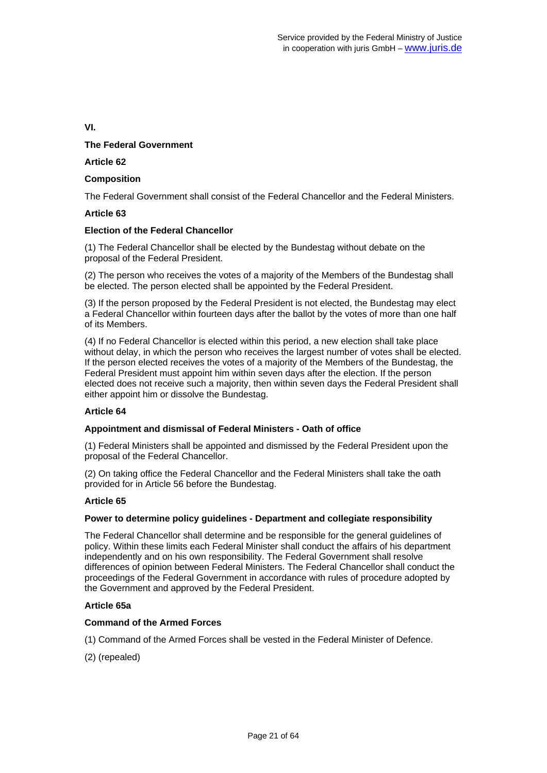**VI.** 

### **The Federal Government**

### **Article 62**

### **Composition**

The Federal Government shall consist of the Federal Chancellor and the Federal Ministers.

### **Article 63**

## **Election of the Federal Chancellor**

(1) The Federal Chancellor shall be elected by the Bundestag without debate on the proposal of the Federal President.

(2) The person who receives the votes of a majority of the Members of the Bundestag shall be elected. The person elected shall be appointed by the Federal President.

(3) If the person proposed by the Federal President is not elected, the Bundestag may elect a Federal Chancellor within fourteen days after the ballot by the votes of more than one half of its Members.

(4) If no Federal Chancellor is elected within this period, a new election shall take place without delay, in which the person who receives the largest number of votes shall be elected. If the person elected receives the votes of a majority of the Members of the Bundestag, the Federal President must appoint him within seven days after the election. If the person elected does not receive such a majority, then within seven days the Federal President shall either appoint him or dissolve the Bundestag.

## **Article 64**

### **Appointment and dismissal of Federal Ministers - Oath of office**

(1) Federal Ministers shall be appointed and dismissed by the Federal President upon the proposal of the Federal Chancellor.

(2) On taking office the Federal Chancellor and the Federal Ministers shall take the oath provided for in Article 56 before the Bundestag.

### **Article 65**

### **Power to determine policy guidelines - Department and collegiate responsibility**

The Federal Chancellor shall determine and be responsible for the general guidelines of policy. Within these limits each Federal Minister shall conduct the affairs of his department independently and on his own responsibility. The Federal Government shall resolve differences of opinion between Federal Ministers. The Federal Chancellor shall conduct the proceedings of the Federal Government in accordance with rules of procedure adopted by the Government and approved by the Federal President.

### **Article 65a**

## **Command of the Armed Forces**

(1) Command of the Armed Forces shall be vested in the Federal Minister of Defence.

(2) (repealed)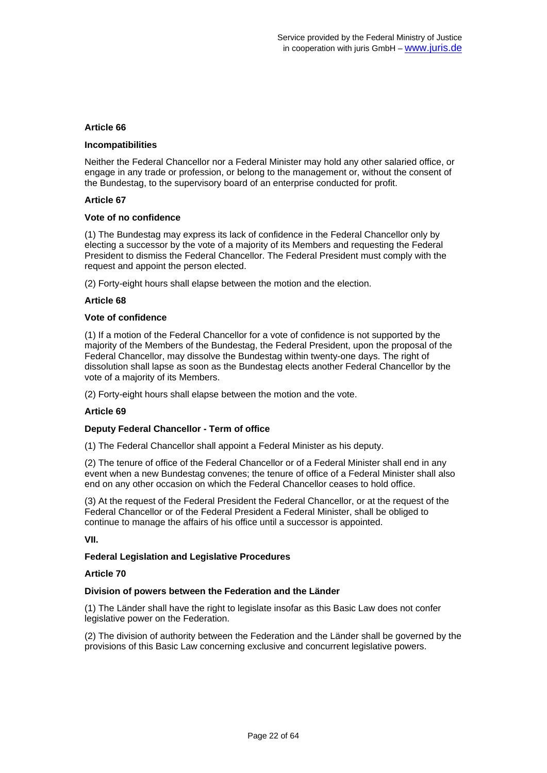### **Incompatibilities**

Neither the Federal Chancellor nor a Federal Minister may hold any other salaried office, or engage in any trade or profession, or belong to the management or, without the consent of the Bundestag, to the supervisory board of an enterprise conducted for profit.

### **Article 67**

### **Vote of no confidence**

(1) The Bundestag may express its lack of confidence in the Federal Chancellor only by electing a successor by the vote of a majority of its Members and requesting the Federal President to dismiss the Federal Chancellor. The Federal President must comply with the request and appoint the person elected.

(2) Forty-eight hours shall elapse between the motion and the election.

### **Article 68**

## **Vote of confidence**

(1) If a motion of the Federal Chancellor for a vote of confidence is not supported by the majority of the Members of the Bundestag, the Federal President, upon the proposal of the Federal Chancellor, may dissolve the Bundestag within twenty-one days. The right of dissolution shall lapse as soon as the Bundestag elects another Federal Chancellor by the vote of a majority of its Members.

(2) Forty-eight hours shall elapse between the motion and the vote.

## **Article 69**

## **Deputy Federal Chancellor - Term of office**

(1) The Federal Chancellor shall appoint a Federal Minister as his deputy.

(2) The tenure of office of the Federal Chancellor or of a Federal Minister shall end in any event when a new Bundestag convenes; the tenure of office of a Federal Minister shall also end on any other occasion on which the Federal Chancellor ceases to hold office.

(3) At the request of the Federal President the Federal Chancellor, or at the request of the Federal Chancellor or of the Federal President a Federal Minister, shall be obliged to continue to manage the affairs of his office until a successor is appointed.

**VII.** 

### **Federal Legislation and Legislative Procedures**

### **Article 70**

### **Division of powers between the Federation and the Länder**

(1) The Länder shall have the right to legislate insofar as this Basic Law does not confer legislative power on the Federation.

(2) The division of authority between the Federation and the Länder shall be governed by the provisions of this Basic Law concerning exclusive and concurrent legislative powers.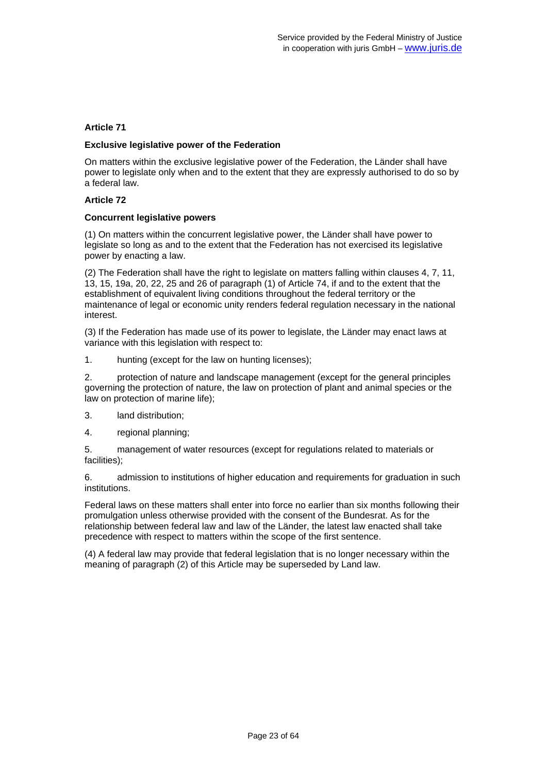### **Exclusive legislative power of the Federation**

On matters within the exclusive legislative power of the Federation, the Länder shall have power to legislate only when and to the extent that they are expressly authorised to do so by a federal law.

### **Article 72**

### **Concurrent legislative powers**

(1) On matters within the concurrent legislative power, the Länder shall have power to legislate so long as and to the extent that the Federation has not exercised its legislative power by enacting a law.

(2) The Federation shall have the right to legislate on matters falling within clauses 4, 7, 11, 13, 15, 19a, 20, 22, 25 and 26 of paragraph (1) of Article 74, if and to the extent that the establishment of equivalent living conditions throughout the federal territory or the maintenance of legal or economic unity renders federal regulation necessary in the national interest.

(3) If the Federation has made use of its power to legislate, the Länder may enact laws at variance with this legislation with respect to:

1. hunting (except for the law on hunting licenses);

2. protection of nature and landscape management (except for the general principles governing the protection of nature, the law on protection of plant and animal species or the law on protection of marine life);

- 3. land distribution;
- 4. regional planning;

5. management of water resources (except for regulations related to materials or facilities);

6. admission to institutions of higher education and requirements for graduation in such institutions.

Federal laws on these matters shall enter into force no earlier than six months following their promulgation unless otherwise provided with the consent of the Bundesrat. As for the relationship between federal law and law of the Länder, the latest law enacted shall take precedence with respect to matters within the scope of the first sentence.

(4) A federal law may provide that federal legislation that is no longer necessary within the meaning of paragraph (2) of this Article may be superseded by Land law.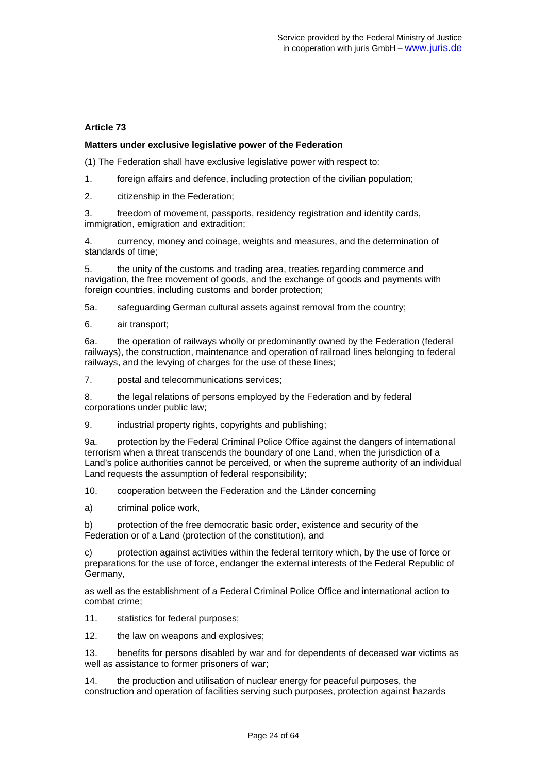### **Matters under exclusive legislative power of the Federation**

(1) The Federation shall have exclusive legislative power with respect to:

- 1. foreign affairs and defence, including protection of the civilian population;
- 2. citizenship in the Federation;

3. freedom of movement, passports, residency registration and identity cards, immigration, emigration and extradition;

4. currency, money and coinage, weights and measures, and the determination of standards of time;

5. the unity of the customs and trading area, treaties regarding commerce and navigation, the free movement of goods, and the exchange of goods and payments with foreign countries, including customs and border protection;

5a. safeguarding German cultural assets against removal from the country;

6. air transport;

6a. the operation of railways wholly or predominantly owned by the Federation (federal railways), the construction, maintenance and operation of railroad lines belonging to federal railways, and the levying of charges for the use of these lines;

7. postal and telecommunications services;

8. the legal relations of persons employed by the Federation and by federal corporations under public law;

9. industrial property rights, copyrights and publishing;

9a. protection by the Federal Criminal Police Office against the dangers of international terrorism when a threat transcends the boundary of one Land, when the jurisdiction of a Land's police authorities cannot be perceived, or when the supreme authority of an individual Land requests the assumption of federal responsibility;

10. cooperation between the Federation and the Länder concerning

a) criminal police work,

b) protection of the free democratic basic order, existence and security of the Federation or of a Land (protection of the constitution), and

c) protection against activities within the federal territory which, by the use of force or preparations for the use of force, endanger the external interests of the Federal Republic of Germany,

as well as the establishment of a Federal Criminal Police Office and international action to combat crime;

11. statistics for federal purposes;

12. the law on weapons and explosives;

13. benefits for persons disabled by war and for dependents of deceased war victims as well as assistance to former prisoners of war;

14. the production and utilisation of nuclear energy for peaceful purposes, the construction and operation of facilities serving such purposes, protection against hazards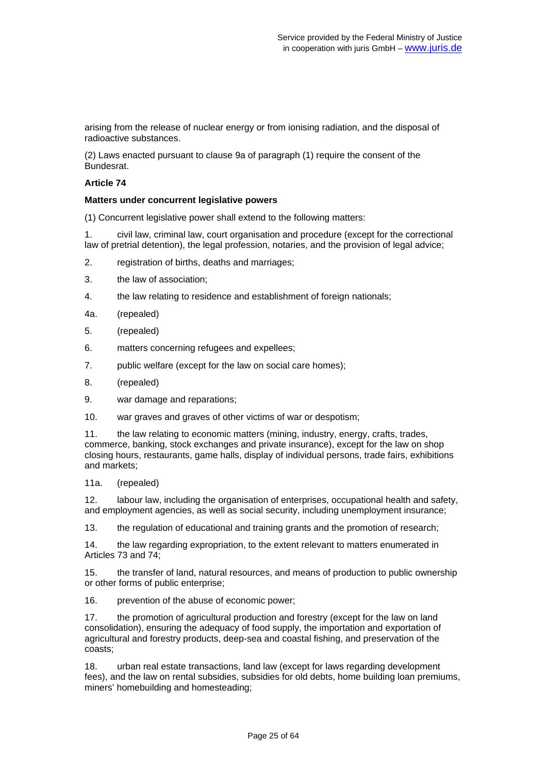arising from the release of nuclear energy or from ionising radiation, and the disposal of radioactive substances.

(2) Laws enacted pursuant to clause 9a of paragraph (1) require the consent of the Bundesrat.

### **Article 74**

### **Matters under concurrent legislative powers**

(1) Concurrent legislative power shall extend to the following matters:

1. civil law, criminal law, court organisation and procedure (except for the correctional law of pretrial detention), the legal profession, notaries, and the provision of legal advice;

- 2. registration of births, deaths and marriages;
- 3. the law of association;
- 4. the law relating to residence and establishment of foreign nationals;
- 4a. (repealed)
- 5. (repealed)
- 6. matters concerning refugees and expellees;
- 7. public welfare (except for the law on social care homes);
- 8. (repealed)
- 9. war damage and reparations;
- 10. war graves and graves of other victims of war or despotism;

11. the law relating to economic matters (mining, industry, energy, crafts, trades, commerce, banking, stock exchanges and private insurance), except for the law on shop closing hours, restaurants, game halls, display of individual persons, trade fairs, exhibitions and markets;

11a. (repealed)

12. labour law, including the organisation of enterprises, occupational health and safety, and employment agencies, as well as social security, including unemployment insurance;

13. the regulation of educational and training grants and the promotion of research;

14. the law regarding expropriation, to the extent relevant to matters enumerated in Articles 73 and 74;

15. the transfer of land, natural resources, and means of production to public ownership or other forms of public enterprise;

16. prevention of the abuse of economic power;

17. the promotion of agricultural production and forestry (except for the law on land consolidation), ensuring the adequacy of food supply, the importation and exportation of agricultural and forestry products, deep-sea and coastal fishing, and preservation of the coasts;

18. urban real estate transactions, land law (except for laws regarding development fees), and the law on rental subsidies, subsidies for old debts, home building loan premiums, miners' homebuilding and homesteading;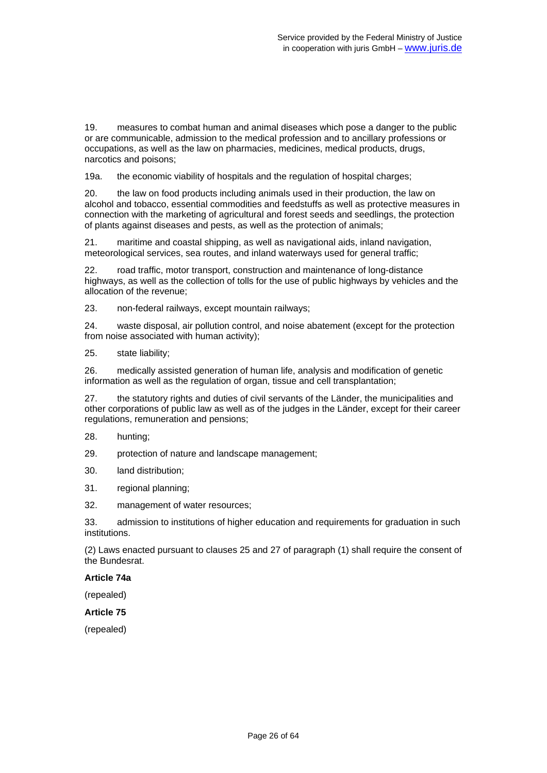19. measures to combat human and animal diseases which pose a danger to the public or are communicable, admission to the medical profession and to ancillary professions or occupations, as well as the law on pharmacies, medicines, medical products, drugs, narcotics and poisons;

19a. the economic viability of hospitals and the regulation of hospital charges;

20. the law on food products including animals used in their production, the law on alcohol and tobacco, essential commodities and feedstuffs as well as protective measures in connection with the marketing of agricultural and forest seeds and seedlings, the protection of plants against diseases and pests, as well as the protection of animals;

21. maritime and coastal shipping, as well as navigational aids, inland navigation, meteorological services, sea routes, and inland waterways used for general traffic;

22. road traffic, motor transport, construction and maintenance of long-distance highways, as well as the collection of tolls for the use of public highways by vehicles and the allocation of the revenue;

23. non-federal railways, except mountain railways;

24. waste disposal, air pollution control, and noise abatement (except for the protection from noise associated with human activity);

25. state liability;

26. medically assisted generation of human life, analysis and modification of genetic information as well as the regulation of organ, tissue and cell transplantation;

27. the statutory rights and duties of civil servants of the Länder, the municipalities and other corporations of public law as well as of the judges in the Länder, except for their career regulations, remuneration and pensions;

- 28. hunting;
- 29. protection of nature and landscape management;
- 30. land distribution;
- 31. regional planning;
- 32. management of water resources;

33. admission to institutions of higher education and requirements for graduation in such institutions.

(2) Laws enacted pursuant to clauses 25 and 27 of paragraph (1) shall require the consent of the Bundesrat.

#### **Article 74a**

(repealed)

#### **Article 75**

(repealed)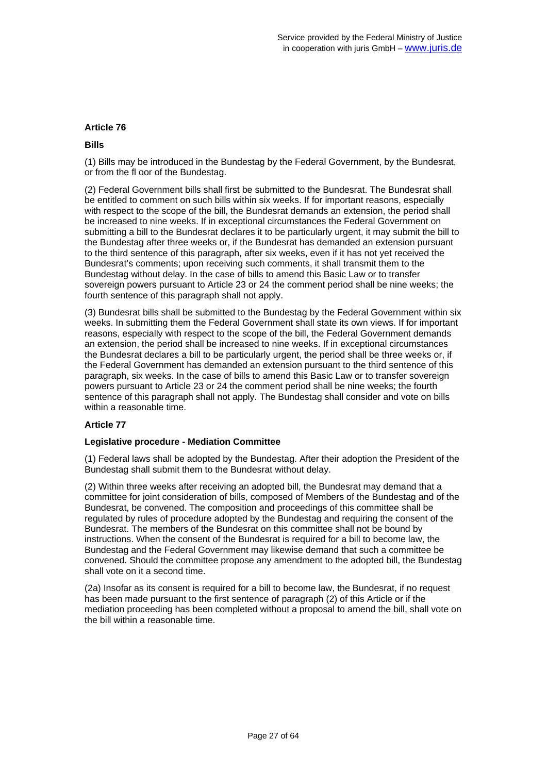### **Bills**

(1) Bills may be introduced in the Bundestag by the Federal Government, by the Bundesrat, or from the fl oor of the Bundestag.

(2) Federal Government bills shall first be submitted to the Bundesrat. The Bundesrat shall be entitled to comment on such bills within six weeks. If for important reasons, especially with respect to the scope of the bill, the Bundesrat demands an extension, the period shall be increased to nine weeks. If in exceptional circumstances the Federal Government on submitting a bill to the Bundesrat declares it to be particularly urgent, it may submit the bill to the Bundestag after three weeks or, if the Bundesrat has demanded an extension pursuant to the third sentence of this paragraph, after six weeks, even if it has not yet received the Bundesrat's comments; upon receiving such comments, it shall transmit them to the Bundestag without delay. In the case of bills to amend this Basic Law or to transfer sovereign powers pursuant to Article 23 or 24 the comment period shall be nine weeks; the fourth sentence of this paragraph shall not apply.

(3) Bundesrat bills shall be submitted to the Bundestag by the Federal Government within six weeks. In submitting them the Federal Government shall state its own views. If for important reasons, especially with respect to the scope of the bill, the Federal Government demands an extension, the period shall be increased to nine weeks. If in exceptional circumstances the Bundesrat declares a bill to be particularly urgent, the period shall be three weeks or, if the Federal Government has demanded an extension pursuant to the third sentence of this paragraph, six weeks. In the case of bills to amend this Basic Law or to transfer sovereign powers pursuant to Article 23 or 24 the comment period shall be nine weeks; the fourth sentence of this paragraph shall not apply. The Bundestag shall consider and vote on bills within a reasonable time.

## **Article 77**

## **Legislative procedure - Mediation Committee**

(1) Federal laws shall be adopted by the Bundestag. After their adoption the President of the Bundestag shall submit them to the Bundesrat without delay.

(2) Within three weeks after receiving an adopted bill, the Bundesrat may demand that a committee for joint consideration of bills, composed of Members of the Bundestag and of the Bundesrat, be convened. The composition and proceedings of this committee shall be regulated by rules of procedure adopted by the Bundestag and requiring the consent of the Bundesrat. The members of the Bundesrat on this committee shall not be bound by instructions. When the consent of the Bundesrat is required for a bill to become law, the Bundestag and the Federal Government may likewise demand that such a committee be convened. Should the committee propose any amendment to the adopted bill, the Bundestag shall vote on it a second time.

(2a) Insofar as its consent is required for a bill to become law, the Bundesrat, if no request has been made pursuant to the first sentence of paragraph (2) of this Article or if the mediation proceeding has been completed without a proposal to amend the bill, shall vote on the bill within a reasonable time.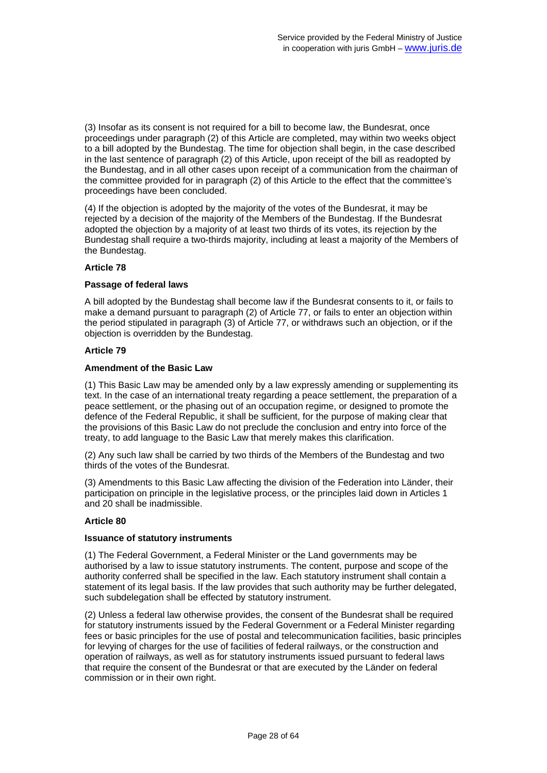(3) Insofar as its consent is not required for a bill to become law, the Bundesrat, once proceedings under paragraph (2) of this Article are completed, may within two weeks object to a bill adopted by the Bundestag. The time for objection shall begin, in the case described in the last sentence of paragraph (2) of this Article, upon receipt of the bill as readopted by the Bundestag, and in all other cases upon receipt of a communication from the chairman of the committee provided for in paragraph (2) of this Article to the effect that the committee's proceedings have been concluded.

(4) If the objection is adopted by the majority of the votes of the Bundesrat, it may be rejected by a decision of the majority of the Members of the Bundestag. If the Bundesrat adopted the objection by a majority of at least two thirds of its votes, its rejection by the Bundestag shall require a two-thirds majority, including at least a majority of the Members of the Bundestag.

### **Article 78**

### **Passage of federal laws**

A bill adopted by the Bundestag shall become law if the Bundesrat consents to it, or fails to make a demand pursuant to paragraph (2) of Article 77, or fails to enter an objection within the period stipulated in paragraph (3) of Article 77, or withdraws such an objection, or if the objection is overridden by the Bundestag.

### **Article 79**

#### **Amendment of the Basic Law**

(1) This Basic Law may be amended only by a law expressly amending or supplementing its text. In the case of an international treaty regarding a peace settlement, the preparation of a peace settlement, or the phasing out of an occupation regime, or designed to promote the defence of the Federal Republic, it shall be sufficient, for the purpose of making clear that the provisions of this Basic Law do not preclude the conclusion and entry into force of the treaty, to add language to the Basic Law that merely makes this clarification.

(2) Any such law shall be carried by two thirds of the Members of the Bundestag and two thirds of the votes of the Bundesrat.

(3) Amendments to this Basic Law affecting the division of the Federation into Länder, their participation on principle in the legislative process, or the principles laid down in Articles 1 and 20 shall be inadmissible.

### **Article 80**

#### **Issuance of statutory instruments**

(1) The Federal Government, a Federal Minister or the Land governments may be authorised by a law to issue statutory instruments. The content, purpose and scope of the authority conferred shall be specified in the law. Each statutory instrument shall contain a statement of its legal basis. If the law provides that such authority may be further delegated, such subdelegation shall be effected by statutory instrument.

(2) Unless a federal law otherwise provides, the consent of the Bundesrat shall be required for statutory instruments issued by the Federal Government or a Federal Minister regarding fees or basic principles for the use of postal and telecommunication facilities, basic principles for levying of charges for the use of facilities of federal railways, or the construction and operation of railways, as well as for statutory instruments issued pursuant to federal laws that require the consent of the Bundesrat or that are executed by the Länder on federal commission or in their own right.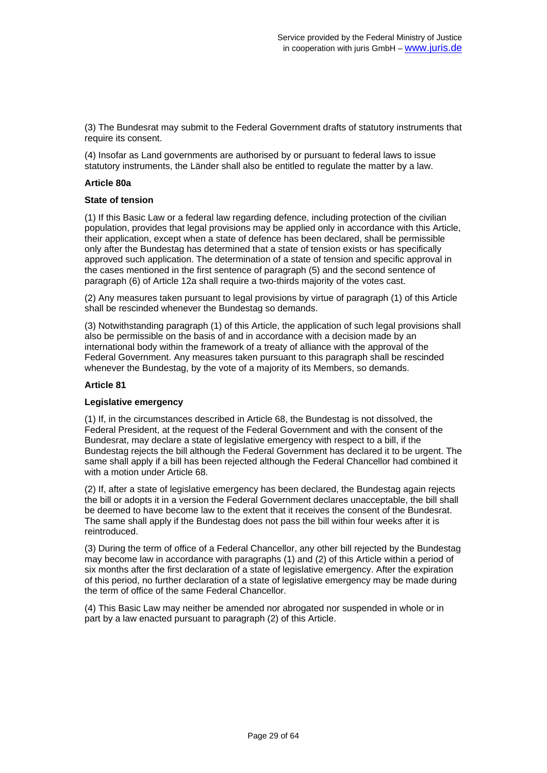(3) The Bundesrat may submit to the Federal Government drafts of statutory instruments that require its consent.

(4) Insofar as Land governments are authorised by or pursuant to federal laws to issue statutory instruments, the Länder shall also be entitled to regulate the matter by a law.

### **Article 80a**

### **State of tension**

(1) If this Basic Law or a federal law regarding defence, including protection of the civilian population, provides that legal provisions may be applied only in accordance with this Article, their application, except when a state of defence has been declared, shall be permissible only after the Bundestag has determined that a state of tension exists or has specifically approved such application. The determination of a state of tension and specific approval in the cases mentioned in the first sentence of paragraph (5) and the second sentence of paragraph (6) of Article 12a shall require a two-thirds majority of the votes cast.

(2) Any measures taken pursuant to legal provisions by virtue of paragraph (1) of this Article shall be rescinded whenever the Bundestag so demands.

(3) Notwithstanding paragraph (1) of this Article, the application of such legal provisions shall also be permissible on the basis of and in accordance with a decision made by an international body within the framework of a treaty of alliance with the approval of the Federal Government. Any measures taken pursuant to this paragraph shall be rescinded whenever the Bundestag, by the vote of a majority of its Members, so demands.

#### **Article 81**

### **Legislative emergency**

(1) If, in the circumstances described in Article 68, the Bundestag is not dissolved, the Federal President, at the request of the Federal Government and with the consent of the Bundesrat, may declare a state of legislative emergency with respect to a bill, if the Bundestag rejects the bill although the Federal Government has declared it to be urgent. The same shall apply if a bill has been rejected although the Federal Chancellor had combined it with a motion under Article 68.

(2) If, after a state of legislative emergency has been declared, the Bundestag again rejects the bill or adopts it in a version the Federal Government declares unacceptable, the bill shall be deemed to have become law to the extent that it receives the consent of the Bundesrat. The same shall apply if the Bundestag does not pass the bill within four weeks after it is reintroduced.

(3) During the term of office of a Federal Chancellor, any other bill rejected by the Bundestag may become law in accordance with paragraphs (1) and (2) of this Article within a period of six months after the first declaration of a state of legislative emergency. After the expiration of this period, no further declaration of a state of legislative emergency may be made during the term of office of the same Federal Chancellor.

(4) This Basic Law may neither be amended nor abrogated nor suspended in whole or in part by a law enacted pursuant to paragraph (2) of this Article.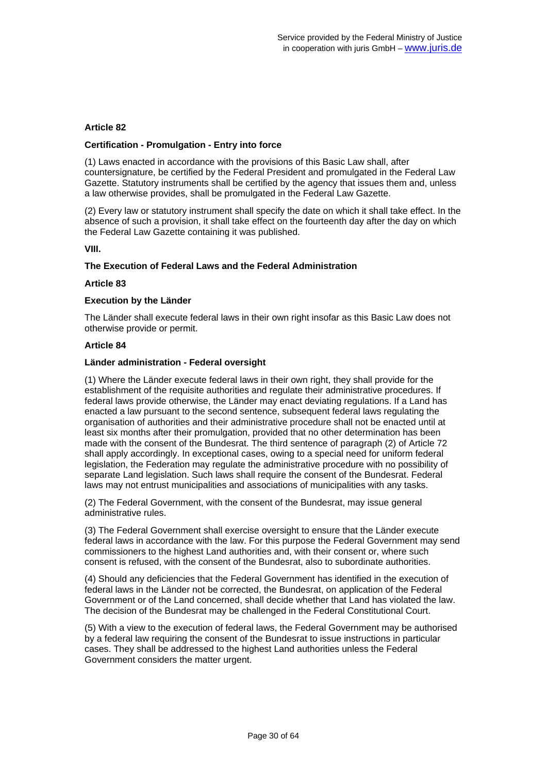### **Certification - Promulgation - Entry into force**

(1) Laws enacted in accordance with the provisions of this Basic Law shall, after countersignature, be certified by the Federal President and promulgated in the Federal Law Gazette. Statutory instruments shall be certified by the agency that issues them and, unless a law otherwise provides, shall be promulgated in the Federal Law Gazette.

(2) Every law or statutory instrument shall specify the date on which it shall take effect. In the absence of such a provision, it shall take effect on the fourteenth day after the day on which the Federal Law Gazette containing it was published.

### **VIII.**

### **The Execution of Federal Laws and the Federal Administration**

### **Article 83**

### **Execution by the Länder**

The Länder shall execute federal laws in their own right insofar as this Basic Law does not otherwise provide or permit.

### **Article 84**

### **Länder administration - Federal oversight**

(1) Where the Länder execute federal laws in their own right, they shall provide for the establishment of the requisite authorities and regulate their administrative procedures. If federal laws provide otherwise, the Länder may enact deviating regulations. If a Land has enacted a law pursuant to the second sentence, subsequent federal laws regulating the organisation of authorities and their administrative procedure shall not be enacted until at least six months after their promulgation, provided that no other determination has been made with the consent of the Bundesrat. The third sentence of paragraph (2) of Article 72 shall apply accordingly. In exceptional cases, owing to a special need for uniform federal legislation, the Federation may regulate the administrative procedure with no possibility of separate Land legislation. Such laws shall require the consent of the Bundesrat. Federal laws may not entrust municipalities and associations of municipalities with any tasks.

(2) The Federal Government, with the consent of the Bundesrat, may issue general administrative rules.

(3) The Federal Government shall exercise oversight to ensure that the Länder execute federal laws in accordance with the law. For this purpose the Federal Government may send commissioners to the highest Land authorities and, with their consent or, where such consent is refused, with the consent of the Bundesrat, also to subordinate authorities.

(4) Should any deficiencies that the Federal Government has identified in the execution of federal laws in the Länder not be corrected, the Bundesrat, on application of the Federal Government or of the Land concerned, shall decide whether that Land has violated the law. The decision of the Bundesrat may be challenged in the Federal Constitutional Court.

(5) With a view to the execution of federal laws, the Federal Government may be authorised by a federal law requiring the consent of the Bundesrat to issue instructions in particular cases. They shall be addressed to the highest Land authorities unless the Federal Government considers the matter urgent.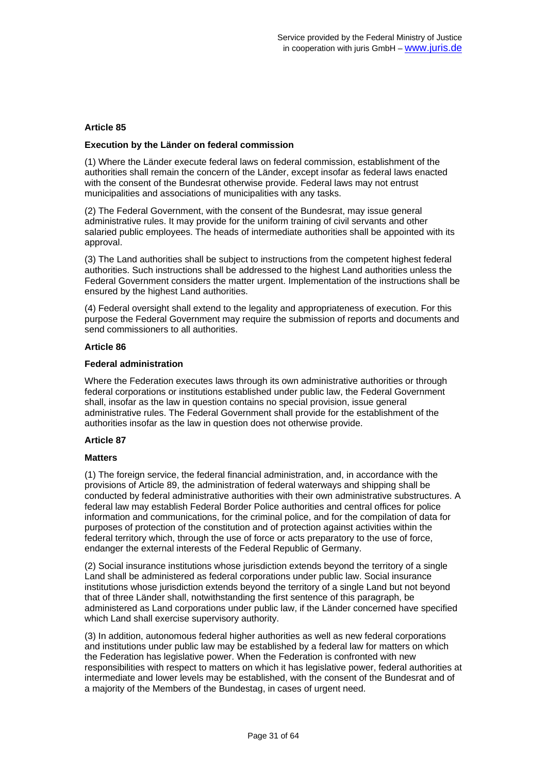### **Execution by the Länder on federal commission**

(1) Where the Länder execute federal laws on federal commission, establishment of the authorities shall remain the concern of the Länder, except insofar as federal laws enacted with the consent of the Bundesrat otherwise provide. Federal laws may not entrust municipalities and associations of municipalities with any tasks.

(2) The Federal Government, with the consent of the Bundesrat, may issue general administrative rules. It may provide for the uniform training of civil servants and other salaried public employees. The heads of intermediate authorities shall be appointed with its approval.

(3) The Land authorities shall be subject to instructions from the competent highest federal authorities. Such instructions shall be addressed to the highest Land authorities unless the Federal Government considers the matter urgent. Implementation of the instructions shall be ensured by the highest Land authorities.

(4) Federal oversight shall extend to the legality and appropriateness of execution. For this purpose the Federal Government may require the submission of reports and documents and send commissioners to all authorities.

### **Article 86**

### **Federal administration**

Where the Federation executes laws through its own administrative authorities or through federal corporations or institutions established under public law, the Federal Government shall, insofar as the law in question contains no special provision, issue general administrative rules. The Federal Government shall provide for the establishment of the authorities insofar as the law in question does not otherwise provide.

## **Article 87**

### **Matters**

(1) The foreign service, the federal financial administration, and, in accordance with the provisions of Article 89, the administration of federal waterways and shipping shall be conducted by federal administrative authorities with their own administrative substructures. A federal law may establish Federal Border Police authorities and central offices for police information and communications, for the criminal police, and for the compilation of data for purposes of protection of the constitution and of protection against activities within the federal territory which, through the use of force or acts preparatory to the use of force, endanger the external interests of the Federal Republic of Germany.

(2) Social insurance institutions whose jurisdiction extends beyond the territory of a single Land shall be administered as federal corporations under public law. Social insurance institutions whose jurisdiction extends beyond the territory of a single Land but not beyond that of three Länder shall, notwithstanding the first sentence of this paragraph, be administered as Land corporations under public law, if the Länder concerned have specified which Land shall exercise supervisory authority.

(3) In addition, autonomous federal higher authorities as well as new federal corporations and institutions under public law may be established by a federal law for matters on which the Federation has legislative power. When the Federation is confronted with new responsibilities with respect to matters on which it has legislative power, federal authorities at intermediate and lower levels may be established, with the consent of the Bundesrat and of a majority of the Members of the Bundestag, in cases of urgent need.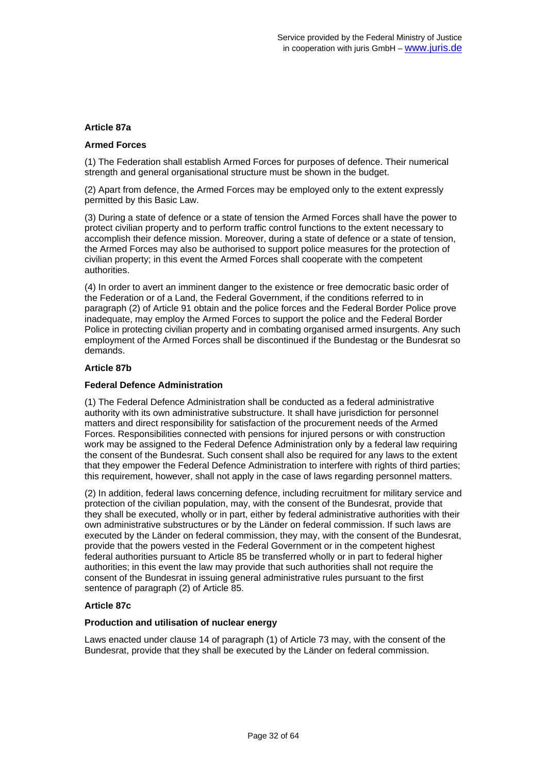## **Article 87a**

### **Armed Forces**

(1) The Federation shall establish Armed Forces for purposes of defence. Their numerical strength and general organisational structure must be shown in the budget.

(2) Apart from defence, the Armed Forces may be employed only to the extent expressly permitted by this Basic Law.

(3) During a state of defence or a state of tension the Armed Forces shall have the power to protect civilian property and to perform traffic control functions to the extent necessary to accomplish their defence mission. Moreover, during a state of defence or a state of tension, the Armed Forces may also be authorised to support police measures for the protection of civilian property; in this event the Armed Forces shall cooperate with the competent authorities.

(4) In order to avert an imminent danger to the existence or free democratic basic order of the Federation or of a Land, the Federal Government, if the conditions referred to in paragraph (2) of Article 91 obtain and the police forces and the Federal Border Police prove inadequate, may employ the Armed Forces to support the police and the Federal Border Police in protecting civilian property and in combating organised armed insurgents. Any such employment of the Armed Forces shall be discontinued if the Bundestag or the Bundesrat so demands.

## **Article 87b**

### **Federal Defence Administration**

(1) The Federal Defence Administration shall be conducted as a federal administrative authority with its own administrative substructure. It shall have jurisdiction for personnel matters and direct responsibility for satisfaction of the procurement needs of the Armed Forces. Responsibilities connected with pensions for injured persons or with construction work may be assigned to the Federal Defence Administration only by a federal law requiring the consent of the Bundesrat. Such consent shall also be required for any laws to the extent that they empower the Federal Defence Administration to interfere with rights of third parties; this requirement, however, shall not apply in the case of laws regarding personnel matters.

(2) In addition, federal laws concerning defence, including recruitment for military service and protection of the civilian population, may, with the consent of the Bundesrat, provide that they shall be executed, wholly or in part, either by federal administrative authorities with their own administrative substructures or by the Länder on federal commission. If such laws are executed by the Länder on federal commission, they may, with the consent of the Bundesrat, provide that the powers vested in the Federal Government or in the competent highest federal authorities pursuant to Article 85 be transferred wholly or in part to federal higher authorities; in this event the law may provide that such authorities shall not require the consent of the Bundesrat in issuing general administrative rules pursuant to the first sentence of paragraph (2) of Article 85.

## **Article 87c**

### **Production and utilisation of nuclear energy**

Laws enacted under clause 14 of paragraph (1) of Article 73 may, with the consent of the Bundesrat, provide that they shall be executed by the Länder on federal commission.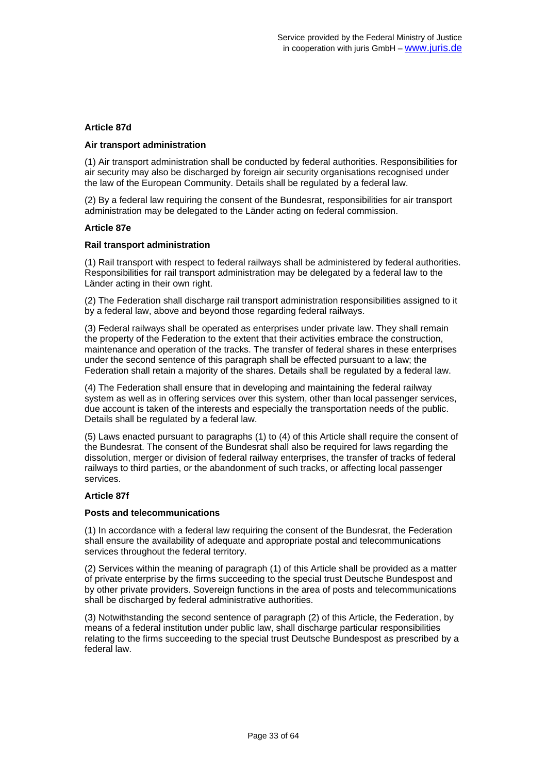### **Article 87d**

### **Air transport administration**

(1) Air transport administration shall be conducted by federal authorities. Responsibilities for air security may also be discharged by foreign air security organisations recognised under the law of the European Community. Details shall be regulated by a federal law.

(2) By a federal law requiring the consent of the Bundesrat, responsibilities for air transport administration may be delegated to the Länder acting on federal commission.

### **Article 87e**

### **Rail transport administration**

(1) Rail transport with respect to federal railways shall be administered by federal authorities. Responsibilities for rail transport administration may be delegated by a federal law to the Länder acting in their own right.

(2) The Federation shall discharge rail transport administration responsibilities assigned to it by a federal law, above and beyond those regarding federal railways.

(3) Federal railways shall be operated as enterprises under private law. They shall remain the property of the Federation to the extent that their activities embrace the construction, maintenance and operation of the tracks. The transfer of federal shares in these enterprises under the second sentence of this paragraph shall be effected pursuant to a law; the Federation shall retain a majority of the shares. Details shall be regulated by a federal law.

(4) The Federation shall ensure that in developing and maintaining the federal railway system as well as in offering services over this system, other than local passenger services, due account is taken of the interests and especially the transportation needs of the public. Details shall be regulated by a federal law.

(5) Laws enacted pursuant to paragraphs (1) to (4) of this Article shall require the consent of the Bundesrat. The consent of the Bundesrat shall also be required for laws regarding the dissolution, merger or division of federal railway enterprises, the transfer of tracks of federal railways to third parties, or the abandonment of such tracks, or affecting local passenger services.

### **Article 87f**

### **Posts and telecommunications**

(1) In accordance with a federal law requiring the consent of the Bundesrat, the Federation shall ensure the availability of adequate and appropriate postal and telecommunications services throughout the federal territory.

(2) Services within the meaning of paragraph (1) of this Article shall be provided as a matter of private enterprise by the firms succeeding to the special trust Deutsche Bundespost and by other private providers. Sovereign functions in the area of posts and telecommunications shall be discharged by federal administrative authorities.

(3) Notwithstanding the second sentence of paragraph (2) of this Article, the Federation, by means of a federal institution under public law, shall discharge particular responsibilities relating to the firms succeeding to the special trust Deutsche Bundespost as prescribed by a federal law.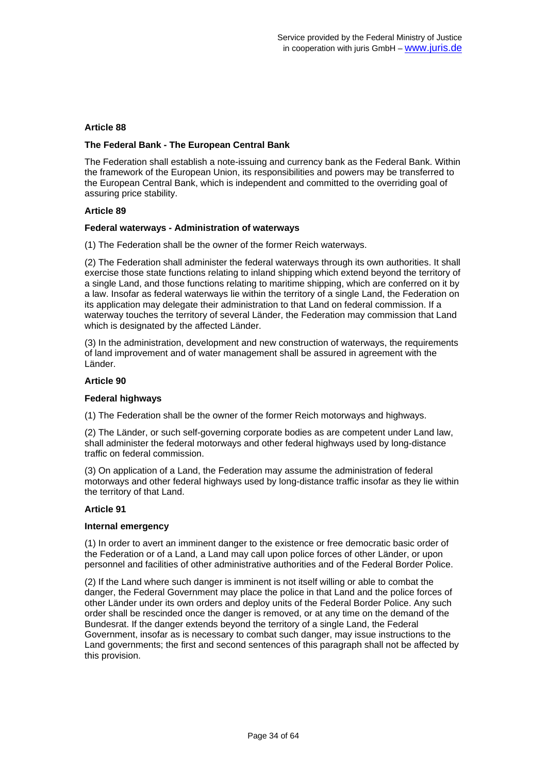### **The Federal Bank - The European Central Bank**

The Federation shall establish a note-issuing and currency bank as the Federal Bank. Within the framework of the European Union, its responsibilities and powers may be transferred to the European Central Bank, which is independent and committed to the overriding goal of assuring price stability.

### **Article 89**

### **Federal waterways - Administration of waterways**

(1) The Federation shall be the owner of the former Reich waterways.

(2) The Federation shall administer the federal waterways through its own authorities. It shall exercise those state functions relating to inland shipping which extend beyond the territory of a single Land, and those functions relating to maritime shipping, which are conferred on it by a law. Insofar as federal waterways lie within the territory of a single Land, the Federation on its application may delegate their administration to that Land on federal commission. If a waterway touches the territory of several Länder, the Federation may commission that Land which is designated by the affected Länder.

(3) In the administration, development and new construction of waterways, the requirements of land improvement and of water management shall be assured in agreement with the Länder.

### **Article 90**

### **Federal highways**

(1) The Federation shall be the owner of the former Reich motorways and highways.

(2) The Länder, or such self-governing corporate bodies as are competent under Land law, shall administer the federal motorways and other federal highways used by long-distance traffic on federal commission.

(3) On application of a Land, the Federation may assume the administration of federal motorways and other federal highways used by long-distance traffic insofar as they lie within the territory of that Land.

### **Article 91**

### **Internal emergency**

(1) In order to avert an imminent danger to the existence or free democratic basic order of the Federation or of a Land, a Land may call upon police forces of other Länder, or upon personnel and facilities of other administrative authorities and of the Federal Border Police.

(2) If the Land where such danger is imminent is not itself willing or able to combat the danger, the Federal Government may place the police in that Land and the police forces of other Länder under its own orders and deploy units of the Federal Border Police. Any such order shall be rescinded once the danger is removed, or at any time on the demand of the Bundesrat. If the danger extends beyond the territory of a single Land, the Federal Government, insofar as is necessary to combat such danger, may issue instructions to the Land governments; the first and second sentences of this paragraph shall not be affected by this provision.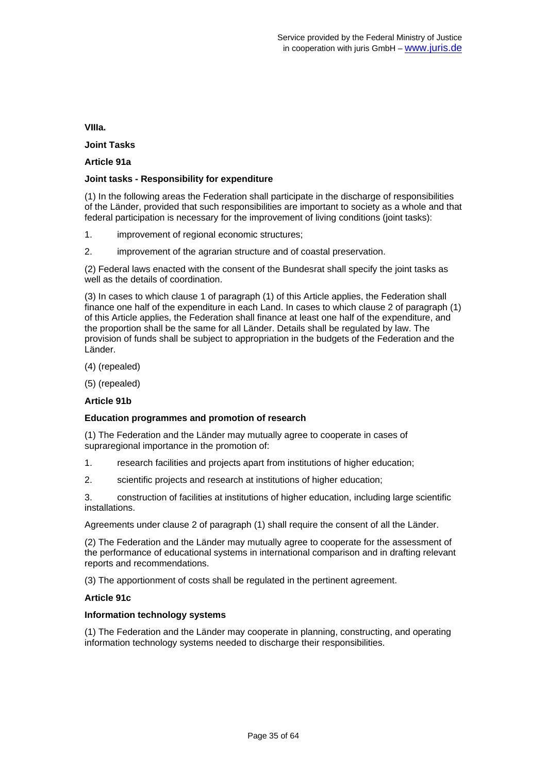### **VIIIa.**

**Joint Tasks** 

**Article 91a** 

### **Joint tasks - Responsibility for expenditure**

(1) In the following areas the Federation shall participate in the discharge of responsibilities of the Länder, provided that such responsibilities are important to society as a whole and that federal participation is necessary for the improvement of living conditions (joint tasks):

- 1. improvement of regional economic structures;
- 2. improvement of the agrarian structure and of coastal preservation.

(2) Federal laws enacted with the consent of the Bundesrat shall specify the joint tasks as well as the details of coordination.

(3) In cases to which clause 1 of paragraph (1) of this Article applies, the Federation shall finance one half of the expenditure in each Land. In cases to which clause 2 of paragraph (1) of this Article applies, the Federation shall finance at least one half of the expenditure, and the proportion shall be the same for all Länder. Details shall be regulated by law. The provision of funds shall be subject to appropriation in the budgets of the Federation and the Länder.

(4) (repealed)

(5) (repealed)

## **Article 91b**

### **Education programmes and promotion of research**

(1) The Federation and the Länder may mutually agree to cooperate in cases of supraregional importance in the promotion of:

- 1. research facilities and projects apart from institutions of higher education;
- 2. scientific projects and research at institutions of higher education;

3. construction of facilities at institutions of higher education, including large scientific installations.

Agreements under clause 2 of paragraph (1) shall require the consent of all the Länder.

(2) The Federation and the Länder may mutually agree to cooperate for the assessment of the performance of educational systems in international comparison and in drafting relevant reports and recommendations.

(3) The apportionment of costs shall be regulated in the pertinent agreement.

### **Article 91c**

### **Information technology systems**

(1) The Federation and the Länder may cooperate in planning, constructing, and operating information technology systems needed to discharge their responsibilities.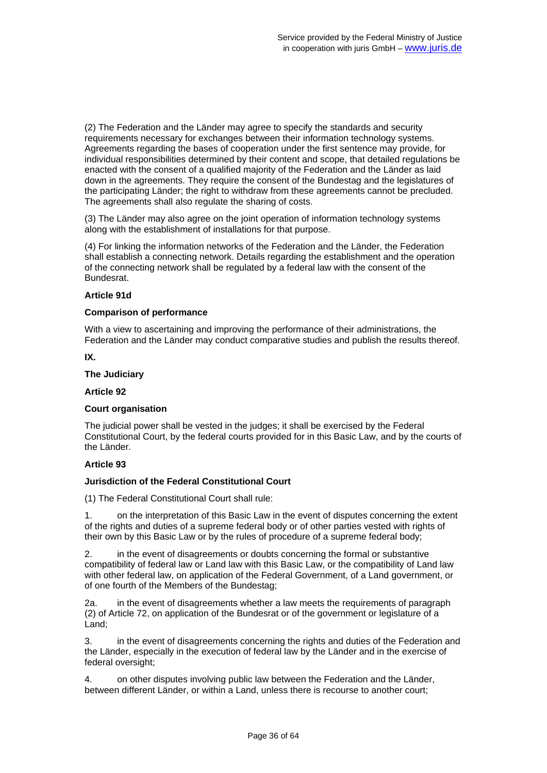(2) The Federation and the Länder may agree to specify the standards and security requirements necessary for exchanges between their information technology systems. Agreements regarding the bases of cooperation under the first sentence may provide, for individual responsibilities determined by their content and scope, that detailed regulations be enacted with the consent of a qualified majority of the Federation and the Länder as laid down in the agreements. They require the consent of the Bundestag and the legislatures of the participating Länder; the right to withdraw from these agreements cannot be precluded. The agreements shall also regulate the sharing of costs.

(3) The Länder may also agree on the joint operation of information technology systems along with the establishment of installations for that purpose.

(4) For linking the information networks of the Federation and the Länder, the Federation shall establish a connecting network. Details regarding the establishment and the operation of the connecting network shall be regulated by a federal law with the consent of the Bundesrat.

### **Article 91d**

### **Comparison of performance**

With a view to ascertaining and improving the performance of their administrations, the Federation and the Länder may conduct comparative studies and publish the results thereof.

**IX.** 

### **The Judiciary**

### **Article 92**

### **Court organisation**

The judicial power shall be vested in the judges; it shall be exercised by the Federal Constitutional Court, by the federal courts provided for in this Basic Law, and by the courts of the Länder.

## **Article 93**

### **Jurisdiction of the Federal Constitutional Court**

(1) The Federal Constitutional Court shall rule:

1. on the interpretation of this Basic Law in the event of disputes concerning the extent of the rights and duties of a supreme federal body or of other parties vested with rights of their own by this Basic Law or by the rules of procedure of a supreme federal body;

2. in the event of disagreements or doubts concerning the formal or substantive compatibility of federal law or Land law with this Basic Law, or the compatibility of Land law with other federal law, on application of the Federal Government, of a Land government, or of one fourth of the Members of the Bundestag;

2a. in the event of disagreements whether a law meets the requirements of paragraph (2) of Article 72, on application of the Bundesrat or of the government or legislature of a Land;

3. in the event of disagreements concerning the rights and duties of the Federation and the Länder, especially in the execution of federal law by the Länder and in the exercise of federal oversight;

4. on other disputes involving public law between the Federation and the Länder, between different Länder, or within a Land, unless there is recourse to another court;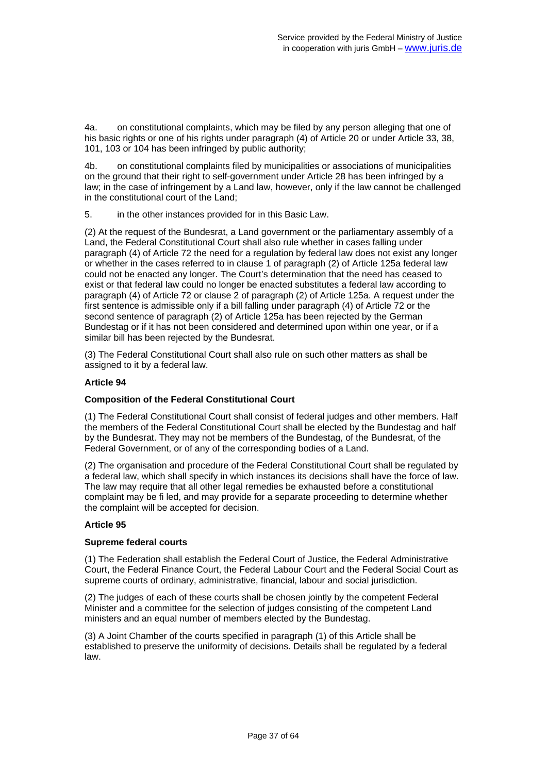4a. on constitutional complaints, which may be filed by any person alleging that one of his basic rights or one of his rights under paragraph (4) of Article 20 or under Article 33, 38, 101, 103 or 104 has been infringed by public authority;

4b. on constitutional complaints filed by municipalities or associations of municipalities on the ground that their right to self-government under Article 28 has been infringed by a law; in the case of infringement by a Land law, however, only if the law cannot be challenged in the constitutional court of the Land;

5. in the other instances provided for in this Basic Law.

(2) At the request of the Bundesrat, a Land government or the parliamentary assembly of a Land, the Federal Constitutional Court shall also rule whether in cases falling under paragraph (4) of Article 72 the need for a regulation by federal law does not exist any longer or whether in the cases referred to in clause 1 of paragraph (2) of Article 125a federal law could not be enacted any longer. The Court's determination that the need has ceased to exist or that federal law could no longer be enacted substitutes a federal law according to paragraph (4) of Article 72 or clause 2 of paragraph (2) of Article 125a. A request under the first sentence is admissible only if a bill falling under paragraph (4) of Article 72 or the second sentence of paragraph (2) of Article 125a has been rejected by the German Bundestag or if it has not been considered and determined upon within one year, or if a similar bill has been rejected by the Bundesrat.

(3) The Federal Constitutional Court shall also rule on such other matters as shall be assigned to it by a federal law.

## **Article 94**

### **Composition of the Federal Constitutional Court**

(1) The Federal Constitutional Court shall consist of federal judges and other members. Half the members of the Federal Constitutional Court shall be elected by the Bundestag and half by the Bundesrat. They may not be members of the Bundestag, of the Bundesrat, of the Federal Government, or of any of the corresponding bodies of a Land.

(2) The organisation and procedure of the Federal Constitutional Court shall be regulated by a federal law, which shall specify in which instances its decisions shall have the force of law. The law may require that all other legal remedies be exhausted before a constitutional complaint may be fi led, and may provide for a separate proceeding to determine whether the complaint will be accepted for decision.

### **Article 95**

### **Supreme federal courts**

(1) The Federation shall establish the Federal Court of Justice, the Federal Administrative Court, the Federal Finance Court, the Federal Labour Court and the Federal Social Court as supreme courts of ordinary, administrative, financial, labour and social jurisdiction.

(2) The judges of each of these courts shall be chosen jointly by the competent Federal Minister and a committee for the selection of judges consisting of the competent Land ministers and an equal number of members elected by the Bundestag.

(3) A Joint Chamber of the courts specified in paragraph (1) of this Article shall be established to preserve the uniformity of decisions. Details shall be regulated by a federal law.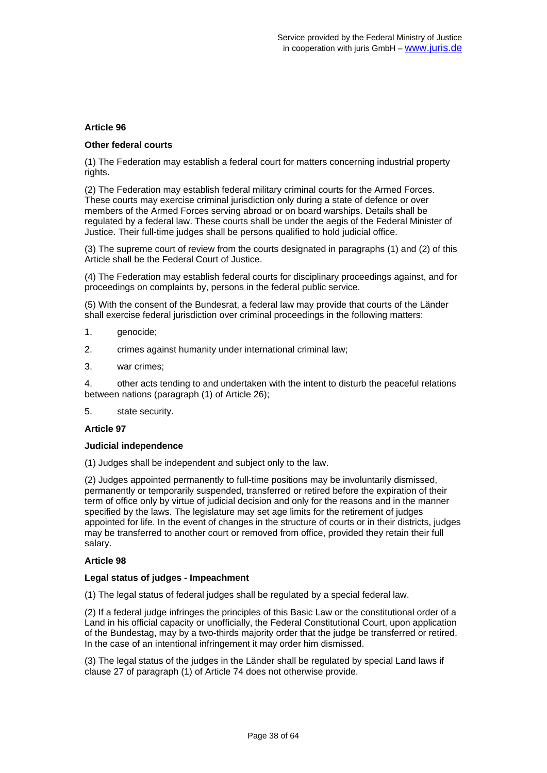### **Other federal courts**

(1) The Federation may establish a federal court for matters concerning industrial property rights.

(2) The Federation may establish federal military criminal courts for the Armed Forces. These courts may exercise criminal jurisdiction only during a state of defence or over members of the Armed Forces serving abroad or on board warships. Details shall be regulated by a federal law. These courts shall be under the aegis of the Federal Minister of Justice. Their full-time judges shall be persons qualified to hold judicial office.

(3) The supreme court of review from the courts designated in paragraphs (1) and (2) of this Article shall be the Federal Court of Justice.

(4) The Federation may establish federal courts for disciplinary proceedings against, and for proceedings on complaints by, persons in the federal public service.

(5) With the consent of the Bundesrat, a federal law may provide that courts of the Länder shall exercise federal jurisdiction over criminal proceedings in the following matters:

- 1. genocide;
- 2. crimes against humanity under international criminal law;
- 3. war crimes;

4. other acts tending to and undertaken with the intent to disturb the peaceful relations between nations (paragraph (1) of Article 26);

5. state security.

## **Article 97**

### **Judicial independence**

(1) Judges shall be independent and subject only to the law.

(2) Judges appointed permanently to full-time positions may be involuntarily dismissed, permanently or temporarily suspended, transferred or retired before the expiration of their term of office only by virtue of judicial decision and only for the reasons and in the manner specified by the laws. The legislature may set age limits for the retirement of judges appointed for life. In the event of changes in the structure of courts or in their districts, judges may be transferred to another court or removed from office, provided they retain their full salary.

## **Article 98**

## **Legal status of judges - Impeachment**

(1) The legal status of federal judges shall be regulated by a special federal law.

(2) If a federal judge infringes the principles of this Basic Law or the constitutional order of a Land in his official capacity or unofficially, the Federal Constitutional Court, upon application of the Bundestag, may by a two-thirds majority order that the judge be transferred or retired. In the case of an intentional infringement it may order him dismissed.

(3) The legal status of the judges in the Länder shall be regulated by special Land laws if clause 27 of paragraph (1) of Article 74 does not otherwise provide.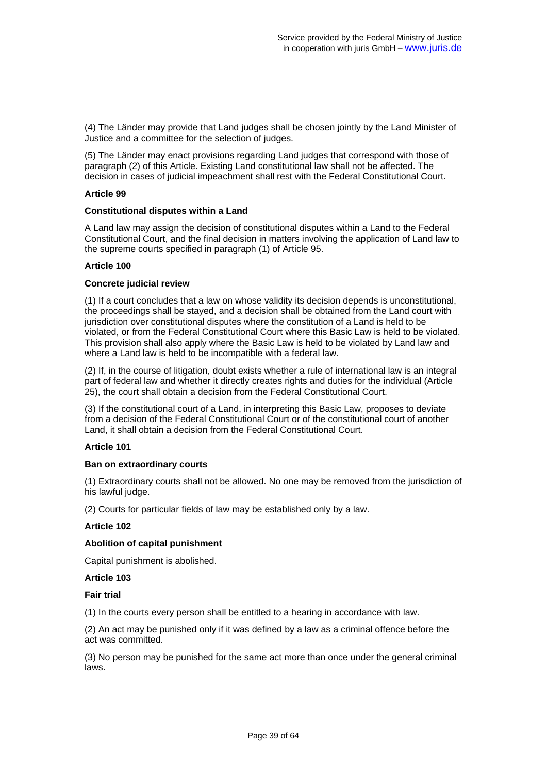(4) The Länder may provide that Land judges shall be chosen jointly by the Land Minister of Justice and a committee for the selection of judges.

(5) The Länder may enact provisions regarding Land judges that correspond with those of paragraph (2) of this Article. Existing Land constitutional law shall not be affected. The decision in cases of judicial impeachment shall rest with the Federal Constitutional Court.

### **Article 99**

#### **Constitutional disputes within a Land**

A Land law may assign the decision of constitutional disputes within a Land to the Federal Constitutional Court, and the final decision in matters involving the application of Land law to the supreme courts specified in paragraph (1) of Article 95.

#### **Article 100**

### **Concrete judicial review**

(1) If a court concludes that a law on whose validity its decision depends is unconstitutional, the proceedings shall be stayed, and a decision shall be obtained from the Land court with jurisdiction over constitutional disputes where the constitution of a Land is held to be violated, or from the Federal Constitutional Court where this Basic Law is held to be violated. This provision shall also apply where the Basic Law is held to be violated by Land law and where a Land law is held to be incompatible with a federal law.

(2) If, in the course of litigation, doubt exists whether a rule of international law is an integral part of federal law and whether it directly creates rights and duties for the individual (Article 25), the court shall obtain a decision from the Federal Constitutional Court.

(3) If the constitutional court of a Land, in interpreting this Basic Law, proposes to deviate from a decision of the Federal Constitutional Court or of the constitutional court of another Land, it shall obtain a decision from the Federal Constitutional Court.

### **Article 101**

#### **Ban on extraordinary courts**

(1) Extraordinary courts shall not be allowed. No one may be removed from the jurisdiction of his lawful judge.

(2) Courts for particular fields of law may be established only by a law.

### **Article 102**

### **Abolition of capital punishment**

Capital punishment is abolished.

#### **Article 103**

**Fair trial** 

(1) In the courts every person shall be entitled to a hearing in accordance with law.

(2) An act may be punished only if it was defined by a law as a criminal offence before the act was committed.

(3) No person may be punished for the same act more than once under the general criminal laws.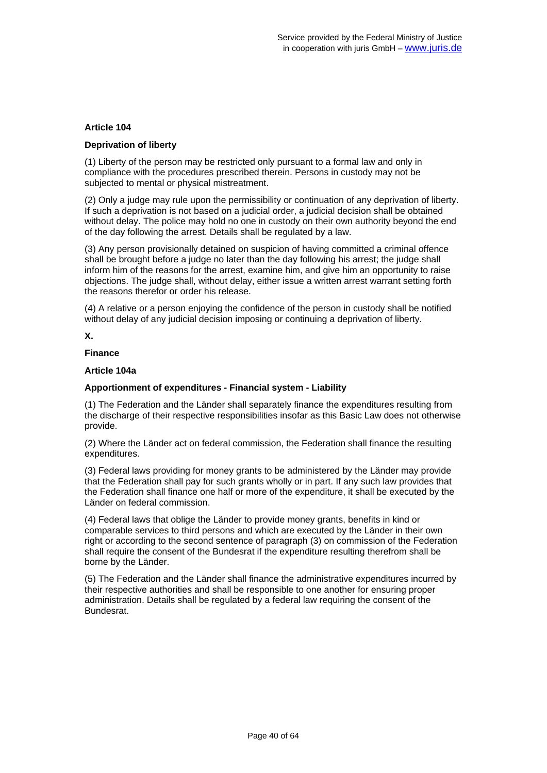### **Deprivation of liberty**

(1) Liberty of the person may be restricted only pursuant to a formal law and only in compliance with the procedures prescribed therein. Persons in custody may not be subjected to mental or physical mistreatment.

(2) Only a judge may rule upon the permissibility or continuation of any deprivation of liberty. If such a deprivation is not based on a judicial order, a judicial decision shall be obtained without delay. The police may hold no one in custody on their own authority beyond the end of the day following the arrest. Details shall be regulated by a law.

(3) Any person provisionally detained on suspicion of having committed a criminal offence shall be brought before a judge no later than the day following his arrest; the judge shall inform him of the reasons for the arrest, examine him, and give him an opportunity to raise objections. The judge shall, without delay, either issue a written arrest warrant setting forth the reasons therefor or order his release.

(4) A relative or a person enjoying the confidence of the person in custody shall be notified without delay of any judicial decision imposing or continuing a deprivation of liberty.

**X.** 

### **Finance**

### **Article 104a**

### **Apportionment of expenditures - Financial system - Liability**

(1) The Federation and the Länder shall separately finance the expenditures resulting from the discharge of their respective responsibilities insofar as this Basic Law does not otherwise provide.

(2) Where the Länder act on federal commission, the Federation shall finance the resulting expenditures.

(3) Federal laws providing for money grants to be administered by the Länder may provide that the Federation shall pay for such grants wholly or in part. If any such law provides that the Federation shall finance one half or more of the expenditure, it shall be executed by the Länder on federal commission.

(4) Federal laws that oblige the Länder to provide money grants, benefits in kind or comparable services to third persons and which are executed by the Länder in their own right or according to the second sentence of paragraph (3) on commission of the Federation shall require the consent of the Bundesrat if the expenditure resulting therefrom shall be borne by the Länder.

(5) The Federation and the Länder shall finance the administrative expenditures incurred by their respective authorities and shall be responsible to one another for ensuring proper administration. Details shall be regulated by a federal law requiring the consent of the **Bundesrat.**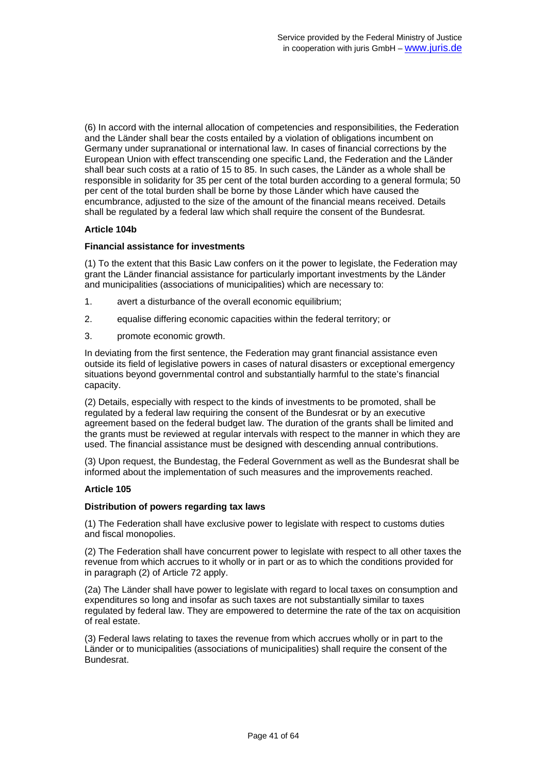(6) In accord with the internal allocation of competencies and responsibilities, the Federation and the Länder shall bear the costs entailed by a violation of obligations incumbent on Germany under supranational or international law. In cases of financial corrections by the European Union with effect transcending one specific Land, the Federation and the Länder shall bear such costs at a ratio of 15 to 85. In such cases, the Länder as a whole shall be responsible in solidarity for 35 per cent of the total burden according to a general formula; 50 per cent of the total burden shall be borne by those Länder which have caused the encumbrance, adjusted to the size of the amount of the financial means received. Details shall be regulated by a federal law which shall require the consent of the Bundesrat.

### **Article 104b**

### **Financial assistance for investments**

(1) To the extent that this Basic Law confers on it the power to legislate, the Federation may grant the Länder financial assistance for particularly important investments by the Länder and municipalities (associations of municipalities) which are necessary to:

- 1. avert a disturbance of the overall economic equilibrium;
- 2. equalise differing economic capacities within the federal territory; or
- 3. promote economic growth.

In deviating from the first sentence, the Federation may grant financial assistance even outside its field of legislative powers in cases of natural disasters or exceptional emergency situations beyond governmental control and substantially harmful to the state's financial capacity.

(2) Details, especially with respect to the kinds of investments to be promoted, shall be regulated by a federal law requiring the consent of the Bundesrat or by an executive agreement based on the federal budget law. The duration of the grants shall be limited and the grants must be reviewed at regular intervals with respect to the manner in which they are used. The financial assistance must be designed with descending annual contributions.

(3) Upon request, the Bundestag, the Federal Government as well as the Bundesrat shall be informed about the implementation of such measures and the improvements reached.

### **Article 105**

### **Distribution of powers regarding tax laws**

(1) The Federation shall have exclusive power to legislate with respect to customs duties and fiscal monopolies.

(2) The Federation shall have concurrent power to legislate with respect to all other taxes the revenue from which accrues to it wholly or in part or as to which the conditions provided for in paragraph (2) of Article 72 apply.

(2a) The Länder shall have power to legislate with regard to local taxes on consumption and expenditures so long and insofar as such taxes are not substantially similar to taxes regulated by federal law. They are empowered to determine the rate of the tax on acquisition of real estate.

(3) Federal laws relating to taxes the revenue from which accrues wholly or in part to the Länder or to municipalities (associations of municipalities) shall require the consent of the **Bundesrat.**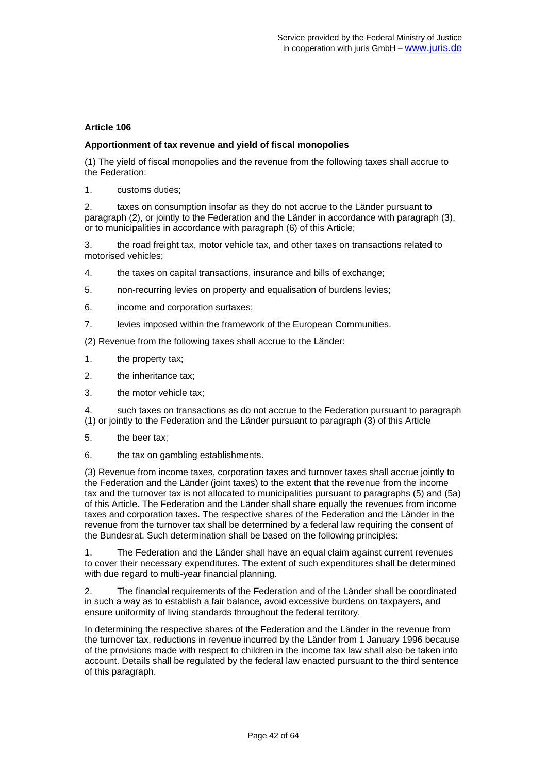### **Apportionment of tax revenue and yield of fiscal monopolies**

(1) The yield of fiscal monopolies and the revenue from the following taxes shall accrue to the Federation:

1. customs duties;

2. taxes on consumption insofar as they do not accrue to the Länder pursuant to paragraph (2), or jointly to the Federation and the Länder in accordance with paragraph (3), or to municipalities in accordance with paragraph (6) of this Article;

3. the road freight tax, motor vehicle tax, and other taxes on transactions related to motorised vehicles;

- 4. the taxes on capital transactions, insurance and bills of exchange;
- 5. non-recurring levies on property and equalisation of burdens levies;
- 6. income and corporation surtaxes;
- 7. levies imposed within the framework of the European Communities.

(2) Revenue from the following taxes shall accrue to the Länder:

- 1. the property tax;
- 2. the inheritance tax;
- 3. the motor vehicle tax;

4. such taxes on transactions as do not accrue to the Federation pursuant to paragraph (1) or jointly to the Federation and the Länder pursuant to paragraph (3) of this Article

- 5. the beer tax;
- 6. the tax on gambling establishments.

(3) Revenue from income taxes, corporation taxes and turnover taxes shall accrue jointly to the Federation and the Länder (joint taxes) to the extent that the revenue from the income tax and the turnover tax is not allocated to municipalities pursuant to paragraphs (5) and (5a) of this Article. The Federation and the Länder shall share equally the revenues from income taxes and corporation taxes. The respective shares of the Federation and the Länder in the revenue from the turnover tax shall be determined by a federal law requiring the consent of the Bundesrat. Such determination shall be based on the following principles:

1. The Federation and the Länder shall have an equal claim against current revenues to cover their necessary expenditures. The extent of such expenditures shall be determined with due regard to multi-year financial planning.

2. The financial requirements of the Federation and of the Länder shall be coordinated in such a way as to establish a fair balance, avoid excessive burdens on taxpayers, and ensure uniformity of living standards throughout the federal territory.

In determining the respective shares of the Federation and the Länder in the revenue from the turnover tax, reductions in revenue incurred by the Länder from 1 January 1996 because of the provisions made with respect to children in the income tax law shall also be taken into account. Details shall be regulated by the federal law enacted pursuant to the third sentence of this paragraph.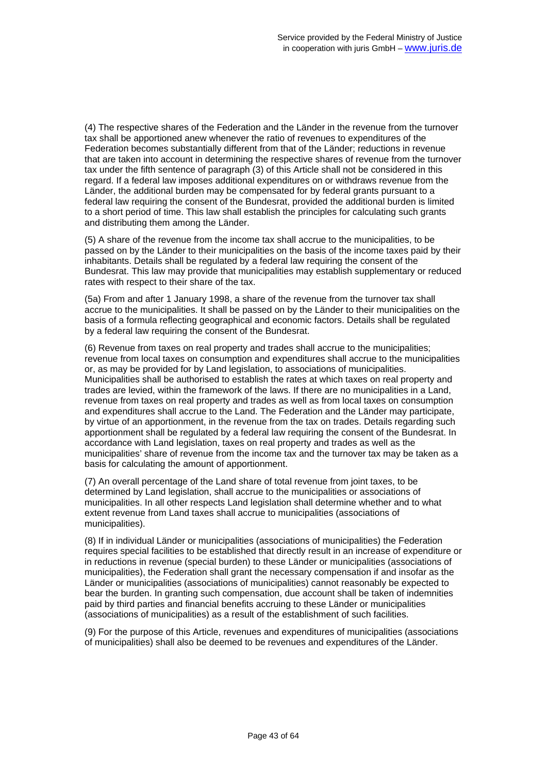(4) The respective shares of the Federation and the Länder in the revenue from the turnover tax shall be apportioned anew whenever the ratio of revenues to expenditures of the Federation becomes substantially different from that of the Länder; reductions in revenue that are taken into account in determining the respective shares of revenue from the turnover tax under the fifth sentence of paragraph (3) of this Article shall not be considered in this regard. If a federal law imposes additional expenditures on or withdraws revenue from the Länder, the additional burden may be compensated for by federal grants pursuant to a federal law requiring the consent of the Bundesrat, provided the additional burden is limited to a short period of time. This law shall establish the principles for calculating such grants and distributing them among the Länder.

(5) A share of the revenue from the income tax shall accrue to the municipalities, to be passed on by the Länder to their municipalities on the basis of the income taxes paid by their inhabitants. Details shall be regulated by a federal law requiring the consent of the Bundesrat. This law may provide that municipalities may establish supplementary or reduced rates with respect to their share of the tax.

(5a) From and after 1 January 1998, a share of the revenue from the turnover tax shall accrue to the municipalities. It shall be passed on by the Länder to their municipalities on the basis of a formula reflecting geographical and economic factors. Details shall be regulated by a federal law requiring the consent of the Bundesrat.

(6) Revenue from taxes on real property and trades shall accrue to the municipalities; revenue from local taxes on consumption and expenditures shall accrue to the municipalities or, as may be provided for by Land legislation, to associations of municipalities. Municipalities shall be authorised to establish the rates at which taxes on real property and trades are levied, within the framework of the laws. If there are no municipalities in a Land, revenue from taxes on real property and trades as well as from local taxes on consumption and expenditures shall accrue to the Land. The Federation and the Länder may participate, by virtue of an apportionment, in the revenue from the tax on trades. Details regarding such apportionment shall be regulated by a federal law requiring the consent of the Bundesrat. In accordance with Land legislation, taxes on real property and trades as well as the municipalities' share of revenue from the income tax and the turnover tax may be taken as a basis for calculating the amount of apportionment.

(7) An overall percentage of the Land share of total revenue from joint taxes, to be determined by Land legislation, shall accrue to the municipalities or associations of municipalities. In all other respects Land legislation shall determine whether and to what extent revenue from Land taxes shall accrue to municipalities (associations of municipalities).

(8) If in individual Länder or municipalities (associations of municipalities) the Federation requires special facilities to be established that directly result in an increase of expenditure or in reductions in revenue (special burden) to these Länder or municipalities (associations of municipalities), the Federation shall grant the necessary compensation if and insofar as the Länder or municipalities (associations of municipalities) cannot reasonably be expected to bear the burden. In granting such compensation, due account shall be taken of indemnities paid by third parties and financial benefits accruing to these Länder or municipalities (associations of municipalities) as a result of the establishment of such facilities.

(9) For the purpose of this Article, revenues and expenditures of municipalities (associations of municipalities) shall also be deemed to be revenues and expenditures of the Länder.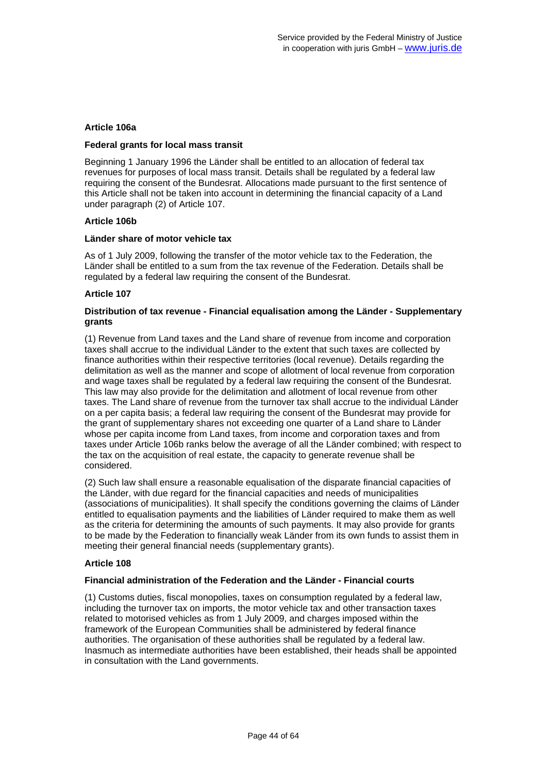### **Article 106a**

### **Federal grants for local mass transit**

Beginning 1 January 1996 the Länder shall be entitled to an allocation of federal tax revenues for purposes of local mass transit. Details shall be regulated by a federal law requiring the consent of the Bundesrat. Allocations made pursuant to the first sentence of this Article shall not be taken into account in determining the financial capacity of a Land under paragraph (2) of Article 107.

### **Article 106b**

### **Länder share of motor vehicle tax**

As of 1 July 2009, following the transfer of the motor vehicle tax to the Federation, the Länder shall be entitled to a sum from the tax revenue of the Federation. Details shall be regulated by a federal law requiring the consent of the Bundesrat.

### **Article 107**

### **Distribution of tax revenue - Financial equalisation among the Länder - Supplementary grants**

(1) Revenue from Land taxes and the Land share of revenue from income and corporation taxes shall accrue to the individual Länder to the extent that such taxes are collected by finance authorities within their respective territories (local revenue). Details regarding the delimitation as well as the manner and scope of allotment of local revenue from corporation and wage taxes shall be regulated by a federal law requiring the consent of the Bundesrat. This law may also provide for the delimitation and allotment of local revenue from other taxes. The Land share of revenue from the turnover tax shall accrue to the individual Länder on a per capita basis; a federal law requiring the consent of the Bundesrat may provide for the grant of supplementary shares not exceeding one quarter of a Land share to Länder whose per capita income from Land taxes, from income and corporation taxes and from taxes under Article 106b ranks below the average of all the Länder combined; with respect to the tax on the acquisition of real estate, the capacity to generate revenue shall be considered.

(2) Such law shall ensure a reasonable equalisation of the disparate financial capacities of the Länder, with due regard for the financial capacities and needs of municipalities (associations of municipalities). It shall specify the conditions governing the claims of Länder entitled to equalisation payments and the liabilities of Länder required to make them as well as the criteria for determining the amounts of such payments. It may also provide for grants to be made by the Federation to financially weak Länder from its own funds to assist them in meeting their general financial needs (supplementary grants).

### **Article 108**

## **Financial administration of the Federation and the Länder - Financial courts**

(1) Customs duties, fiscal monopolies, taxes on consumption regulated by a federal law, including the turnover tax on imports, the motor vehicle tax and other transaction taxes related to motorised vehicles as from 1 July 2009, and charges imposed within the framework of the European Communities shall be administered by federal finance authorities. The organisation of these authorities shall be regulated by a federal law. Inasmuch as intermediate authorities have been established, their heads shall be appointed in consultation with the Land governments.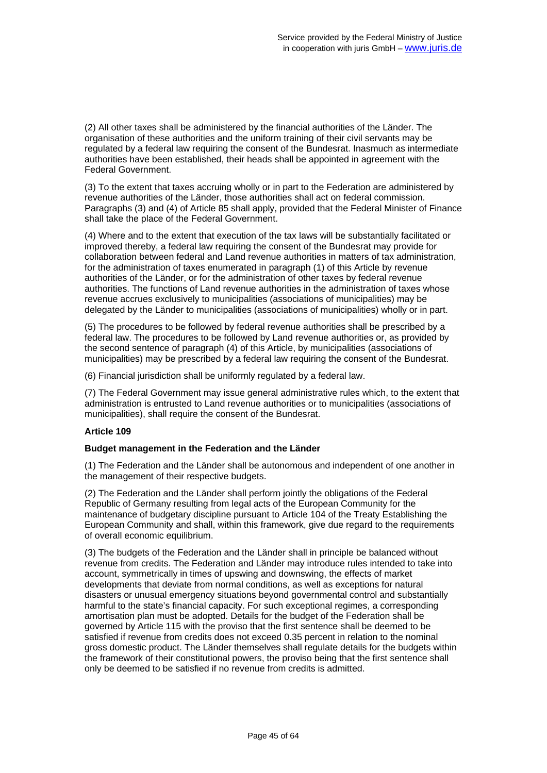(2) All other taxes shall be administered by the financial authorities of the Länder. The organisation of these authorities and the uniform training of their civil servants may be regulated by a federal law requiring the consent of the Bundesrat. Inasmuch as intermediate authorities have been established, their heads shall be appointed in agreement with the Federal Government.

(3) To the extent that taxes accruing wholly or in part to the Federation are administered by revenue authorities of the Länder, those authorities shall act on federal commission. Paragraphs (3) and (4) of Article 85 shall apply, provided that the Federal Minister of Finance shall take the place of the Federal Government.

(4) Where and to the extent that execution of the tax laws will be substantially facilitated or improved thereby, a federal law requiring the consent of the Bundesrat may provide for collaboration between federal and Land revenue authorities in matters of tax administration, for the administration of taxes enumerated in paragraph (1) of this Article by revenue authorities of the Länder, or for the administration of other taxes by federal revenue authorities. The functions of Land revenue authorities in the administration of taxes whose revenue accrues exclusively to municipalities (associations of municipalities) may be delegated by the Länder to municipalities (associations of municipalities) wholly or in part.

(5) The procedures to be followed by federal revenue authorities shall be prescribed by a federal law. The procedures to be followed by Land revenue authorities or, as provided by the second sentence of paragraph (4) of this Article, by municipalities (associations of municipalities) may be prescribed by a federal law requiring the consent of the Bundesrat.

(6) Financial jurisdiction shall be uniformly regulated by a federal law.

(7) The Federal Government may issue general administrative rules which, to the extent that administration is entrusted to Land revenue authorities or to municipalities (associations of municipalities), shall require the consent of the Bundesrat.

### **Article 109**

### **Budget management in the Federation and the Länder**

(1) The Federation and the Länder shall be autonomous and independent of one another in the management of their respective budgets.

(2) The Federation and the Länder shall perform jointly the obligations of the Federal Republic of Germany resulting from legal acts of the European Community for the maintenance of budgetary discipline pursuant to Article 104 of the Treaty Establishing the European Community and shall, within this framework, give due regard to the requirements of overall economic equilibrium.

(3) The budgets of the Federation and the Länder shall in principle be balanced without revenue from credits. The Federation and Länder may introduce rules intended to take into account, symmetrically in times of upswing and downswing, the effects of market developments that deviate from normal conditions, as well as exceptions for natural disasters or unusual emergency situations beyond governmental control and substantially harmful to the state's financial capacity. For such exceptional regimes, a corresponding amortisation plan must be adopted. Details for the budget of the Federation shall be governed by Article 115 with the proviso that the first sentence shall be deemed to be satisfied if revenue from credits does not exceed 0.35 percent in relation to the nominal gross domestic product. The Länder themselves shall regulate details for the budgets within the framework of their constitutional powers, the proviso being that the first sentence shall only be deemed to be satisfied if no revenue from credits is admitted.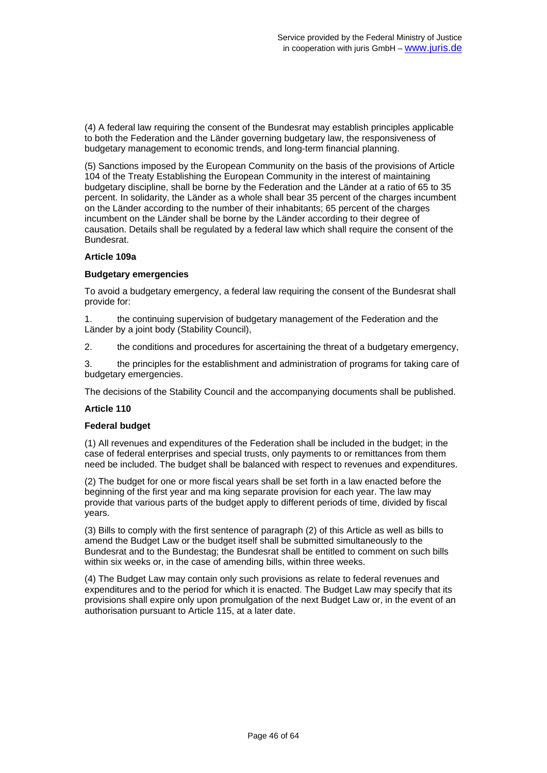(4) A federal law requiring the consent of the Bundesrat may establish principles applicable to both the Federation and the Länder governing budgetary law, the responsiveness of budgetary management to economic trends, and long-term financial planning.

(5) Sanctions imposed by the European Community on the basis of the provisions of Article 104 of the Treaty Establishing the European Community in the interest of maintaining budgetary discipline, shall be borne by the Federation and the Länder at a ratio of 65 to 35 percent. In solidarity, the Länder as a whole shall bear 35 percent of the charges incumbent on the Länder according to the number of their inhabitants; 65 percent of the charges incumbent on the Länder shall be borne by the Länder according to their degree of causation. Details shall be regulated by a federal law which shall require the consent of the Bundesrat.

### **Article 109a**

### **Budgetary emergencies**

To avoid a budgetary emergency, a federal law requiring the consent of the Bundesrat shall provide for:

1. the continuing supervision of budgetary management of the Federation and the Länder by a joint body (Stability Council),

2. the conditions and procedures for ascertaining the threat of a budgetary emergency,

3. the principles for the establishment and administration of programs for taking care of budgetary emergencies.

The decisions of the Stability Council and the accompanying documents shall be published.

## **Article 110**

### **Federal budget**

(1) All revenues and expenditures of the Federation shall be included in the budget; in the case of federal enterprises and special trusts, only payments to or remittances from them need be included. The budget shall be balanced with respect to revenues and expenditures.

(2) The budget for one or more fiscal years shall be set forth in a law enacted before the beginning of the first year and ma king separate provision for each year. The law may provide that various parts of the budget apply to different periods of time, divided by fiscal years.

(3) Bills to comply with the first sentence of paragraph (2) of this Article as well as bills to amend the Budget Law or the budget itself shall be submitted simultaneously to the Bundesrat and to the Bundestag; the Bundesrat shall be entitled to comment on such bills within six weeks or, in the case of amending bills, within three weeks.

(4) The Budget Law may contain only such provisions as relate to federal revenues and expenditures and to the period for which it is enacted. The Budget Law may specify that its provisions shall expire only upon promulgation of the next Budget Law or, in the event of an authorisation pursuant to Article 115, at a later date.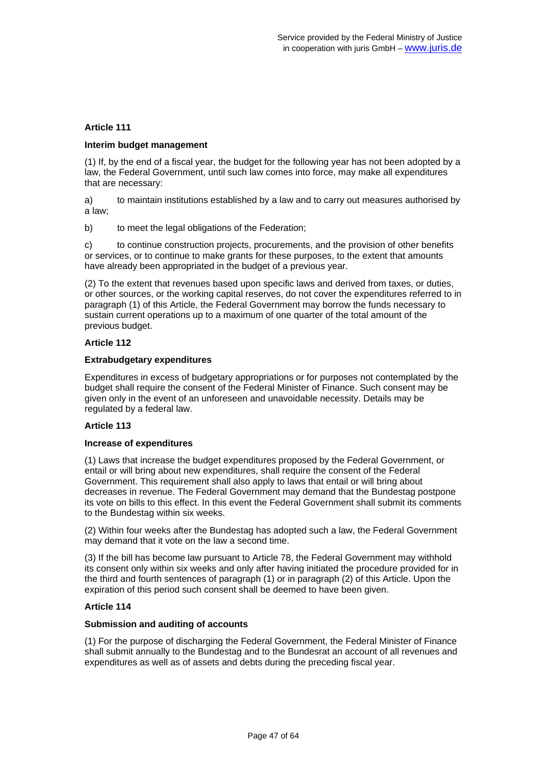### **Interim budget management**

(1) If, by the end of a fiscal year, the budget for the following year has not been adopted by a law, the Federal Government, until such law comes into force, may make all expenditures that are necessary:

a) to maintain institutions established by a law and to carry out measures authorised by a law;

b) to meet the legal obligations of the Federation;

c) to continue construction projects, procurements, and the provision of other benefits or services, or to continue to make grants for these purposes, to the extent that amounts have already been appropriated in the budget of a previous year.

(2) To the extent that revenues based upon specific laws and derived from taxes, or duties, or other sources, or the working capital reserves, do not cover the expenditures referred to in paragraph (1) of this Article, the Federal Government may borrow the funds necessary to sustain current operations up to a maximum of one quarter of the total amount of the previous budget.

### **Article 112**

### **Extrabudgetary expenditures**

Expenditures in excess of budgetary appropriations or for purposes not contemplated by the budget shall require the consent of the Federal Minister of Finance. Such consent may be given only in the event of an unforeseen and unavoidable necessity. Details may be regulated by a federal law.

### **Article 113**

### **Increase of expenditures**

(1) Laws that increase the budget expenditures proposed by the Federal Government, or entail or will bring about new expenditures, shall require the consent of the Federal Government. This requirement shall also apply to laws that entail or will bring about decreases in revenue. The Federal Government may demand that the Bundestag postpone its vote on bills to this effect. In this event the Federal Government shall submit its comments to the Bundestag within six weeks.

(2) Within four weeks after the Bundestag has adopted such a law, the Federal Government may demand that it vote on the law a second time.

(3) If the bill has become law pursuant to Article 78, the Federal Government may withhold its consent only within six weeks and only after having initiated the procedure provided for in the third and fourth sentences of paragraph (1) or in paragraph (2) of this Article. Upon the expiration of this period such consent shall be deemed to have been given.

### **Article 114**

### **Submission and auditing of accounts**

(1) For the purpose of discharging the Federal Government, the Federal Minister of Finance shall submit annually to the Bundestag and to the Bundesrat an account of all revenues and expenditures as well as of assets and debts during the preceding fiscal year.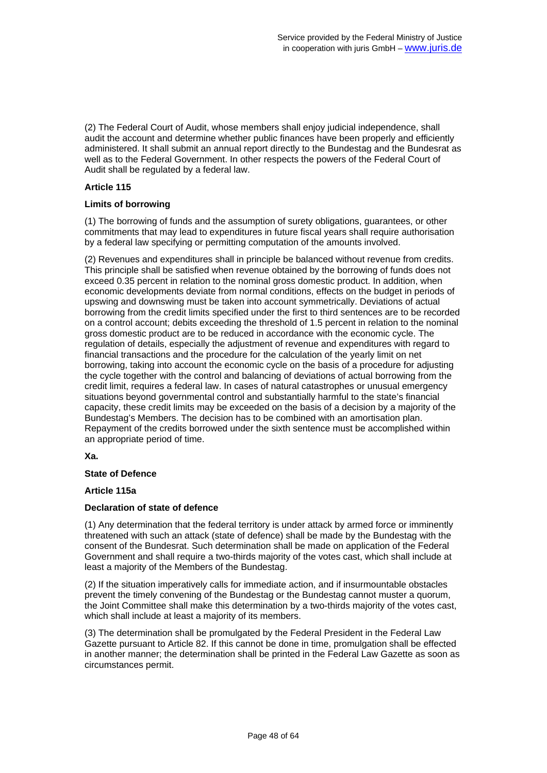(2) The Federal Court of Audit, whose members shall enjoy judicial independence, shall audit the account and determine whether public finances have been properly and efficiently administered. It shall submit an annual report directly to the Bundestag and the Bundesrat as well as to the Federal Government. In other respects the powers of the Federal Court of Audit shall be regulated by a federal law.

## **Article 115**

### **Limits of borrowing**

(1) The borrowing of funds and the assumption of surety obligations, guarantees, or other commitments that may lead to expenditures in future fiscal years shall require authorisation by a federal law specifying or permitting computation of the amounts involved.

(2) Revenues and expenditures shall in principle be balanced without revenue from credits. This principle shall be satisfied when revenue obtained by the borrowing of funds does not exceed 0.35 percent in relation to the nominal gross domestic product. In addition, when economic developments deviate from normal conditions, effects on the budget in periods of upswing and downswing must be taken into account symmetrically. Deviations of actual borrowing from the credit limits specified under the first to third sentences are to be recorded on a control account; debits exceeding the threshold of 1.5 percent in relation to the nominal gross domestic product are to be reduced in accordance with the economic cycle. The regulation of details, especially the adjustment of revenue and expenditures with regard to financial transactions and the procedure for the calculation of the yearly limit on net borrowing, taking into account the economic cycle on the basis of a procedure for adjusting the cycle together with the control and balancing of deviations of actual borrowing from the credit limit, requires a federal law. In cases of natural catastrophes or unusual emergency situations beyond governmental control and substantially harmful to the state's financial capacity, these credit limits may be exceeded on the basis of a decision by a majority of the Bundestag's Members. The decision has to be combined with an amortisation plan. Repayment of the credits borrowed under the sixth sentence must be accomplished within an appropriate period of time.

**Xa.** 

### **State of Defence**

### **Article 115a**

### **Declaration of state of defence**

(1) Any determination that the federal territory is under attack by armed force or imminently threatened with such an attack (state of defence) shall be made by the Bundestag with the consent of the Bundesrat. Such determination shall be made on application of the Federal Government and shall require a two-thirds majority of the votes cast, which shall include at least a majority of the Members of the Bundestag.

(2) If the situation imperatively calls for immediate action, and if insurmountable obstacles prevent the timely convening of the Bundestag or the Bundestag cannot muster a quorum, the Joint Committee shall make this determination by a two-thirds majority of the votes cast, which shall include at least a majority of its members.

(3) The determination shall be promulgated by the Federal President in the Federal Law Gazette pursuant to Article 82. If this cannot be done in time, promulgation shall be effected in another manner; the determination shall be printed in the Federal Law Gazette as soon as circumstances permit.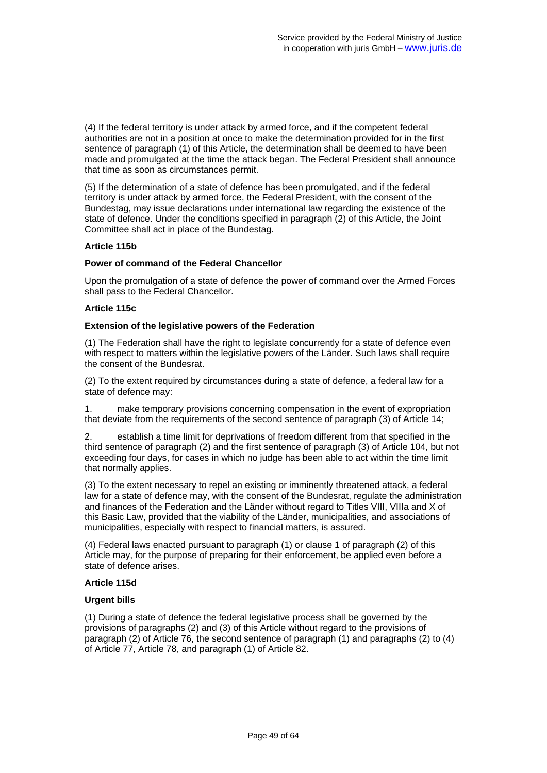(4) If the federal territory is under attack by armed force, and if the competent federal authorities are not in a position at once to make the determination provided for in the first sentence of paragraph (1) of this Article, the determination shall be deemed to have been made and promulgated at the time the attack began. The Federal President shall announce that time as soon as circumstances permit.

(5) If the determination of a state of defence has been promulgated, and if the federal territory is under attack by armed force, the Federal President, with the consent of the Bundestag, may issue declarations under international law regarding the existence of the state of defence. Under the conditions specified in paragraph (2) of this Article, the Joint Committee shall act in place of the Bundestag.

### **Article 115b**

### **Power of command of the Federal Chancellor**

Upon the promulgation of a state of defence the power of command over the Armed Forces shall pass to the Federal Chancellor.

### **Article 115c**

### **Extension of the legislative powers of the Federation**

(1) The Federation shall have the right to legislate concurrently for a state of defence even with respect to matters within the legislative powers of the Länder. Such laws shall require the consent of the Bundesrat.

(2) To the extent required by circumstances during a state of defence, a federal law for a state of defence may:

1. make temporary provisions concerning compensation in the event of expropriation that deviate from the requirements of the second sentence of paragraph (3) of Article 14;

2. establish a time limit for deprivations of freedom different from that specified in the third sentence of paragraph (2) and the first sentence of paragraph (3) of Article 104, but not exceeding four days, for cases in which no judge has been able to act within the time limit that normally applies.

(3) To the extent necessary to repel an existing or imminently threatened attack, a federal law for a state of defence may, with the consent of the Bundesrat, regulate the administration and finances of the Federation and the Länder without regard to Titles VIII, VIIIa and X of this Basic Law, provided that the viability of the Länder, municipalities, and associations of municipalities, especially with respect to financial matters, is assured.

(4) Federal laws enacted pursuant to paragraph (1) or clause 1 of paragraph (2) of this Article may, for the purpose of preparing for their enforcement, be applied even before a state of defence arises.

### **Article 115d**

### **Urgent bills**

(1) During a state of defence the federal legislative process shall be governed by the provisions of paragraphs (2) and (3) of this Article without regard to the provisions of paragraph (2) of Article 76, the second sentence of paragraph (1) and paragraphs (2) to (4) of Article 77, Article 78, and paragraph (1) of Article 82.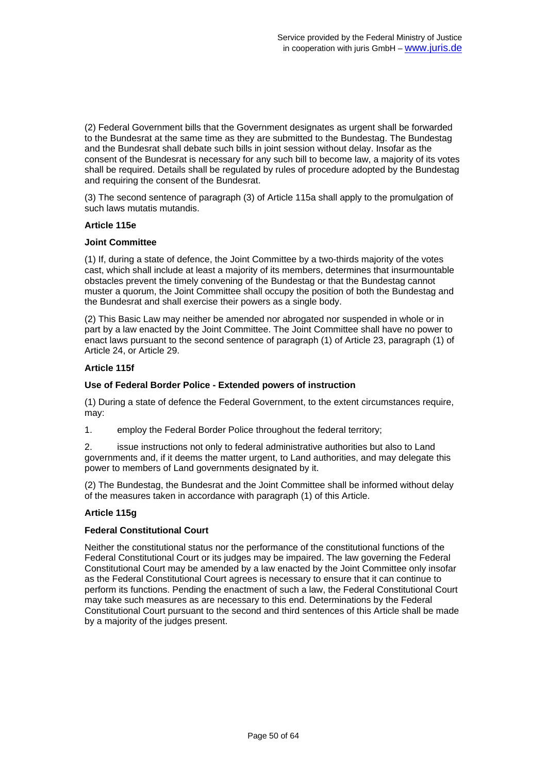(2) Federal Government bills that the Government designates as urgent shall be forwarded to the Bundesrat at the same time as they are submitted to the Bundestag. The Bundestag and the Bundesrat shall debate such bills in joint session without delay. Insofar as the consent of the Bundesrat is necessary for any such bill to become law, a majority of its votes shall be required. Details shall be regulated by rules of procedure adopted by the Bundestag and requiring the consent of the Bundesrat.

(3) The second sentence of paragraph (3) of Article 115a shall apply to the promulgation of such laws mutatis mutandis.

### **Article 115e**

### **Joint Committee**

(1) If, during a state of defence, the Joint Committee by a two-thirds majority of the votes cast, which shall include at least a majority of its members, determines that insurmountable obstacles prevent the timely convening of the Bundestag or that the Bundestag cannot muster a quorum, the Joint Committee shall occupy the position of both the Bundestag and the Bundesrat and shall exercise their powers as a single body.

(2) This Basic Law may neither be amended nor abrogated nor suspended in whole or in part by a law enacted by the Joint Committee. The Joint Committee shall have no power to enact laws pursuant to the second sentence of paragraph (1) of Article 23, paragraph (1) of Article 24, or Article 29.

### **Article 115f**

### **Use of Federal Border Police - Extended powers of instruction**

(1) During a state of defence the Federal Government, to the extent circumstances require, may:

1. employ the Federal Border Police throughout the federal territory;

2. issue instructions not only to federal administrative authorities but also to Land governments and, if it deems the matter urgent, to Land authorities, and may delegate this power to members of Land governments designated by it.

(2) The Bundestag, the Bundesrat and the Joint Committee shall be informed without delay of the measures taken in accordance with paragraph (1) of this Article.

### **Article 115g**

### **Federal Constitutional Court**

Neither the constitutional status nor the performance of the constitutional functions of the Federal Constitutional Court or its judges may be impaired. The law governing the Federal Constitutional Court may be amended by a law enacted by the Joint Committee only insofar as the Federal Constitutional Court agrees is necessary to ensure that it can continue to perform its functions. Pending the enactment of such a law, the Federal Constitutional Court may take such measures as are necessary to this end. Determinations by the Federal Constitutional Court pursuant to the second and third sentences of this Article shall be made by a majority of the judges present.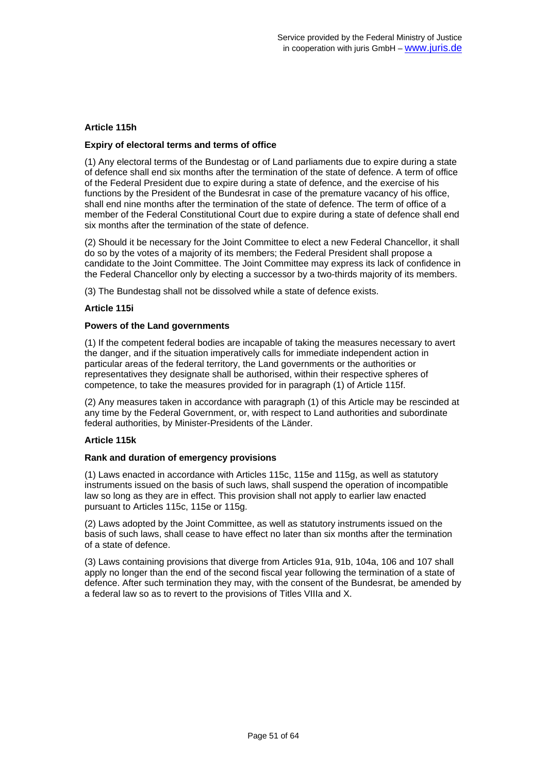### **Article 115h**

### **Expiry of electoral terms and terms of office**

(1) Any electoral terms of the Bundestag or of Land parliaments due to expire during a state of defence shall end six months after the termination of the state of defence. A term of office of the Federal President due to expire during a state of defence, and the exercise of his functions by the President of the Bundesrat in case of the premature vacancy of his office, shall end nine months after the termination of the state of defence. The term of office of a member of the Federal Constitutional Court due to expire during a state of defence shall end six months after the termination of the state of defence.

(2) Should it be necessary for the Joint Committee to elect a new Federal Chancellor, it shall do so by the votes of a majority of its members; the Federal President shall propose a candidate to the Joint Committee. The Joint Committee may express its lack of confidence in the Federal Chancellor only by electing a successor by a two-thirds majority of its members.

(3) The Bundestag shall not be dissolved while a state of defence exists.

### **Article 115i**

### **Powers of the Land governments**

(1) If the competent federal bodies are incapable of taking the measures necessary to avert the danger, and if the situation imperatively calls for immediate independent action in particular areas of the federal territory, the Land governments or the authorities or representatives they designate shall be authorised, within their respective spheres of competence, to take the measures provided for in paragraph (1) of Article 115f.

(2) Any measures taken in accordance with paragraph (1) of this Article may be rescinded at any time by the Federal Government, or, with respect to Land authorities and subordinate federal authorities, by Minister-Presidents of the Länder.

### **Article 115k**

### **Rank and duration of emergency provisions**

(1) Laws enacted in accordance with Articles 115c, 115e and 115g, as well as statutory instruments issued on the basis of such laws, shall suspend the operation of incompatible law so long as they are in effect. This provision shall not apply to earlier law enacted pursuant to Articles 115c, 115e or 115g.

(2) Laws adopted by the Joint Committee, as well as statutory instruments issued on the basis of such laws, shall cease to have effect no later than six months after the termination of a state of defence.

(3) Laws containing provisions that diverge from Articles 91a, 91b, 104a, 106 and 107 shall apply no longer than the end of the second fiscal year following the termination of a state of defence. After such termination they may, with the consent of the Bundesrat, be amended by a federal law so as to revert to the provisions of Titles VIIIa and X.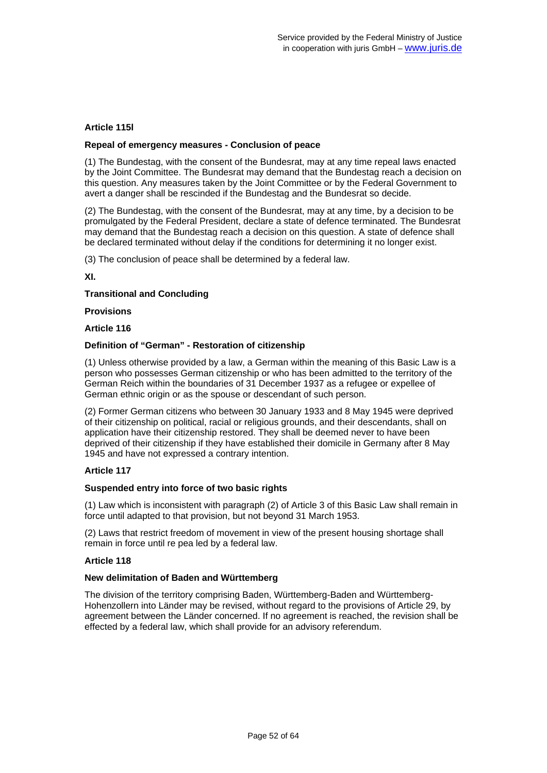### **Article 115l**

#### **Repeal of emergency measures - Conclusion of peace**

(1) The Bundestag, with the consent of the Bundesrat, may at any time repeal laws enacted by the Joint Committee. The Bundesrat may demand that the Bundestag reach a decision on this question. Any measures taken by the Joint Committee or by the Federal Government to avert a danger shall be rescinded if the Bundestag and the Bundesrat so decide.

(2) The Bundestag, with the consent of the Bundesrat, may at any time, by a decision to be promulgated by the Federal President, declare a state of defence terminated. The Bundesrat may demand that the Bundestag reach a decision on this question. A state of defence shall be declared terminated without delay if the conditions for determining it no longer exist.

(3) The conclusion of peace shall be determined by a federal law.

**XI.** 

### **Transitional and Concluding**

**Provisions** 

### **Article 116**

## **Definition of "German" - Restoration of citizenship**

(1) Unless otherwise provided by a law, a German within the meaning of this Basic Law is a person who possesses German citizenship or who has been admitted to the territory of the German Reich within the boundaries of 31 December 1937 as a refugee or expellee of German ethnic origin or as the spouse or descendant of such person.

(2) Former German citizens who between 30 January 1933 and 8 May 1945 were deprived of their citizenship on political, racial or religious grounds, and their descendants, shall on application have their citizenship restored. They shall be deemed never to have been deprived of their citizenship if they have established their domicile in Germany after 8 May 1945 and have not expressed a contrary intention.

### **Article 117**

#### **Suspended entry into force of two basic rights**

(1) Law which is inconsistent with paragraph (2) of Article 3 of this Basic Law shall remain in force until adapted to that provision, but not beyond 31 March 1953.

(2) Laws that restrict freedom of movement in view of the present housing shortage shall remain in force until re pea led by a federal law.

### **Article 118**

#### **New delimitation of Baden and Württemberg**

The division of the territory comprising Baden, Württemberg-Baden and Württemberg-Hohenzollern into Länder may be revised, without regard to the provisions of Article 29, by agreement between the Länder concerned. If no agreement is reached, the revision shall be effected by a federal law, which shall provide for an advisory referendum.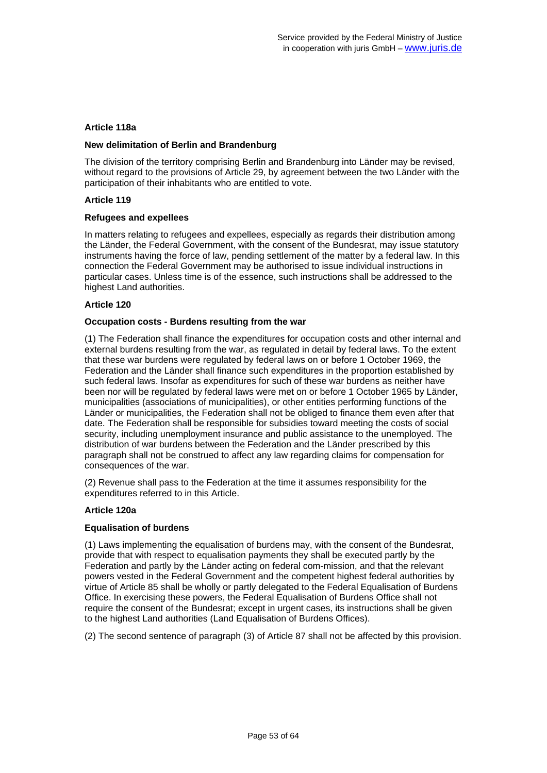### **Article 118a**

### **New delimitation of Berlin and Brandenburg**

The division of the territory comprising Berlin and Brandenburg into Länder may be revised, without regard to the provisions of Article 29, by agreement between the two Länder with the participation of their inhabitants who are entitled to vote.

### **Article 119**

### **Refugees and expellees**

In matters relating to refugees and expellees, especially as regards their distribution among the Länder, the Federal Government, with the consent of the Bundesrat, may issue statutory instruments having the force of law, pending settlement of the matter by a federal law. In this connection the Federal Government may be authorised to issue individual instructions in particular cases. Unless time is of the essence, such instructions shall be addressed to the highest Land authorities.

### **Article 120**

### **Occupation costs - Burdens resulting from the war**

(1) The Federation shall finance the expenditures for occupation costs and other internal and external burdens resulting from the war, as regulated in detail by federal laws. To the extent that these war burdens were regulated by federal laws on or before 1 October 1969, the Federation and the Länder shall finance such expenditures in the proportion established by such federal laws. Insofar as expenditures for such of these war burdens as neither have been nor will be regulated by federal laws were met on or before 1 October 1965 by Länder, municipalities (associations of municipalities), or other entities performing functions of the Länder or municipalities, the Federation shall not be obliged to finance them even after that date. The Federation shall be responsible for subsidies toward meeting the costs of social security, including unemployment insurance and public assistance to the unemployed. The distribution of war burdens between the Federation and the Länder prescribed by this paragraph shall not be construed to affect any law regarding claims for compensation for consequences of the war.

(2) Revenue shall pass to the Federation at the time it assumes responsibility for the expenditures referred to in this Article.

## **Article 120a**

### **Equalisation of burdens**

(1) Laws implementing the equalisation of burdens may, with the consent of the Bundesrat, provide that with respect to equalisation payments they shall be executed partly by the Federation and partly by the Länder acting on federal com-mission, and that the relevant powers vested in the Federal Government and the competent highest federal authorities by virtue of Article 85 shall be wholly or partly delegated to the Federal Equalisation of Burdens Office. In exercising these powers, the Federal Equalisation of Burdens Office shall not require the consent of the Bundesrat; except in urgent cases, its instructions shall be given to the highest Land authorities (Land Equalisation of Burdens Offices).

(2) The second sentence of paragraph (3) of Article 87 shall not be affected by this provision.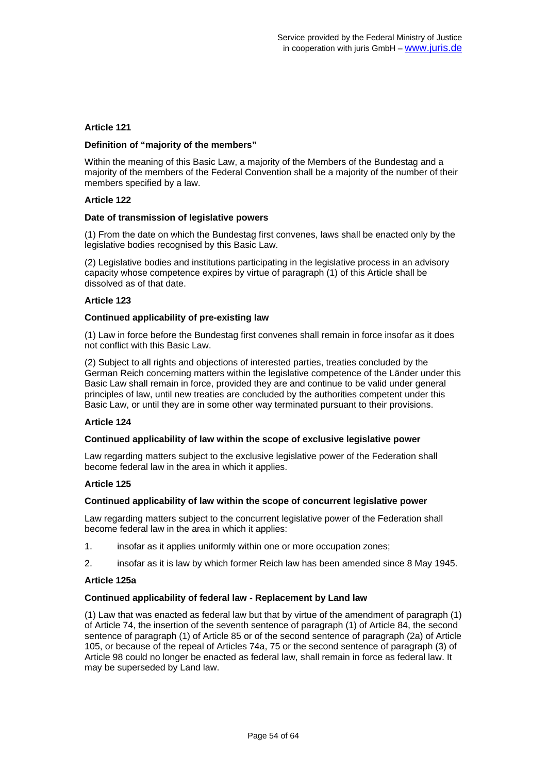### **Definition of "majority of the members"**

Within the meaning of this Basic Law, a majority of the Members of the Bundestag and a majority of the members of the Federal Convention shall be a majority of the number of their members specified by a law.

### **Article 122**

### **Date of transmission of legislative powers**

(1) From the date on which the Bundestag first convenes, laws shall be enacted only by the legislative bodies recognised by this Basic Law.

(2) Legislative bodies and institutions participating in the legislative process in an advisory capacity whose competence expires by virtue of paragraph (1) of this Article shall be dissolved as of that date.

### **Article 123**

### **Continued applicability of pre-existing law**

(1) Law in force before the Bundestag first convenes shall remain in force insofar as it does not conflict with this Basic Law.

(2) Subject to all rights and objections of interested parties, treaties concluded by the German Reich concerning matters within the legislative competence of the Länder under this Basic Law shall remain in force, provided they are and continue to be valid under general principles of law, until new treaties are concluded by the authorities competent under this Basic Law, or until they are in some other way terminated pursuant to their provisions.

### **Article 124**

### **Continued applicability of law within the scope of exclusive legislative power**

Law regarding matters subject to the exclusive legislative power of the Federation shall become federal law in the area in which it applies.

### **Article 125**

### **Continued applicability of law within the scope of concurrent legislative power**

Law regarding matters subject to the concurrent legislative power of the Federation shall become federal law in the area in which it applies:

- 1. insofar as it applies uniformly within one or more occupation zones;
- 2. insofar as it is law by which former Reich law has been amended since 8 May 1945.

### **Article 125a**

### **Continued applicability of federal law - Replacement by Land law**

(1) Law that was enacted as federal law but that by virtue of the amendment of paragraph (1) of Article 74, the insertion of the seventh sentence of paragraph (1) of Article 84, the second sentence of paragraph (1) of Article 85 or of the second sentence of paragraph (2a) of Article 105, or because of the repeal of Articles 74a, 75 or the second sentence of paragraph (3) of Article 98 could no longer be enacted as federal law, shall remain in force as federal law. It may be superseded by Land law.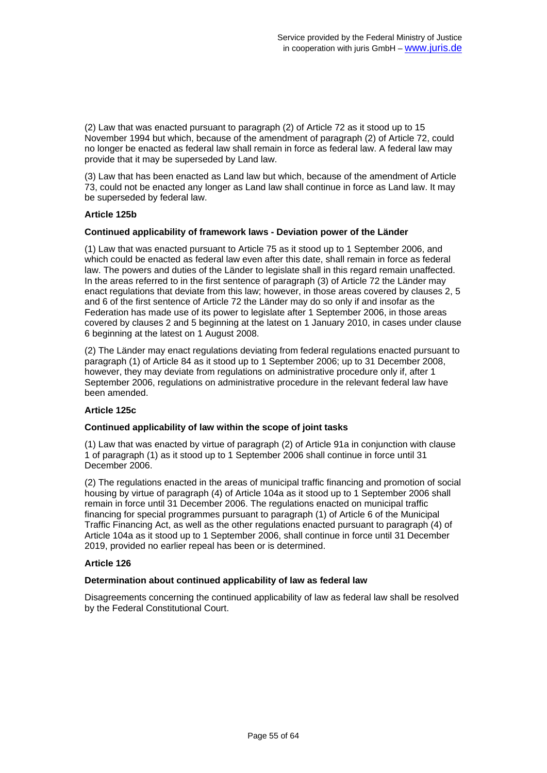(2) Law that was enacted pursuant to paragraph (2) of Article 72 as it stood up to 15 November 1994 but which, because of the amendment of paragraph (2) of Article 72, could no longer be enacted as federal law shall remain in force as federal law. A federal law may provide that it may be superseded by Land law.

(3) Law that has been enacted as Land law but which, because of the amendment of Article 73, could not be enacted any longer as Land law shall continue in force as Land law. It may be superseded by federal law.

### **Article 125b**

### **Continued applicability of framework laws - Deviation power of the Länder**

(1) Law that was enacted pursuant to Article 75 as it stood up to 1 September 2006, and which could be enacted as federal law even after this date, shall remain in force as federal law. The powers and duties of the Länder to legislate shall in this regard remain unaffected. In the areas referred to in the first sentence of paragraph (3) of Article 72 the Länder may enact regulations that deviate from this law; however, in those areas covered by clauses 2, 5 and 6 of the first sentence of Article 72 the Länder may do so only if and insofar as the Federation has made use of its power to legislate after 1 September 2006, in those areas covered by clauses 2 and 5 beginning at the latest on 1 January 2010, in cases under clause 6 beginning at the latest on 1 August 2008.

(2) The Länder may enact regulations deviating from federal regulations enacted pursuant to paragraph (1) of Article 84 as it stood up to 1 September 2006; up to 31 December 2008, however, they may deviate from regulations on administrative procedure only if, after 1 September 2006, regulations on administrative procedure in the relevant federal law have been amended.

### **Article 125c**

### **Continued applicability of law within the scope of joint tasks**

(1) Law that was enacted by virtue of paragraph (2) of Article 91a in conjunction with clause 1 of paragraph (1) as it stood up to 1 September 2006 shall continue in force until 31 December 2006.

(2) The regulations enacted in the areas of municipal traffic financing and promotion of social housing by virtue of paragraph (4) of Article 104a as it stood up to 1 September 2006 shall remain in force until 31 December 2006. The regulations enacted on municipal traffic financing for special programmes pursuant to paragraph (1) of Article 6 of the Municipal Traffic Financing Act, as well as the other regulations enacted pursuant to paragraph (4) of Article 104a as it stood up to 1 September 2006, shall continue in force until 31 December 2019, provided no earlier repeal has been or is determined.

### **Article 126**

### **Determination about continued applicability of law as federal law**

Disagreements concerning the continued applicability of law as federal law shall be resolved by the Federal Constitutional Court.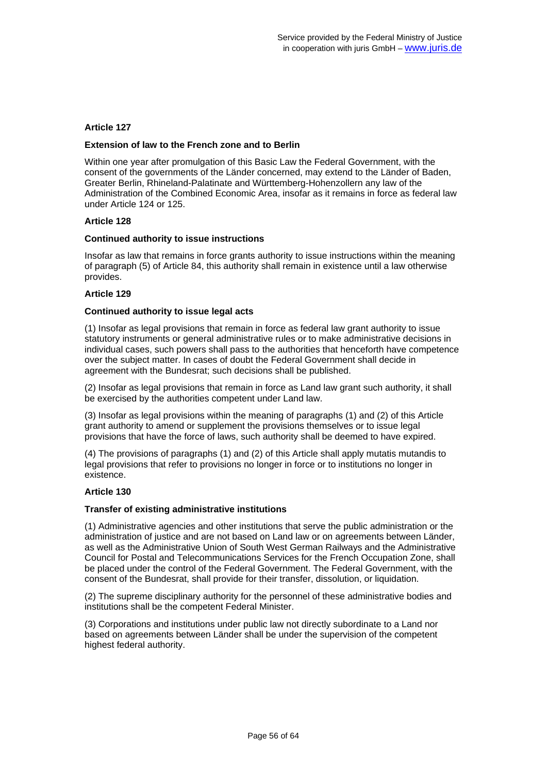### **Extension of law to the French zone and to Berlin**

Within one year after promulgation of this Basic Law the Federal Government, with the consent of the governments of the Länder concerned, may extend to the Länder of Baden, Greater Berlin, Rhineland-Palatinate and Württemberg-Hohenzollern any law of the Administration of the Combined Economic Area, insofar as it remains in force as federal law under Article 124 or 125.

### **Article 128**

### **Continued authority to issue instructions**

Insofar as law that remains in force grants authority to issue instructions within the meaning of paragraph (5) of Article 84, this authority shall remain in existence until a law otherwise provides.

### **Article 129**

### **Continued authority to issue legal acts**

(1) Insofar as legal provisions that remain in force as federal law grant authority to issue statutory instruments or general administrative rules or to make administrative decisions in individual cases, such powers shall pass to the authorities that henceforth have competence over the subject matter. In cases of doubt the Federal Government shall decide in agreement with the Bundesrat; such decisions shall be published.

(2) Insofar as legal provisions that remain in force as Land law grant such authority, it shall be exercised by the authorities competent under Land law.

(3) Insofar as legal provisions within the meaning of paragraphs (1) and (2) of this Article grant authority to amend or supplement the provisions themselves or to issue legal provisions that have the force of laws, such authority shall be deemed to have expired.

(4) The provisions of paragraphs (1) and (2) of this Article shall apply mutatis mutandis to legal provisions that refer to provisions no longer in force or to institutions no longer in existence.

### **Article 130**

### **Transfer of existing administrative institutions**

(1) Administrative agencies and other institutions that serve the public administration or the administration of justice and are not based on Land law or on agreements between Länder, as well as the Administrative Union of South West German Railways and the Administrative Council for Postal and Telecommunications Services for the French Occupation Zone, shall be placed under the control of the Federal Government. The Federal Government, with the consent of the Bundesrat, shall provide for their transfer, dissolution, or liquidation.

(2) The supreme disciplinary authority for the personnel of these administrative bodies and institutions shall be the competent Federal Minister.

(3) Corporations and institutions under public law not directly subordinate to a Land nor based on agreements between Länder shall be under the supervision of the competent highest federal authority.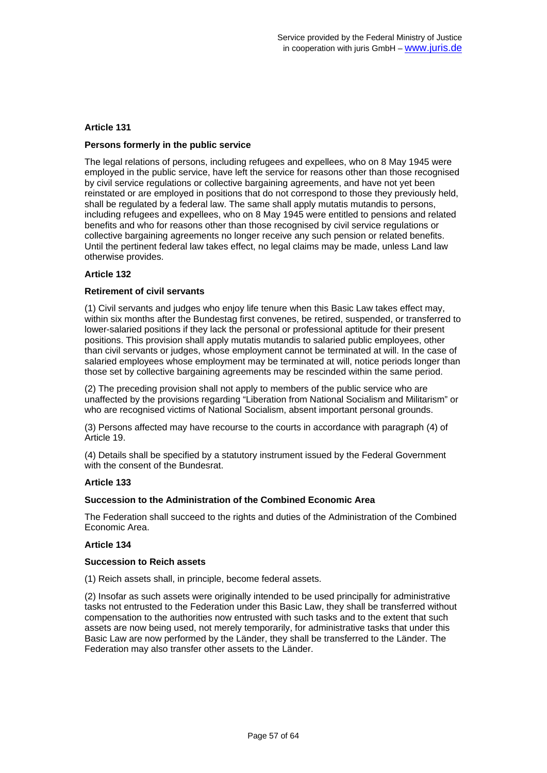### **Persons formerly in the public service**

The legal relations of persons, including refugees and expellees, who on 8 May 1945 were employed in the public service, have left the service for reasons other than those recognised by civil service regulations or collective bargaining agreements, and have not yet been reinstated or are employed in positions that do not correspond to those they previously held, shall be regulated by a federal law. The same shall apply mutatis mutandis to persons, including refugees and expellees, who on 8 May 1945 were entitled to pensions and related benefits and who for reasons other than those recognised by civil service regulations or collective bargaining agreements no longer receive any such pension or related benefits. Until the pertinent federal law takes effect, no legal claims may be made, unless Land law otherwise provides.

### **Article 132**

### **Retirement of civil servants**

(1) Civil servants and judges who enjoy life tenure when this Basic Law takes effect may, within six months after the Bundestag first convenes, be retired, suspended, or transferred to lower-salaried positions if they lack the personal or professional aptitude for their present positions. This provision shall apply mutatis mutandis to salaried public employees, other than civil servants or judges, whose employment cannot be terminated at will. In the case of salaried employees whose employment may be terminated at will, notice periods longer than those set by collective bargaining agreements may be rescinded within the same period.

(2) The preceding provision shall not apply to members of the public service who are unaffected by the provisions regarding "Liberation from National Socialism and Militarism" or who are recognised victims of National Socialism, absent important personal grounds.

(3) Persons affected may have recourse to the courts in accordance with paragraph (4) of Article 19.

(4) Details shall be specified by a statutory instrument issued by the Federal Government with the consent of the Bundesrat.

### **Article 133**

### **Succession to the Administration of the Combined Economic Area**

The Federation shall succeed to the rights and duties of the Administration of the Combined Economic Area.

### **Article 134**

#### **Succession to Reich assets**

(1) Reich assets shall, in principle, become federal assets.

(2) Insofar as such assets were originally intended to be used principally for administrative tasks not entrusted to the Federation under this Basic Law, they shall be transferred without compensation to the authorities now entrusted with such tasks and to the extent that such assets are now being used, not merely temporarily, for administrative tasks that under this Basic Law are now performed by the Länder, they shall be transferred to the Länder. The Federation may also transfer other assets to the Länder.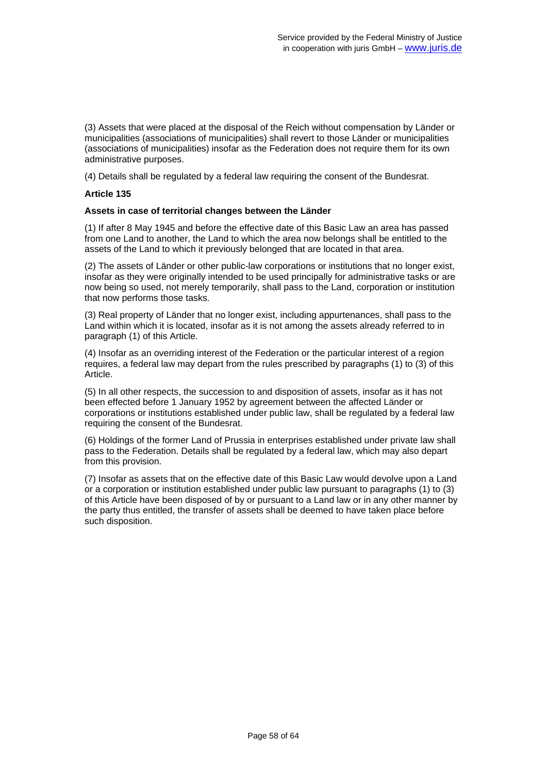(3) Assets that were placed at the disposal of the Reich without compensation by Länder or municipalities (associations of municipalities) shall revert to those Länder or municipalities (associations of municipalities) insofar as the Federation does not require them for its own administrative purposes.

(4) Details shall be regulated by a federal law requiring the consent of the Bundesrat.

#### **Article 135**

#### **Assets in case of territorial changes between the Länder**

(1) If after 8 May 1945 and before the effective date of this Basic Law an area has passed from one Land to another, the Land to which the area now belongs shall be entitled to the assets of the Land to which it previously belonged that are located in that area.

(2) The assets of Länder or other public-law corporations or institutions that no longer exist, insofar as they were originally intended to be used principally for administrative tasks or are now being so used, not merely temporarily, shall pass to the Land, corporation or institution that now performs those tasks.

(3) Real property of Länder that no longer exist, including appurtenances, shall pass to the Land within which it is located, insofar as it is not among the assets already referred to in paragraph (1) of this Article.

(4) Insofar as an overriding interest of the Federation or the particular interest of a region requires, a federal law may depart from the rules prescribed by paragraphs (1) to (3) of this Article.

(5) In all other respects, the succession to and disposition of assets, insofar as it has not been effected before 1 January 1952 by agreement between the affected Länder or corporations or institutions established under public law, shall be regulated by a federal law requiring the consent of the Bundesrat.

(6) Holdings of the former Land of Prussia in enterprises established under private law shall pass to the Federation. Details shall be regulated by a federal law, which may also depart from this provision.

(7) Insofar as assets that on the effective date of this Basic Law would devolve upon a Land or a corporation or institution established under public law pursuant to paragraphs (1) to (3) of this Article have been disposed of by or pursuant to a Land law or in any other manner by the party thus entitled, the transfer of assets shall be deemed to have taken place before such disposition.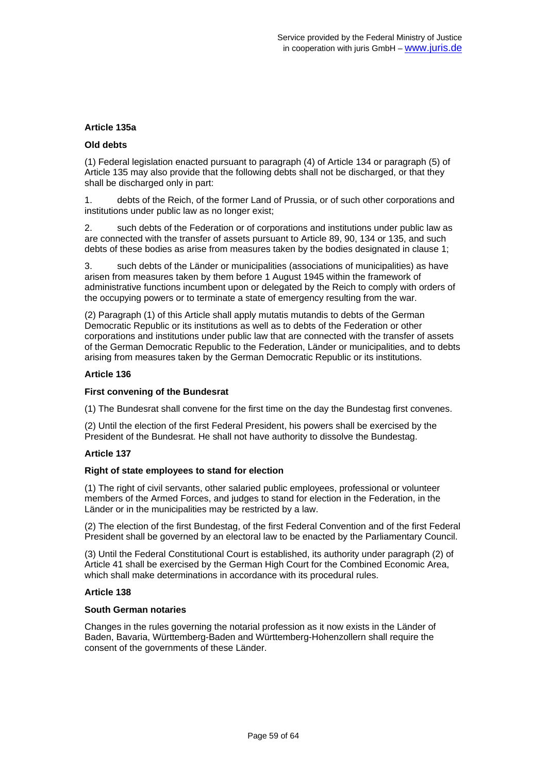## **Article 135a**

### **Old debts**

(1) Federal legislation enacted pursuant to paragraph (4) of Article 134 or paragraph (5) of Article 135 may also provide that the following debts shall not be discharged, or that they shall be discharged only in part:

1. debts of the Reich, of the former Land of Prussia, or of such other corporations and institutions under public law as no longer exist;

2. such debts of the Federation or of corporations and institutions under public law as are connected with the transfer of assets pursuant to Article 89, 90, 134 or 135, and such debts of these bodies as arise from measures taken by the bodies designated in clause 1;

3. such debts of the Länder or municipalities (associations of municipalities) as have arisen from measures taken by them before 1 August 1945 within the framework of administrative functions incumbent upon or delegated by the Reich to comply with orders of the occupying powers or to terminate a state of emergency resulting from the war.

(2) Paragraph (1) of this Article shall apply mutatis mutandis to debts of the German Democratic Republic or its institutions as well as to debts of the Federation or other corporations and institutions under public law that are connected with the transfer of assets of the German Democratic Republic to the Federation, Länder or municipalities, and to debts arising from measures taken by the German Democratic Republic or its institutions.

### **Article 136**

#### **First convening of the Bundesrat**

(1) The Bundesrat shall convene for the first time on the day the Bundestag first convenes.

(2) Until the election of the first Federal President, his powers shall be exercised by the President of the Bundesrat. He shall not have authority to dissolve the Bundestag.

### **Article 137**

#### **Right of state employees to stand for election**

(1) The right of civil servants, other salaried public employees, professional or volunteer members of the Armed Forces, and judges to stand for election in the Federation, in the Länder or in the municipalities may be restricted by a law.

(2) The election of the first Bundestag, of the first Federal Convention and of the first Federal President shall be governed by an electoral law to be enacted by the Parliamentary Council.

(3) Until the Federal Constitutional Court is established, its authority under paragraph (2) of Article 41 shall be exercised by the German High Court for the Combined Economic Area, which shall make determinations in accordance with its procedural rules.

### **Article 138**

#### **South German notaries**

Changes in the rules governing the notarial profession as it now exists in the Länder of Baden, Bavaria, Württemberg-Baden and Württemberg-Hohenzollern shall require the consent of the governments of these Länder.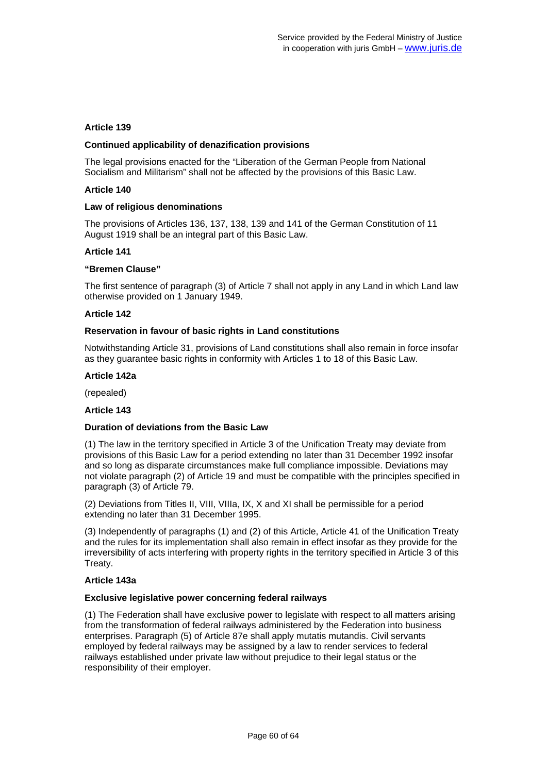#### **Continued applicability of denazification provisions**

The legal provisions enacted for the "Liberation of the German People from National Socialism and Militarism" shall not be affected by the provisions of this Basic Law.

#### **Article 140**

#### **Law of religious denominations**

The provisions of Articles 136, 137, 138, 139 and 141 of the German Constitution of 11 August 1919 shall be an integral part of this Basic Law.

#### **Article 141**

### **"Bremen Clause"**

The first sentence of paragraph (3) of Article 7 shall not apply in any Land in which Land law otherwise provided on 1 January 1949.

#### **Article 142**

#### **Reservation in favour of basic rights in Land constitutions**

Notwithstanding Article 31, provisions of Land constitutions shall also remain in force insofar as they guarantee basic rights in conformity with Articles 1 to 18 of this Basic Law.

#### **Article 142a**

(repealed)

#### **Article 143**

### **Duration of deviations from the Basic Law**

(1) The law in the territory specified in Article 3 of the Unification Treaty may deviate from provisions of this Basic Law for a period extending no later than 31 December 1992 insofar and so long as disparate circumstances make full compliance impossible. Deviations may not violate paragraph (2) of Article 19 and must be compatible with the principles specified in paragraph (3) of Article 79.

(2) Deviations from Titles II, VIII, VIIIa, IX, X and XI shall be permissible for a period extending no later than 31 December 1995.

(3) Independently of paragraphs (1) and (2) of this Article, Article 41 of the Unification Treaty and the rules for its implementation shall also remain in effect insofar as they provide for the irreversibility of acts interfering with property rights in the territory specified in Article 3 of this Treaty.

#### **Article 143a**

#### **Exclusive legislative power concerning federal railways**

(1) The Federation shall have exclusive power to legislate with respect to all matters arising from the transformation of federal railways administered by the Federation into business enterprises. Paragraph (5) of Article 87e shall apply mutatis mutandis. Civil servants employed by federal railways may be assigned by a law to render services to federal railways established under private law without prejudice to their legal status or the responsibility of their employer.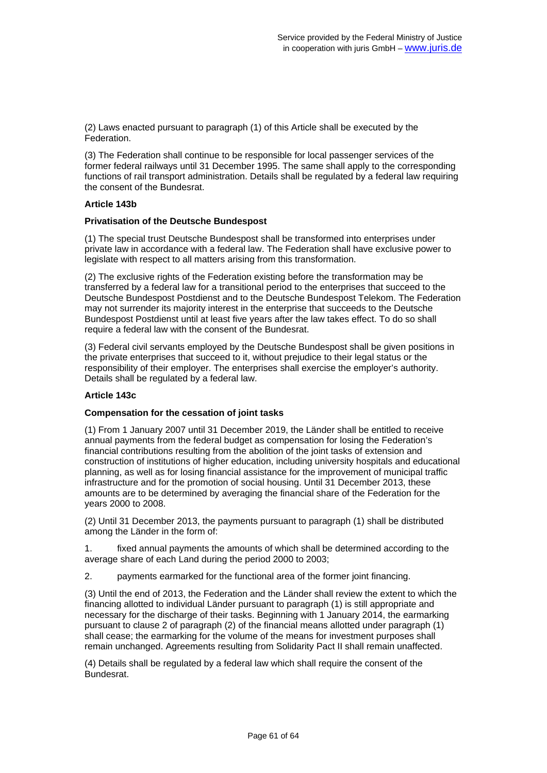(2) Laws enacted pursuant to paragraph (1) of this Article shall be executed by the Federation.

(3) The Federation shall continue to be responsible for local passenger services of the former federal railways until 31 December 1995. The same shall apply to the corresponding functions of rail transport administration. Details shall be regulated by a federal law requiring the consent of the Bundesrat.

## **Article 143b**

### **Privatisation of the Deutsche Bundespost**

(1) The special trust Deutsche Bundespost shall be transformed into enterprises under private law in accordance with a federal law. The Federation shall have exclusive power to legislate with respect to all matters arising from this transformation.

(2) The exclusive rights of the Federation existing before the transformation may be transferred by a federal law for a transitional period to the enterprises that succeed to the Deutsche Bundespost Postdienst and to the Deutsche Bundespost Telekom. The Federation may not surrender its majority interest in the enterprise that succeeds to the Deutsche Bundespost Postdienst until at least five years after the law takes effect. To do so shall require a federal law with the consent of the Bundesrat.

(3) Federal civil servants employed by the Deutsche Bundespost shall be given positions in the private enterprises that succeed to it, without prejudice to their legal status or the responsibility of their employer. The enterprises shall exercise the employer's authority. Details shall be regulated by a federal law.

### **Article 143c**

### **Compensation for the cessation of joint tasks**

(1) From 1 January 2007 until 31 December 2019, the Länder shall be entitled to receive annual payments from the federal budget as compensation for losing the Federation's financial contributions resulting from the abolition of the joint tasks of extension and construction of institutions of higher education, including university hospitals and educational planning, as well as for losing financial assistance for the improvement of municipal traffic infrastructure and for the promotion of social housing. Until 31 December 2013, these amounts are to be determined by averaging the financial share of the Federation for the years 2000 to 2008.

(2) Until 31 December 2013, the payments pursuant to paragraph (1) shall be distributed among the Länder in the form of:

1. fixed annual payments the amounts of which shall be determined according to the average share of each Land during the period 2000 to 2003;

2. payments earmarked for the functional area of the former joint financing.

(3) Until the end of 2013, the Federation and the Länder shall review the extent to which the financing allotted to individual Länder pursuant to paragraph (1) is still appropriate and necessary for the discharge of their tasks. Beginning with 1 January 2014, the earmarking pursuant to clause 2 of paragraph (2) of the financial means allotted under paragraph (1) shall cease; the earmarking for the volume of the means for investment purposes shall remain unchanged. Agreements resulting from Solidarity Pact II shall remain unaffected.

(4) Details shall be regulated by a federal law which shall require the consent of the Bundesrat.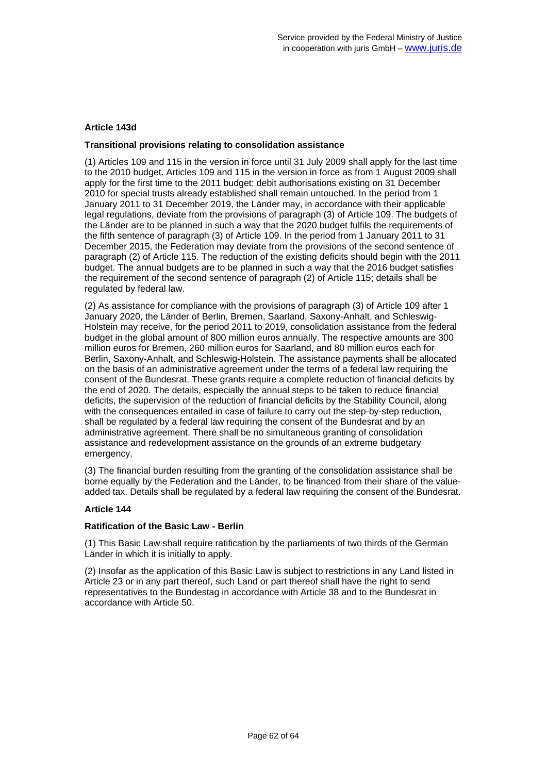## **Article 143d**

### **Transitional provisions relating to consolidation assistance**

(1) Articles 109 and 115 in the version in force until 31 July 2009 shall apply for the last time to the 2010 budget. Articles 109 and 115 in the version in force as from 1 August 2009 shall apply for the first time to the 2011 budget; debit authorisations existing on 31 December 2010 for special trusts already established shall remain untouched. In the period from 1 January 2011 to 31 December 2019, the Länder may, in accordance with their applicable legal regulations, deviate from the provisions of paragraph (3) of Article 109. The budgets of the Länder are to be planned in such a way that the 2020 budget fulfils the requirements of the fifth sentence of paragraph (3) of Article 109. In the period from 1 January 2011 to 31 December 2015, the Federation may deviate from the provisions of the second sentence of paragraph (2) of Article 115. The reduction of the existing deficits should begin with the 2011 budget. The annual budgets are to be planned in such a way that the 2016 budget satisfies the requirement of the second sentence of paragraph (2) of Article 115; details shall be regulated by federal law.

(2) As assistance for compliance with the provisions of paragraph (3) of Article 109 after 1 January 2020, the Länder of Berlin, Bremen, Saarland, Saxony-Anhalt, and Schleswig-Holstein may receive, for the period 2011 to 2019, consolidation assistance from the federal budget in the global amount of 800 million euros annually. The respective amounts are 300 million euros for Bremen, 260 million euros for Saarland, and 80 million euros each for Berlin, Saxony-Anhalt, and Schleswig-Holstein. The assistance payments shall be allocated on the basis of an administrative agreement under the terms of a federal law requiring the consent of the Bundesrat. These grants require a complete reduction of financial deficits by the end of 2020. The details, especially the annual steps to be taken to reduce financial deficits, the supervision of the reduction of financial deficits by the Stability Council, along with the consequences entailed in case of failure to carry out the step-by-step reduction, shall be regulated by a federal law requiring the consent of the Bundesrat and by an administrative agreement. There shall be no simultaneous granting of consolidation assistance and redevelopment assistance on the grounds of an extreme budgetary emergency.

(3) The financial burden resulting from the granting of the consolidation assistance shall be borne equally by the Federation and the Länder, to be financed from their share of the valueadded tax. Details shall be regulated by a federal law requiring the consent of the Bundesrat.

### **Article 144**

### **Ratification of the Basic Law - Berlin**

(1) This Basic Law shall require ratification by the parliaments of two thirds of the German Länder in which it is initially to apply.

(2) Insofar as the application of this Basic Law is subject to restrictions in any Land listed in Article 23 or in any part thereof, such Land or part thereof shall have the right to send representatives to the Bundestag in accordance with Article 38 and to the Bundesrat in accordance with Article 50.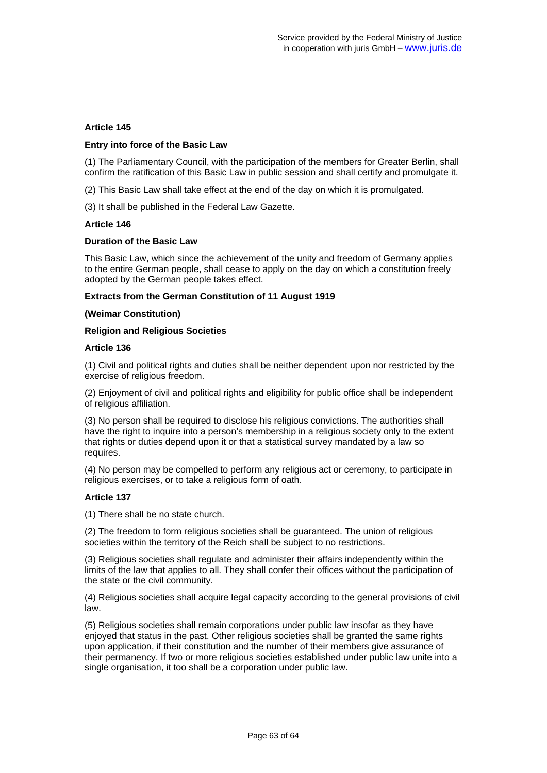### **Entry into force of the Basic Law**

(1) The Parliamentary Council, with the participation of the members for Greater Berlin, shall confirm the ratification of this Basic Law in public session and shall certify and promulgate it.

(2) This Basic Law shall take effect at the end of the day on which it is promulgated.

(3) It shall be published in the Federal Law Gazette.

### **Article 146**

### **Duration of the Basic Law**

This Basic Law, which since the achievement of the unity and freedom of Germany applies to the entire German people, shall cease to apply on the day on which a constitution freely adopted by the German people takes effect.

### **Extracts from the German Constitution of 11 August 1919**

### **(Weimar Constitution)**

### **Religion and Religious Societies**

### **Article 136**

(1) Civil and political rights and duties shall be neither dependent upon nor restricted by the exercise of religious freedom.

(2) Enjoyment of civil and political rights and eligibility for public office shall be independent of religious affiliation.

(3) No person shall be required to disclose his religious convictions. The authorities shall have the right to inquire into a person's membership in a religious society only to the extent that rights or duties depend upon it or that a statistical survey mandated by a law so requires.

(4) No person may be compelled to perform any religious act or ceremony, to participate in religious exercises, or to take a religious form of oath.

## **Article 137**

(1) There shall be no state church.

(2) The freedom to form religious societies shall be guaranteed. The union of religious societies within the territory of the Reich shall be subject to no restrictions.

(3) Religious societies shall regulate and administer their affairs independently within the limits of the law that applies to all. They shall confer their offices without the participation of the state or the civil community.

(4) Religious societies shall acquire legal capacity according to the general provisions of civil law.

(5) Religious societies shall remain corporations under public law insofar as they have enjoyed that status in the past. Other religious societies shall be granted the same rights upon application, if their constitution and the number of their members give assurance of their permanency. If two or more religious societies established under public law unite into a single organisation, it too shall be a corporation under public law.